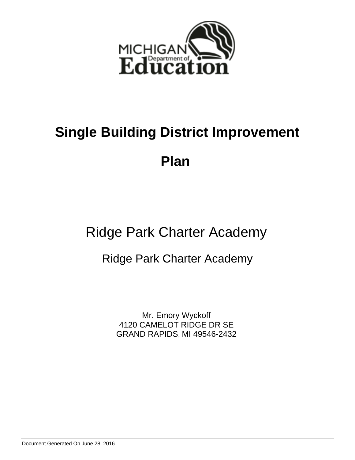

# **Single Building District Improvement**

**Plan** 

Ridge Park Charter Academy

Ridge Park Charter Academy

Mr. Emory Wyckoff 4120 CAMELOT RIDGE DR SE GRAND RAPIDS, MI 49546-2432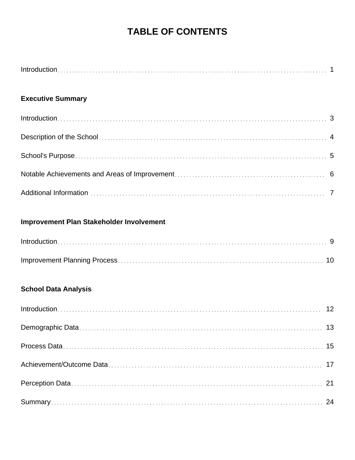## **TABLE OF CONTENTS**

## **Executive Summary**

## **Improvement Plan Stakeholder Involvement**

## **School Data Analysis**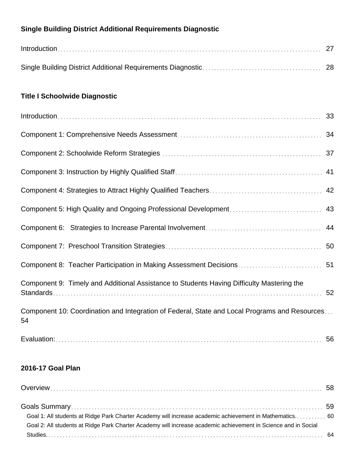## **Single Building District Additional Requirements Diagnostic**

## **Title I Schoolwide Diagnostic**

| $Introduction \dots 33$                                                                             |    |
|-----------------------------------------------------------------------------------------------------|----|
|                                                                                                     |    |
|                                                                                                     |    |
|                                                                                                     |    |
|                                                                                                     |    |
|                                                                                                     | 43 |
|                                                                                                     | 44 |
|                                                                                                     |    |
|                                                                                                     |    |
| Component 9: Timely and Additional Assistance to Students Having Difficulty Mastering the           |    |
| Component 10: Coordination and Integration of Federal, State and Local Programs and Resources<br>54 |    |
|                                                                                                     | 56 |

## **2016-17 Goal Plan**

| Goal 1: All students at Ridge Park Charter Academy will increase academic achievement in Mathematics 60        |  |
|----------------------------------------------------------------------------------------------------------------|--|
| Goal 2: All students at Ridge Park Charter Academy will increase academic achievement in Science and in Social |  |
|                                                                                                                |  |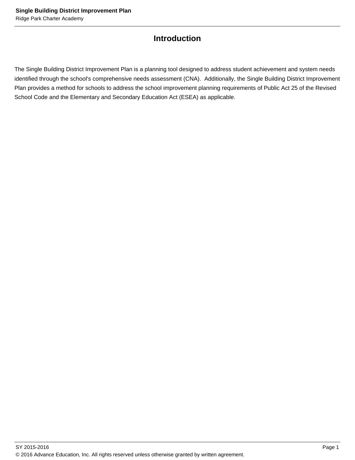## **Introduction**

The Single Building District Improvement Plan is a planning tool designed to address student achievement and system needs identified through the school's comprehensive needs assessment (CNA). Additionally, the Single Building District Improvement Plan provides a method for schools to address the school improvement planning requirements of Public Act 25 of the Revised School Code and the Elementary and Secondary Education Act (ESEA) as applicable.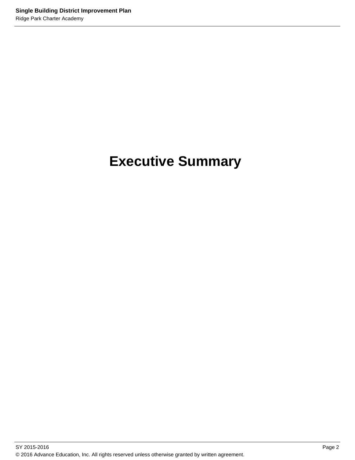# **Executive Summary**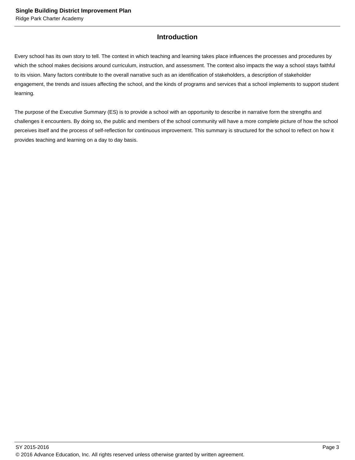## **Introduction**

Every school has its own story to tell. The context in which teaching and learning takes place influences the processes and procedures by which the school makes decisions around curriculum, instruction, and assessment. The context also impacts the way a school stays faithful to its vision. Many factors contribute to the overall narrative such as an identification of stakeholders, a description of stakeholder engagement, the trends and issues affecting the school, and the kinds of programs and services that a school implements to support student learning.

The purpose of the Executive Summary (ES) is to provide a school with an opportunity to describe in narrative form the strengths and challenges it encounters. By doing so, the public and members of the school community will have a more complete picture of how the school perceives itself and the process of self-reflection for continuous improvement. This summary is structured for the school to reflect on how it provides teaching and learning on a day to day basis.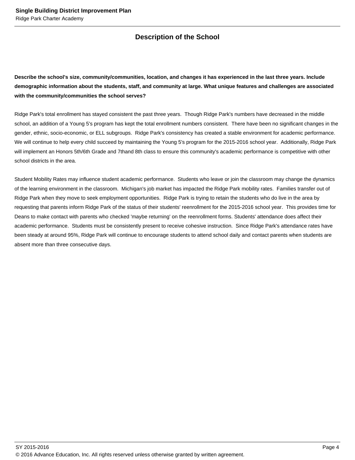## **Description of the School**

**Describe the school's size, community/communities, location, and changes it has experienced in the last three years. Include demographic information about the students, staff, and community at large. What unique features and challenges are associated with the community/communities the school serves?**

Ridge Park's total enrollment has stayed consistent the past three years. Though Ridge Park's numbers have decreased in the middle school, an addition of a Young 5's program has kept the total enrollment numbers consistent. There have been no significant changes in the gender, ethnic, socio-economic, or ELL subgroups. Ridge Park's consistency has created a stable environment for academic performance. We will continue to help every child succeed by maintaining the Young 5's program for the 2015-2016 school year. Additionally, Ridge Park will implement an Honors 5th/6th Grade and 7thand 8th class to ensure this community's academic performance is competitive with other school districts in the area.

Student Mobility Rates may influence student academic performance. Students who leave or join the classroom may change the dynamics of the learning environment in the classroom. Michigan's job market has impacted the Ridge Park mobility rates. Families transfer out of Ridge Park when they move to seek employment opportunities. Ridge Park is trying to retain the students who do live in the area by requesting that parents inform Ridge Park of the status of their students' reenrollment for the 2015-2016 school year. This provides time for Deans to make contact with parents who checked 'maybe returning' on the reenrollment forms. Students' attendance does affect their academic performance. Students must be consistently present to receive cohesive instruction. Since Ridge Park's attendance rates have been steady at around 95%, Ridge Park will continue to encourage students to attend school daily and contact parents when students are absent more than three consecutive days.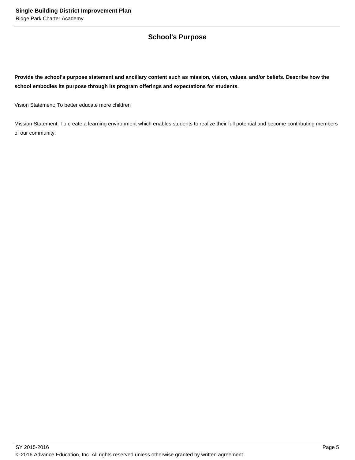## **School's Purpose**

**Provide the school's purpose statement and ancillary content such as mission, vision, values, and/or beliefs. Describe how the school embodies its purpose through its program offerings and expectations for students.**

Vision Statement: To better educate more children

Mission Statement: To create a learning environment which enables students to realize their full potential and become contributing members of our community.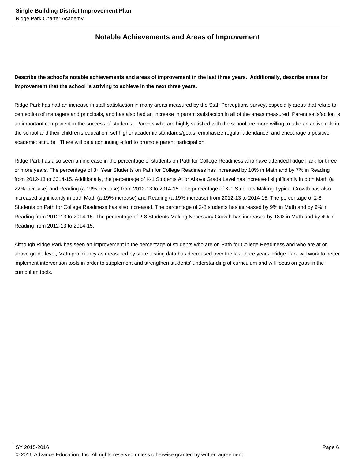## **Notable Achievements and Areas of Improvement**

## **Describe the school's notable achievements and areas of improvement in the last three years. Additionally, describe areas for improvement that the school is striving to achieve in the next three years.**

Ridge Park has had an increase in staff satisfaction in many areas measured by the Staff Perceptions survey, especially areas that relate to perception of managers and principals, and has also had an increase in parent satisfaction in all of the areas measured. Parent satisfaction is an important component in the success of students. Parents who are highly satisfied with the school are more willing to take an active role in the school and their children's education; set higher academic standards/goals; emphasize regular attendance; and encourage a positive academic attitude. There will be a continuing effort to promote parent participation.

Ridge Park has also seen an increase in the percentage of students on Path for College Readiness who have attended Ridge Park for three or more years. The percentage of 3+ Year Students on Path for College Readiness has increased by 10% in Math and by 7% in Reading from 2012-13 to 2014-15. Additionally, the percentage of K-1 Students At or Above Grade Level has increased significantly in both Math (a 22% increase) and Reading (a 19% increase) from 2012-13 to 2014-15. The percentage of K-1 Students Making Typical Growth has also increased significantly in both Math (a 19% increase) and Reading (a 19% increase) from 2012-13 to 2014-15. The percentage of 2-8 Students on Path for College Readiness has also increased. The percentage of 2-8 students has increased by 9% in Math and by 6% in Reading from 2012-13 to 2014-15. The percentage of 2-8 Students Making Necessary Growth has increased by 18% in Math and by 4% in Reading from 2012-13 to 2014-15.

Although Ridge Park has seen an improvement in the percentage of students who are on Path for College Readiness and who are at or above grade level, Math proficiency as measured by state testing data has decreased over the last three years. Ridge Park will work to better implement intervention tools in order to supplement and strengthen students' understanding of curriculum and will focus on gaps in the curriculum tools.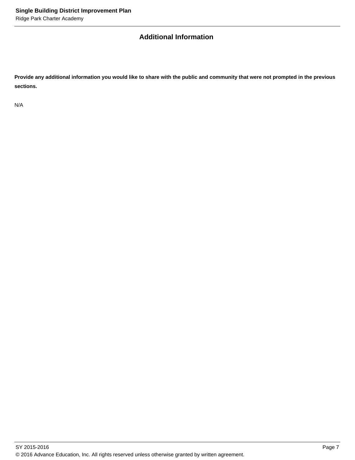## **Additional Information**

**Provide any additional information you would like to share with the public and community that were not prompted in the previous sections.**

N/A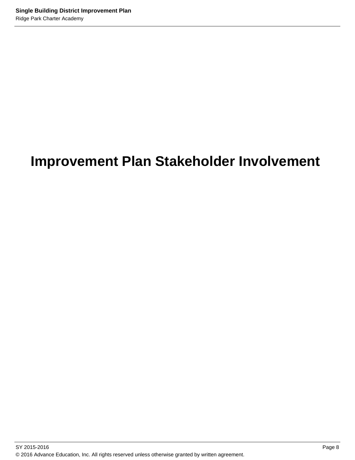## **Improvement Plan Stakeholder Involvement**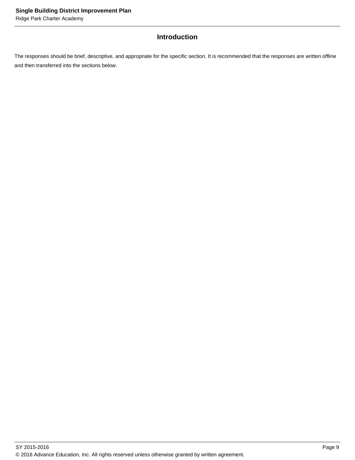## **Introduction**

The responses should be brief, descriptive, and appropriate for the specific section. It is recommended that the responses are written offline and then transferred into the sections below.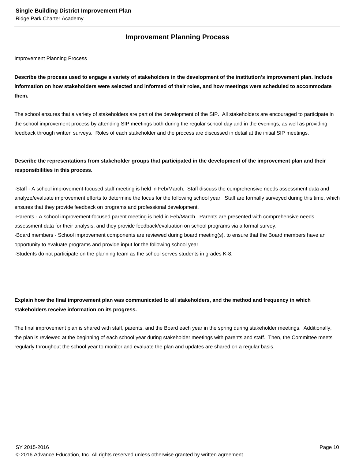## **Improvement Planning Process**

Improvement Planning Process

**Describe the process used to engage a variety of stakeholders in the development of the institution's improvement plan. Include information on how stakeholders were selected and informed of their roles, and how meetings were scheduled to accommodate them.** 

The school ensures that a variety of stakeholders are part of the development of the SIP. All stakeholders are encouraged to participate in the school improvement process by attending SIP meetings both during the regular school day and in the evenings, as well as providing feedback through written surveys. Roles of each stakeholder and the process are discussed in detail at the initial SIP meetings.

## **Describe the representations from stakeholder groups that participated in the development of the improvement plan and their responsibilities in this process.**

- Staff - A school improvement-focused staff meeting is held in Feb/March. Staff discuss the comprehensive needs assessment data and analyze/evaluate improvement efforts to determine the focus for the following school year. Staff are formally surveyed during this time, which ensures that they provide feedback on programs and professional development.

- Parents - A school improvement-focused parent meeting is held in Feb/March. Parents are presented with comprehensive needs assessment data for their analysis, and they provide feedback/evaluation on school programs via a formal survey.

- Board members - School improvement components are reviewed during board meeting(s), to ensure that the Board members have an opportunity to evaluate programs and provide input for the following school year.

- Students do not participate on the planning team as the school serves students in grades K-8.

## **Explain how the final improvement plan was communicated to all stakeholders, and the method and frequency in which stakeholders receive information on its progress.**

The final improvement plan is shared with staff, parents, and the Board each year in the spring during stakeholder meetings. Additionally, the plan is reviewed at the beginning of each school year during stakeholder meetings with parents and staff. Then, the Committee meets regularly throughout the school year to monitor and evaluate the plan and updates are shared on a regular basis.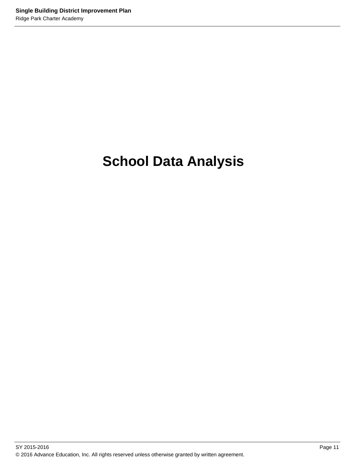# **School Data Analysis**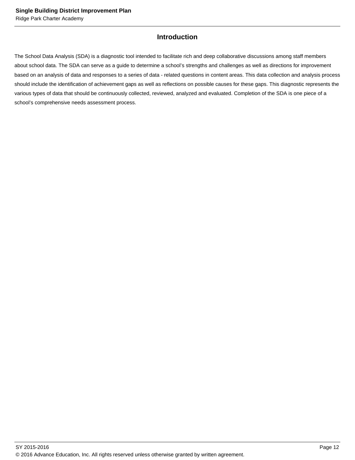## **Introduction**

The School Data Analysis (SDA) is a diagnostic tool intended to facilitate rich and deep collaborative discussions among staff members about school data. The SDA can serve as a guide to determine a school's strengths and challenges as well as directions for improvement based on an analysis of data and responses to a series of data - related questions in content areas. This data collection and analysis process should include the identification of achievement gaps as well as reflections on possible causes for these gaps. This diagnostic represents the various types of data that should be continuously collected, reviewed, analyzed and evaluated. Completion of the SDA is one piece of a school's comprehensive needs assessment process.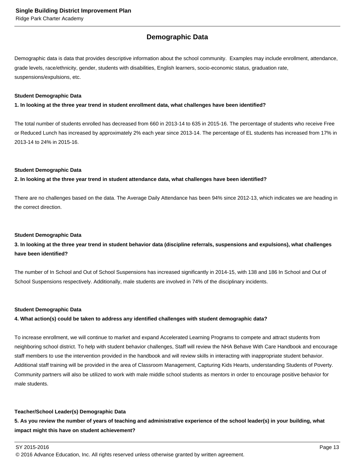## **Demographic Data**

Demographic data is data that provides descriptive information about the school community. Examples may include enrollment, attendance, grade levels, race/ethnicity, gender, students with disabilities, English learners, socio-economic status, graduation rate, suspensions/expulsions, etc.

#### **Student Demographic Data**

#### **1. In looking at the three year trend in student enrollment data, what challenges have been identified?**

The total number of students enrolled has decreased from 660 in 2013-14 to 635 in 2015-16. The percentage of students who receive Free or Reduced Lunch has increased by approximately 2% each year since 2013-14. The percentage of EL students has increased from 17% in 2013-14 to 24% in 2015-16.

#### **Student Demographic Data**

#### **2. In looking at the three year trend in student attendance data, what challenges have been identified?**

There are no challenges based on the data. The Average Daily Attendance has been 94% since 2012-13, which indicates we are heading in the correct direction.

#### **Student Demographic Data**

## **3. In looking at the three year trend in student behavior data (discipline referrals, suspensions and expulsions), what challenges have been identified?**

The number of In School and Out of School Suspensions has increased significantly in 2014-15, with 138 and 186 In School and Out of School Suspensions respectively. Additionally, male students are involved in 74% of the disciplinary incidents.

#### **Student Demographic Data**

#### **4. What action(s) could be taken to address any identified challenges with student demographic data?**

To increase enrollment, we will continue to market and expand Accelerated Learning Programs to compete and attract students from neighboring school district. To help with student behavior challenges, Staff will review the NHA Behave With Care Handbook and encourage staff members to use the intervention provided in the handbook and will review skills in interacting with inappropriate student behavior. Additional staff training will be provided in the area of Classroom Management, Capturing Kids Hearts, understanding Students of Poverty. Community partners will also be utilized to work with male middle school students as mentors in order to encourage positive behavior for male students.

#### **Teacher/School Leader(s) Demographic Data**

**5. As you review the number of years of teaching and administrative experience of the school leader(s) in your building, what impact might this have on student achievement?**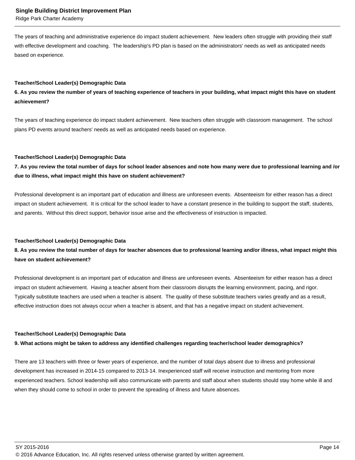Ridge Park Charter Academy

The years of teaching and administrative experience do impact student achievement. New leaders often struggle with providing their staff with effective development and coaching. The leadership's PD plan is based on the administrators' needs as well as anticipated needs based on experience.

#### **Teacher/School Leader(s) Demographic Data**

### **6. As you review the number of years of teaching experience of teachers in your building, what impact might this have on student achievement?**

The years of teaching experience do impact student achievement. New teachers often struggle with classroom management. The school plans PD events around teachers' needs as well as anticipated needs based on experience.

#### **Teacher/School Leader(s) Demographic Data**

**7. As you review the total number of days for school leader absences and note how many were due to professional learning and /or due to illness, what impact might this have on student achievement?**

Professional development is an important part of education and illness are unforeseen events. Absenteeism for either reason has a direct impact on student achievement. It is critical for the school leader to have a constant presence in the building to support the staff, students, and parents. Without this direct support, behavior issue arise and the effectiveness of instruction is impacted.

#### **Teacher/School Leader(s) Demographic Data**

### **8. As you review the total number of days for teacher absences due to professional learning and/or illness, what impact might this have on student achievement?**

Professional development is an important part of education and illness are unforeseen events. Absenteeism for either reason has a direct impact on student achievement. Having a teacher absent from their classroom disrupts the learning environment, pacing, and rigor. Typically substitute teachers are used when a teacher is absent. The quality of these substitute teachers varies greatly and as a result, effective instruction does not always occur when a teacher is absent, and that has a negative impact on student achievement.

#### **Teacher/School Leader(s) Demographic Data**

#### **9. What actions might be taken to address any identified challenges regarding teacher/school leader demographics?**

There are 13 teachers with three or fewer years of experience, and the number of total days absent due to illness and professional development has increased in 2014-15 compared to 2013-14. Inexperienced staff will receive instruction and mentoring from more experienced teachers. School leadership will also communicate with parents and staff about when students should stay home while ill and when they should come to school in order to prevent the spreading of illness and future absences.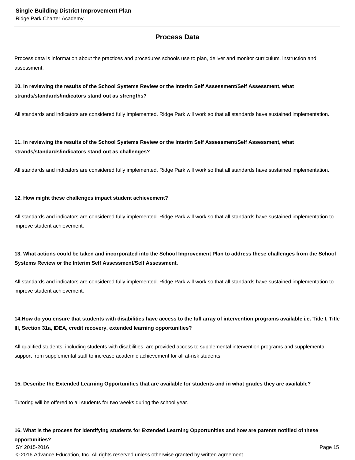## **Process Data**

Process data is information about the practices and procedures schools use to plan, deliver and monitor curriculum, instruction and assessment.

### **10. In reviewing the results of the School Systems Review or the Interim Self Assessment/Self Assessment, what strands/standards/indicators stand out as strengths?**

All standards and indicators are considered fully implemented. Ridge Park will work so that all standards have sustained implementation.

## **11. In reviewing the results of the School Systems Review or the Interim Self Assessment/Self Assessment, what strands/standards/indicators stand out as challenges?**

All standards and indicators are considered fully implemented. Ridge Park will work so that all standards have sustained implementation.

#### **12. How might these challenges impact student achievement?**

All standards and indicators are considered fully implemented. Ridge Park will work so that all standards have sustained implementation to improve student achievement.

## **13. What actions could be taken and incorporated into the School Improvement Plan to address these challenges from the School Systems Review or the Interim Self Assessment/Self Assessment.**

All standards and indicators are considered fully implemented. Ridge Park will work so that all standards have sustained implementation to improve student achievement.

## 14. How do you ensure that students with disabilities have access to the full array of intervention programs available i.e. Title I, Title **III, Section 31a, IDEA, credit recovery, extended learning opportunities?**

All qualified students, including students with disabilities, are provided access to supplemental intervention programs and supplemental support from supplemental staff to increase academic achievement for all at-risk students.

#### **15. Describe the Extended Learning Opportunities that are available for students and in what grades they are available?**

Tutoring will be offered to all students for two weeks during the school year.

#### **16. What is the process for identifying students for Extended Learning Opportunities and how are parents notified of these**

**opportunities?**

 $\,$  SY 2015-2016  $\,$  Page 15  $\,$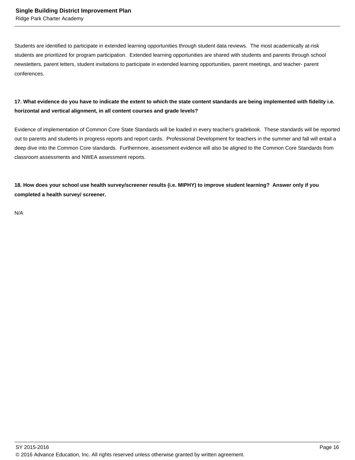Students are identified to participate in extended learning opportunities through student data reviews. The most academically at-risk students are prioritized for program participation. Extended learning opportunities are shared with students and parents through school newsletters, parent letters, student invitations to participate in extended learning opportunities, parent meetings, and teacher- parent conferences.

## **17. What evidence do you have to indicate the extent to which the state content standards are being implemented with fidelity i.e. horizontal and vertical alignment, in all content courses and grade levels?**

Evidence of implementation of Common Core State Standards will be loaded in every teacher's gradebook. These standards will be reported out to parents and students in progress reports and report cards. Professional Development for teachers in the summer and fall will entail a deep dive into the Common Core standards. Furthermore, assessment evidence will also be aligned to the Common Core Standards from classroom assessments and NWEA assessment reports.

**18. How does your school use health survey/screener results (i.e. MIPHY) to improve student learning? Answer only if you completed a health survey/ screener.**

N/A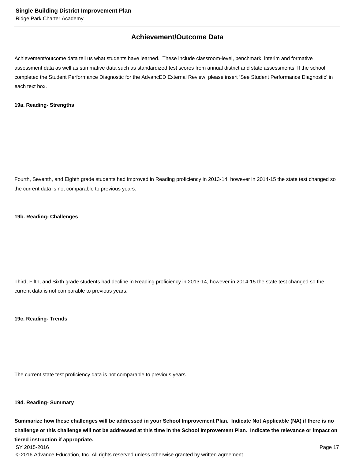## **Achievement/Outcome Data**

Achievement/outcome data tell us what students have learned. These include classroom-level, benchmark, interim and formative assessment data as well as summative data such as standardized test scores from annual district and state assessments. If the school completed the Student Performance Diagnostic for the AdvancED External Review, please insert 'See Student Performance Diagnostic' in each text box.

#### **19a. Reading- Strengths**

Fourth, Seventh, and Eighth grade students had improved in Reading proficiency in 2013-14, however in 2014-15 the state test changed so the current data is not comparable to previous years.

#### **19b. Reading- Challenges**

Third, Fifth, and Sixth grade students had decline in Reading proficiency in 2013-14, however in 2014-15 the state test changed so the current data is not comparable to previous years.

**19c. Reading- Trends**

The current state test proficiency data is not comparable to previous years.

#### **19d. Reading- Summary**

**Summarize how these challenges will be addressed in your School Improvement Plan. Indicate Not Applicable (NA) if there is no challenge or this challenge will not be addressed at this time in the School Improvement Plan. Indicate the relevance or impact on tiered instruction if appropriate.**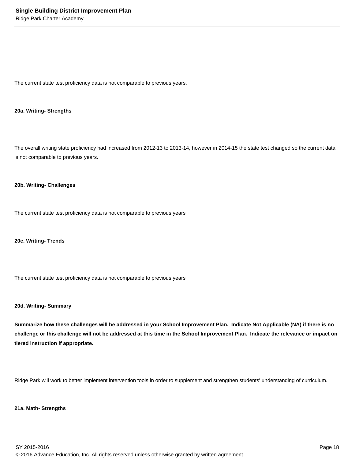The current state test proficiency data is not comparable to previous years.

#### **20a. Writing- Strengths**

The overall writing state proficiency had increased from 2012-13 to 2013-14, however in 2014-15 the state test changed so the current data is not comparable to previous years.

#### **20b. Writing- Challenges**

The current state test proficiency data is not comparable to previous years

**20c. Writing- Trends**

The current state test proficiency data is not comparable to previous years

#### **20d. Writing- Summary**

**Summarize how these challenges will be addressed in your School Improvement Plan. Indicate Not Applicable (NA) if there is no challenge or this challenge will not be addressed at this time in the School Improvement Plan. Indicate the relevance or impact on tiered instruction if appropriate.**

Ridge Park will work to better implement intervention tools in order to supplement and strengthen students' understanding of curriculum.

#### **21a. Math- Strengths**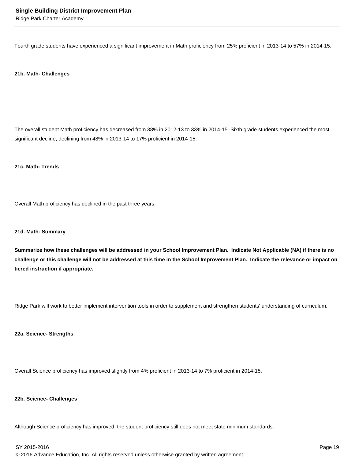Ridge Park Charter Academy

Fourth grade students have experienced a significant improvement in Math proficiency from 25% proficient in 2013-14 to 57% in 2014-15.

#### **21b. Math- Challenges**

The overall student Math proficiency has decreased from 38% in 2012-13 to 33% in 2014-15. Sixth grade students experienced the most significant decline, declining from 48% in 2013-14 to 17% proficient in 2014-15.

**21c. Math- Trends**

Overall Math proficiency has declined in the past three years.

#### **21d. Math- Summary**

**Summarize how these challenges will be addressed in your School Improvement Plan. Indicate Not Applicable (NA) if there is no challenge or this challenge will not be addressed at this time in the School Improvement Plan. Indicate the relevance or impact on tiered instruction if appropriate.**

Ridge Park will work to better implement intervention tools in order to supplement and strengthen students' understanding of curriculum.

**22a. Science- Strengths**

Overall Science proficiency has improved slightly from 4% proficient in 2013-14 to 7% proficient in 2014-15.

#### **22b. Science- Challenges**

Although Science proficiency has improved, the student proficiency still does not meet state minimum standards.

SY 2015-2016 Page 19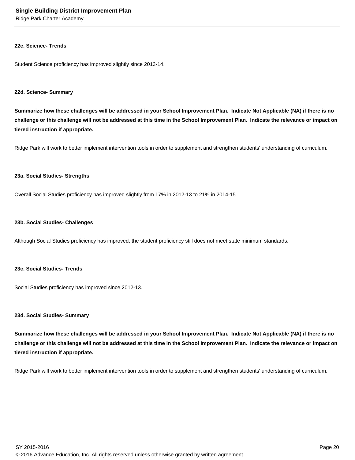Ridge Park Charter Academy

#### **22c. Science- Trends**

Student Science proficiency has improved slightly since 2013-14.

#### **22d. Science- Summary**

**Summarize how these challenges will be addressed in your School Improvement Plan. Indicate Not Applicable (NA) if there is no challenge or this challenge will not be addressed at this time in the School Improvement Plan. Indicate the relevance or impact on tiered instruction if appropriate.**

Ridge Park will work to better implement intervention tools in order to supplement and strengthen students' understanding of curriculum.

#### **23a. Social Studies- Strengths**

Overall Social Studies proficiency has improved slightly from 17% in 2012-13 to 21% in 2014-15.

#### **23b. Social Studies- Challenges**

Although Social Studies proficiency has improved, the student proficiency still does not meet state minimum standards.

#### **23c. Social Studies- Trends**

Social Studies proficiency has improved since 2012-13.

#### **23d. Social Studies- Summary**

**Summarize how these challenges will be addressed in your School Improvement Plan. Indicate Not Applicable (NA) if there is no challenge or this challenge will not be addressed at this time in the School Improvement Plan. Indicate the relevance or impact on tiered instruction if appropriate.**

Ridge Park will work to better implement intervention tools in order to supplement and strengthen students' understanding of curriculum.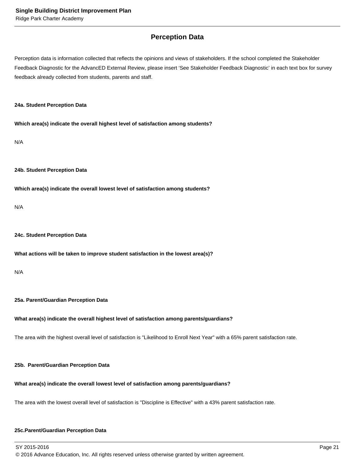## **Perception Data**

Perception data is information collected that reflects the opinions and views of stakeholders. If the school completed the Stakeholder Feedback Diagnostic for the AdvancED External Review, please insert 'See Stakeholder Feedback Diagnostic' in each text box for survey feedback already collected from students, parents and staff.

#### **24a. Student Perception Data**

**Which area(s) indicate the overall highest level of satisfaction among students?**

N/A

#### **24b. Student Perception Data**

**Which area(s) indicate the overall lowest level of satisfaction among students?**

N/A

#### **24c. Student Perception Data**

#### **What actions will be taken to improve student satisfaction in the lowest area(s)?**

N/A

#### **25a. Parent/Guardian Perception Data**

#### **What area(s) indicate the overall highest level of satisfaction among parents/guardians?**

The area with the highest overall level of satisfaction is "Likelihood to Enroll Next Year" with a 65% parent satisfaction rate.

#### **25b. Parent/Guardian Perception Data**

#### **What area(s) indicate the overall lowest level of satisfaction among parents/guardians?**

The area with the lowest overall level of satisfaction is "Discipline is Effective" with a 43% parent satisfaction rate.

#### **25c. Parent/Guardian Perception Data**

SY 2015-2016 Page 21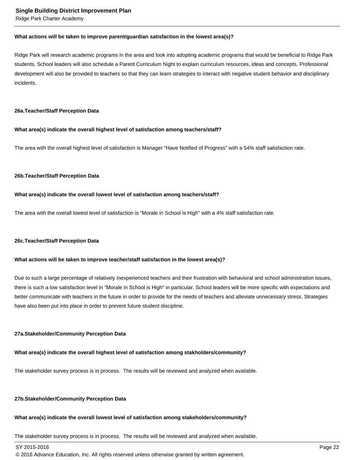Ridge Park Charter Academy

#### **What actions will be taken to improve parent/guardian satisfaction in the lowest area(s)?**

Ridge Park will research academic programs in the area and look into adopting academic programs that would be beneficial to Ridge Park students. School leaders will also schedule a Parent Curriculum Night to explain curriculum resources, ideas and concepts. Professional development will also be provided to teachers so that they can learn strategies to interact with negative student behavior and disciplinary incidents.

#### **26a. Teacher/Staff Perception Data**

#### **What area(s) indicate the overall highest level of satisfaction among teachers/staff?**

The area with the overall highest level of satisfaction is Manager "Have Notified of Progress" with a 54% staff satisfaction rate.

#### **26b. Teacher/Staff Perception Data**

#### **What area(s) indicate the overall lowest level of satisfaction among teachers/staff?**

The area with the overall lowest level of satisfaction is "Morale in School is High" with a 4% staff satisfaction rate.

#### **26c. Teacher/Staff Perception Data**

#### **What actions will be taken to improve teacher/staff satisfaction in the lowest area(s)?**

Due to such a large percentage of relatively inexperienced teachers and their frustration with behavioral and school administration issues, there is such a low satisfaction level in "Morale in School is High" in particular. School leaders will be more specific with expectations and better communicate with teachers in the future in order to provide for the needs of teachers and alleviate unnecessary stress. Strategies have also been put into place in order to prevent future student discipline.

#### **27a. Stakeholder/Community Perception Data**

#### **What area(s) indicate the overall highest level of satisfaction among stakholders/community?**

The stakeholder survey process is in process. The results will be reviewed and analyzed when available.

#### **27b. Stakeholder/Community Perception Data**

#### **What area(s) indicate the overall lowest level of satisfaction among stakeholders/community?**

The stakeholder survey process is in process. The results will be reviewed and analyzed when available.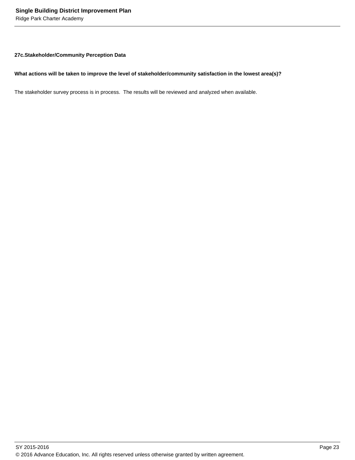Ridge Park Charter Academy

#### **27c. Stakeholder/Community Perception Data**

#### **What actions will be taken to improve the level of stakeholder/community satisfaction in the lowest area(s)?**

The stakeholder survey process is in process. The results will be reviewed and analyzed when available.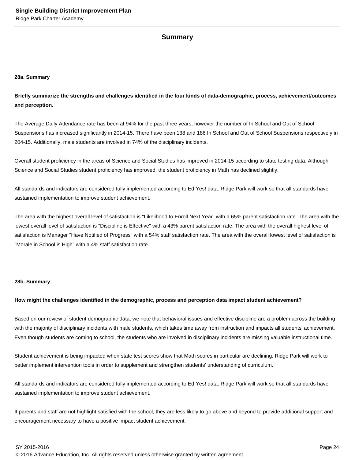#### **Summary**

#### **28a. Summary**

**Briefly summarize the strengths and challenges identified in the four kinds of data-demographic, process, achievement/outcomes and perception.**

The Average Daily Attendance rate has been at 94% for the past three years, however the number of In School and Out of School Suspensions has increased significantly in 2014-15. There have been 138 and 186 In School and Out of School Suspensions respectively in 204-15. Additionally, male students are involved in 74% of the disciplinary incidents.

Overall student proficiency in the areas of Science and Social Studies has improved in 2014-15 according to state testing data. Although Science and Social Studies student proficiency has improved, the student proficiency in Math has declined slightly.

All standards and indicators are considered fully implemented according to Ed Yes! data. Ridge Park will work so that all standards have sustained implementation to improve student achievement.

The area with the highest overall level of satisfaction is "Likelihood to Enroll Next Year" with a 65% parent satisfaction rate. The area with the lowest overall level of satisfaction is "Discipline is Effective" with a 43% parent satisfaction rate. The area with the overall highest level of satisfaction is Manager "Have Notified of Progress" with a 54% staff satisfaction rate. The area with the overall lowest level of satisfaction is "Morale in School is High" with a 4% staff satisfaction rate.

#### **28b. Summary**

#### **How might the challenges identified in the demographic, process and perception data impact student achievement?**

Based on our review of student demographic data, we note that behavioral issues and effective discipline are a problem across the building with the majority of disciplinary incidents with male students, which takes time away from instruction and impacts all students' achievement. Even though students are coming to school, the students who are involved in disciplinary incidents are missing valuable instructional time.

Student achievement is being impacted when state test scores show that Math scores in particular are declining. Ridge Park will work to better implement intervention tools in order to supplement and strengthen students' understanding of curriculum.

All standards and indicators are considered fully implemented according to Ed Yes! data. Ridge Park will work so that all standards have sustained implementation to improve student achievement.

If parents and staff are not highlight satisfied with the school, they are less likely to go above and beyond to provide additional support and encouragement necessary to have a positive impact student achievement.

SY 2015-2016 Page 24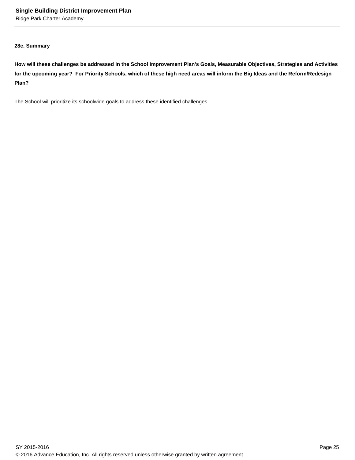Ridge Park Charter Academy

#### **28c. Summary**

**How will these challenges be addressed in the School Improvement Plan's Goals, Measurable Objectives, Strategies and Activities for the upcoming year? For Priority Schools, which of these high need areas will inform the Big Ideas and the Reform/Redesign Plan?**

The School will prioritize its schoolwide goals to address these identified challenges.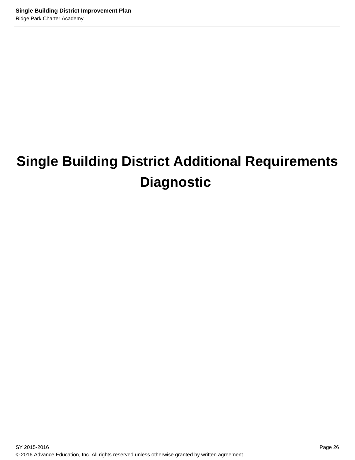# **Single Building District Additional Requirements Diagnostic**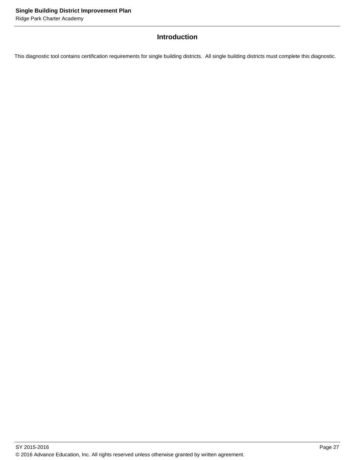## **Introduction**

This diagnostic tool contains certification requirements for single building districts. All single building districts must complete this diagnostic.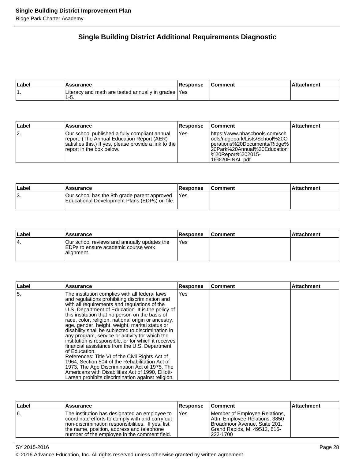## **Single Building District Additional Requirements Diagnostic**

| ∣Label | <b>Assurance</b>                                            | <b>Response</b> | Comment | Attachment |
|--------|-------------------------------------------------------------|-----------------|---------|------------|
|        | Literacy and math are tested annually in grades  Yes<br>ט-י |                 |         |            |

| Label | Assurance                                                                                                                                                                        | <b>Response</b> | ∣Comment∶                                                                                                                                                                     | Attachment |
|-------|----------------------------------------------------------------------------------------------------------------------------------------------------------------------------------|-----------------|-------------------------------------------------------------------------------------------------------------------------------------------------------------------------------|------------|
| 12.   | Our school published a fully compliant annual<br>report. (The Annual Education Report (AER)<br>satisfies this.) If yes, please provide a link to the<br>report in the box below. | 'Yes            | https://www.nhaschools.com/sch<br>lools/ridgepark/Lists/School%20O<br> perations%20Documents/Ridge%  <br>l20Park%20Annual%20Education<br>l%20Report%202015-<br>16%20FINAL.pdf |            |

| ∣Label | Assurance                                                                                     | <b>Response</b> | <b>Comment</b> | ∣Attachment |
|--------|-----------------------------------------------------------------------------------------------|-----------------|----------------|-------------|
| ιυ.    | Our school has the 8th grade parent approved<br>Educational Development Plans (EDPs) on file. | <b>IYes</b>     |                |             |

| ∣Label | Assurance                                                                                         | <b>Response</b> | <b>Comment</b> | <b>Attachment</b> |
|--------|---------------------------------------------------------------------------------------------------|-----------------|----------------|-------------------|
| ١4.    | Our school reviews and annually updates the<br>EDPs to ensure academic course work<br>lalignment. | 'Yes            |                |                   |

| Label | <b>Assurance</b>                                                                                                                                                                                                                                                                                                                                                                                                                                                                                                                                                                                                                                                                                                                                                                                                                                                     | <b>Response</b> | ∣Comment | <b>Attachment</b> |
|-------|----------------------------------------------------------------------------------------------------------------------------------------------------------------------------------------------------------------------------------------------------------------------------------------------------------------------------------------------------------------------------------------------------------------------------------------------------------------------------------------------------------------------------------------------------------------------------------------------------------------------------------------------------------------------------------------------------------------------------------------------------------------------------------------------------------------------------------------------------------------------|-----------------|----------|-------------------|
| 55.   | The institution complies with all federal laws<br>and regulations prohibiting discrimination and<br>with all requirements and regulations of the<br>U.S. Department of Education. It is the policy of<br>this institution that no person on the basis of<br>race, color, religion, national origin or ancestry,<br>age, gender, height, weight, marital status or<br>disability shall be subjected to discrimination in<br>any program, service or activity for which the<br>institution is responsible, or for which it receives<br>financial assistance from the U.S. Department<br>lof Education.<br>References: Title VI of the Civil Rights Act of<br>1964, Section 504 of the Rehabilitation Act of<br>1973, The Age Discrimination Act of 1975, The<br>Americans with Disabilities Act of 1990, Elliott-<br>Larsen prohibits discrimination against religion. | Yes             |          |                   |

| Label | <b>Assurance</b>                                                                                                                                                                                                                                     | <b>Response</b> | <b>Comment</b>                                                                                                                               | <b>Attachment</b> |
|-------|------------------------------------------------------------------------------------------------------------------------------------------------------------------------------------------------------------------------------------------------------|-----------------|----------------------------------------------------------------------------------------------------------------------------------------------|-------------------|
| 6.    | The institution has designated an employee to<br>coordinate efforts to comply with and carry out<br>Inon-discrimination responsibilities. If yes, list<br>the name, position, address and telephone<br>Inumber of the employee in the comment field. | Yes             | Member of Employee Relations,<br>Attn: Employee Relations, 3850<br>Broadmoor Avenue, Suite 201,<br>Grand Rapids, MI 49512, 616-<br>1222-1700 |                   |

### SY 2015-2016 Page 28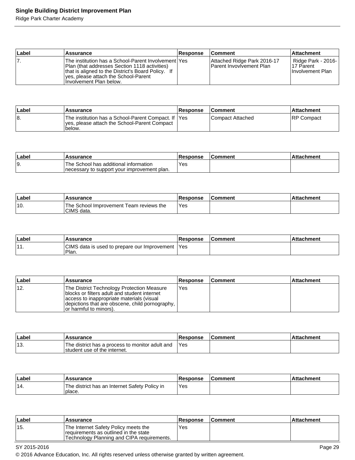## **Single Building District Improvement Plan**

Ridge Park Charter Academy

| Label | Assurance                                                                                                                                                                                                                       | <b>Response</b> | <b>Comment</b>                                                 | <b>Attachment</b>                                            |
|-------|---------------------------------------------------------------------------------------------------------------------------------------------------------------------------------------------------------------------------------|-----------------|----------------------------------------------------------------|--------------------------------------------------------------|
| 7.    | The institution has a School-Parent Involvement lYes<br>Plan (that addresses Section 1118 activities)<br>that is aligned to the District's Board Policy. If<br>Ives, please attach the School-Parent<br>Involvement Plan below. |                 | Attached Ridge Park 2016-17<br><b>Parent Invovivement Plan</b> | Ridge Park - 2016-<br>117 Parent<br><b>Ilnvolvement Plan</b> |

| <b>∣Label</b> | 'Assurance                                                                                                      | <b>Response</b> | <b>Comment</b>     | ∣Attachment |
|---------------|-----------------------------------------------------------------------------------------------------------------|-----------------|--------------------|-------------|
| 18.           | The institution has a School-Parent Compact. If  Yes<br>ves, please attach the School-Parent Compact<br>'below. |                 | l Compact Attached | IRP Compact |

| ∣Labe | Assurance                                                                             | Response   | ⊺Comment | ttachment |
|-------|---------------------------------------------------------------------------------------|------------|----------|-----------|
| 19.   | The School has additional information<br>Inecessary to support your improvement plan. | <b>Yes</b> |          |           |

| Labe | <b>Assurance</b>                                      | Response | ∣Comment | <b>Attachment</b> |
|------|-------------------------------------------------------|----------|----------|-------------------|
| '10. | The School Improvement Team reviews the<br>CIMS data. | Yes      |          |                   |

| Label               | Assurance                                               | <b>Response</b> | <b>Comment</b> | chment<br>∴∆tta |
|---------------------|---------------------------------------------------------|-----------------|----------------|-----------------|
| $\overline{A}$<br>. | CIMS data is used to prepare our Improvement 1<br>Plan. | 'Yes            |                |                 |

| ∣Label | Assurance                                                                                                                                                                                                               | <b>Response</b> | <b>Comment</b> | <b>Attachment</b> |
|--------|-------------------------------------------------------------------------------------------------------------------------------------------------------------------------------------------------------------------------|-----------------|----------------|-------------------|
| ່ 12.  | The District Technology Protection Measure<br>Iblocks or filters adult and student internet<br>access to inappropriate materials (visual<br>depictions that are obscene, child pornography,  <br>or harmful to minors). | Yes             |                |                   |

| Labe | <b>Assurance</b>                                                                | <b>Response</b> | <b>Comment</b> | <b>Attachment</b> |
|------|---------------------------------------------------------------------------------|-----------------|----------------|-------------------|
| ็13. | The district has a process to monitor adult and<br>student use of the internet. | 'Yes            |                |                   |

| ∣Label | <b>Assurance</b>                                        | <b>Response</b> | l Comment | <b>Attachment</b> |
|--------|---------------------------------------------------------|-----------------|-----------|-------------------|
| '14.   | The district has an Internet Safety Policy in<br>place. | Yes             |           |                   |

| <b>Label</b> | <b>Assurance</b>                                                                                                             | <b>Response</b> | ∣Comment | l Attachment |
|--------------|------------------------------------------------------------------------------------------------------------------------------|-----------------|----------|--------------|
| '15.         | 'The Internet Safety Policy meets the<br>requirements as outlined in the state<br>Technology Planning and CIPA requirements. | Yes             |          |              |

SY 2015-2016 Page 29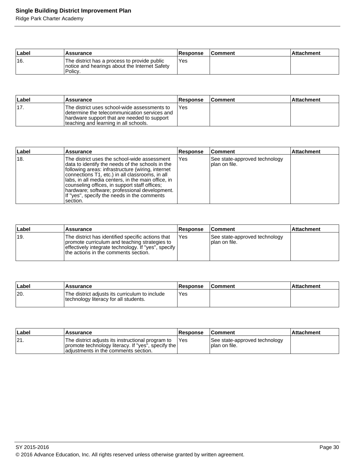## **Single Building District Improvement Plan**

Ridge Park Charter Academy

| Label | <b>Assurance</b>                                                                                         | Response | <b>Comment</b> | l Attachment |
|-------|----------------------------------------------------------------------------------------------------------|----------|----------------|--------------|
| 16.   | The district has a process to provide public<br>notice and hearings about the Internet Safety<br>Policy. | Yes      |                |              |

| <b>Label</b> | Assurance                                                                                                                                                                             | <b>Response</b> | <b>Comment</b> | ∣Attachment |
|--------------|---------------------------------------------------------------------------------------------------------------------------------------------------------------------------------------|-----------------|----------------|-------------|
| '17.         | The district uses school-wide assessments to<br>Idetermine the telecommunication services and<br>hardware support that are needed to support<br>teaching and learning in all schools. | Yes             |                |             |

| Label          | <b>Assurance</b>                                                                                                                                                                                                                                                                                                                                                                                                              | <b>Response</b> | <b>Comment</b>                                  | <b>Attachment</b> |
|----------------|-------------------------------------------------------------------------------------------------------------------------------------------------------------------------------------------------------------------------------------------------------------------------------------------------------------------------------------------------------------------------------------------------------------------------------|-----------------|-------------------------------------------------|-------------------|
| <sup>18.</sup> | The district uses the school-wide assessment<br>data to identify the needs of the schools in the<br>following areas: infrastructure (wiring, internet<br>connections T1, etc.) in all classrooms, in all<br>Ilabs, in all media centers, in the main office, in<br>counseling offices, in support staff offices;<br>Ihardware; software; professional development.<br>If "yes", specify the needs in the comments<br>section. | Yes             | See state-approved technology<br>Iplan on file. |                   |

| ∣Label | Assurance                                                                                                                                                                                           | Response | <b>Comment</b>                                   | <b>Attachment</b> |
|--------|-----------------------------------------------------------------------------------------------------------------------------------------------------------------------------------------------------|----------|--------------------------------------------------|-------------------|
| ±19.   | The district has identified specific actions that<br>promote curriculum and teaching strategies to<br>effectively integrate technology. If "yes", specify I<br>the actions in the comments section. | Yes      | See state-approved technology<br>I plan on file. |                   |

| ∣Label | Assurance                                                                               | Response | <b>Comment</b> | Attachment |
|--------|-----------------------------------------------------------------------------------------|----------|----------------|------------|
| 20.    | The district adjusts its curriculum to include<br>technology literacy for all students. | Yes      |                |            |

| ∣Label | <b>Assurance</b>                                                                                                                                | <b>Response</b> | <b>Comment</b>                                  | ∣Attachment |
|--------|-------------------------------------------------------------------------------------------------------------------------------------------------|-----------------|-------------------------------------------------|-------------|
| 121.   | The district adjusts its instructional program to<br>promote technology literacy. If "yes", specify the<br>adiustments in the comments section. | <b>IYes</b>     | See state-approved technology<br>Iplan on file. |             |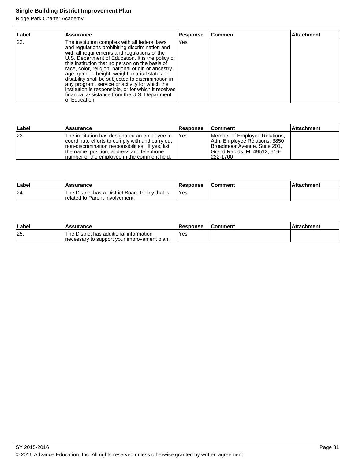## **Single Building District Improvement Plan**

Ridge Park Charter Academy

| Label | <b>Assurance</b>                                                                                                                                                                                                                                                                                                                                                                                                                                                                                                                                                                                    | <b>Response</b> | Comment | <b>Attachment</b> |
|-------|-----------------------------------------------------------------------------------------------------------------------------------------------------------------------------------------------------------------------------------------------------------------------------------------------------------------------------------------------------------------------------------------------------------------------------------------------------------------------------------------------------------------------------------------------------------------------------------------------------|-----------------|---------|-------------------|
| 22.   | The institution complies with all federal laws<br>and regulations prohibiting discrimination and<br>with all requirements and regulations of the<br>U.S. Department of Education. It is the policy of<br>this institution that no person on the basis of<br>race, color, religion, national origin or ancestry,<br>age, gender, height, weight, marital status or<br>disability shall be subjected to discrimination in<br>any program, service or activity for which the<br>institution is responsible, or for which it receives<br>financial assistance from the U.S. Department<br>of Education. | Yes             |         |                   |

| ∣Label | <b>Assurance</b>                                                                                                                                                                                                                                     | <b>Response</b> | <b>Comment</b>                                                                                                                              | ∣Attachment |
|--------|------------------------------------------------------------------------------------------------------------------------------------------------------------------------------------------------------------------------------------------------------|-----------------|---------------------------------------------------------------------------------------------------------------------------------------------|-------------|
| 23.    | The institution has designated an employee to<br>coordinate efforts to comply with and carry out<br>Inon-discrimination responsibilities. If yes, list<br>the name, position, address and telephone<br>Inumber of the employee in the comment field. | <b>IYes</b>     | Member of Employee Relations,<br>Attn: Employee Relations, 3850<br>Broadmoor Avenue, Suite 201,<br>Grand Rapids, MI 49512, 616-<br>222-1700 |             |

| Label | <b>Assurance</b>                                                                           | Response | <b>Comment</b> | ⊺Attachment |
|-------|--------------------------------------------------------------------------------------------|----------|----------------|-------------|
| 24    | The District has a District Board Policy that is<br><b>Irelated to Parent Involvement.</b> | 'Yes     |                |             |

| ∣Label | <b>Assurance</b>                                                                         | <b>Response</b> | <b>IComment</b> | <b>Attachment</b> |
|--------|------------------------------------------------------------------------------------------|-----------------|-----------------|-------------------|
| 25.    | 'The District has additional information<br>Inecessary to support your improvement plan. | `Yes            |                 |                   |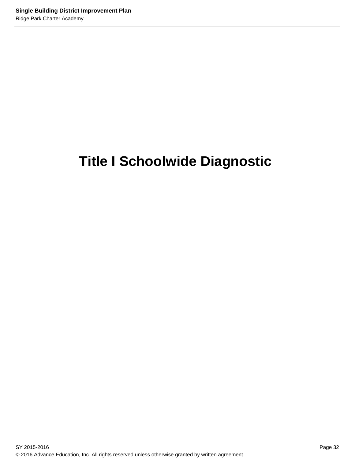# **Title I Schoolwide Diagnostic**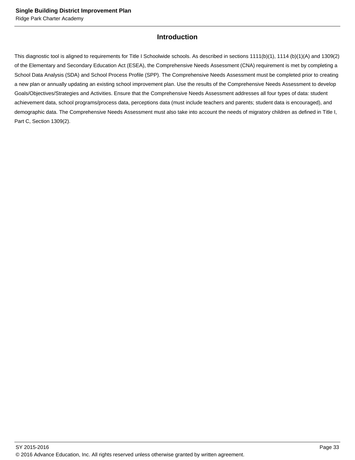## **Introduction**

This diagnostic tool is aligned to requirements for Title I Schoolwide schools. As described in sections 1111(b)(1), 1114 (b)(1)(A) and 1309(2) of the Elementary and Secondary Education Act (ESEA), the Comprehensive Needs Assessment (CNA) requirement is met by completing a School Data Analysis (SDA) and School Process Profile (SPP). The Comprehensive Needs Assessment must be completed prior to creating a new plan or annually updating an existing school improvement plan. Use the results of the Comprehensive Needs Assessment to develop Goals/Objectives/Strategies and Activities. Ensure that the Comprehensive Needs Assessment addresses all four types of data: student achievement data, school programs/process data, perceptions data (must include teachers and parents; student data is encouraged), and demographic data. The Comprehensive Needs Assessment must also take into account the needs of migratory children as defined in Title I, Part C, Section 1309(2).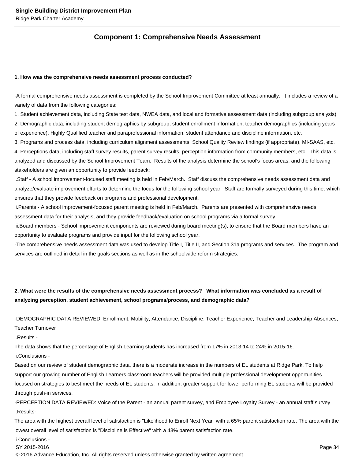## **Component 1: Comprehensive Needs Assessment**

#### **1. How was the comprehensive needs assessment process conducted?**

- A formal comprehensive needs assessment is completed by the School Improvement Committee at least annually. It includes a review of a variety of data from the following categories:

1. Student achievement data, including State test data, NWEA data, and local and formative assessment data (including subgroup analysis) 2. Demographic data, including student demographics by subgroup, student enrollment information, teacher demographics (including years of experience), Highly Qualified teacher and paraprofessional information, student attendance and discipline information, etc.

3. Programs and process data, including curriculum alignment assessments, School Quality Review findings (if appropriate), MI-SAAS, etc. 4. Perceptions data, including staff survey results, parent survey results, perception information from community members, etc. This data is analyzed and discussed by the School Improvement Team. Results of the analysis determine the school's focus areas, and the following stakeholders are given an opportunity to provide feedback:

i. Staff - A school improvement-focused staff meeting is held in Feb/March. Staff discuss the comprehensive needs assessment data and analyze/evaluate improvement efforts to determine the focus for the following school year. Staff are formally surveyed during this time, which ensures that they provide feedback on programs and professional development.

ii. Parents - A school improvement-focused parent meeting is held in Feb/March. Parents are presented with comprehensive needs assessment data for their analysis, and they provide feedback/evaluation on school programs via a formal survey.

iii. Board members - School improvement components are reviewed during board meeting(s), to ensure that the Board members have an opportunity to evaluate programs and provide input for the following school year.

- The comprehensive needs assessment data was used to develop Title I, Title II, and Section 31a programs and services. The program and services are outlined in detail in the goals sections as well as in the schoolwide reform strategies.

## **2. What were the results of the comprehensive needs assessment process? What information was concluded as a result of analyzing perception, student achievement, school programs/process, and demographic data?**

- DEMOGRAPHIC DATA REVIEWED: Enrollment, Mobility, Attendance, Discipline, Teacher Experience, Teacher and Leadership Absences,

Teacher Turnover

i. Results -

The data shows that the percentage of English Learning students has increased from 17% in 2013-14 to 24% in 2015-16.

ii. Conclusions -

Based on our review of student demographic data, there is a moderate increase in the numbers of EL students at Ridge Park. To help support our growing number of English Learners classroom teachers will be provided multiple professional development opportunities focused on strategies to best meet the needs of EL students. In addition, greater support for lower performing EL students will be provided through push-in services.

- PERCEPTION DATA REVIEWED: Voice of the Parent - an annual parent survey, and Employee Loyalty Survey - an annual staff survey i. Results-

The area with the highest overall level of satisfaction is "Likelihood to Enroll Next Year" with a 65% parent satisfaction rate. The area with the lowest overall level of satisfaction is "Discipline is Effective" with a 43% parent satisfaction rate.

ii. Conclusions -

SY 2015-2016 Page 34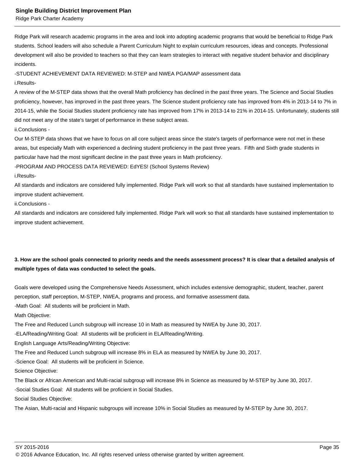Ridge Park Charter Academy

Ridge Park will research academic programs in the area and look into adopting academic programs that would be beneficial to Ridge Park students. School leaders will also schedule a Parent Curriculum Night to explain curriculum resources, ideas and concepts. Professional development will also be provided to teachers so that they can learn strategies to interact with negative student behavior and disciplinary incidents.

- STUDENT ACHIEVEMENT DATA REVIEWED: M-STEP and NWEA PGA/MAP assessment data

i. Results-

A review of the M-STEP data shows that the overall Math proficiency has declined in the past three years. The Science and Social Studies proficiency, however, has improved in the past three years. The Science student proficiency rate has improved from 4% in 2013-14 to 7% in 2014-15, while the Social Studies student proficiency rate has improved from 17% in 2013-14 to 21% in 2014-15. Unfortunately, students still did not meet any of the state's target of performance in these subject areas.

ii. Conclusions -

Our M-STEP data shows that we have to focus on all core subject areas since the state's targets of performance were not met in these areas, but especially Math with experienced a declining student proficiency in the past three years. Fifth and Sixth grade students in particular have had the most significant decline in the past three years in Math proficiency.

- PROGRAM AND PROCESS DATA REVIEWED: EdYES! (School Systems Review)

i. Results-

All standards and indicators are considered fully implemented. Ridge Park will work so that all standards have sustained implementation to improve student achievement.

ii. Conclusions -

All standards and indicators are considered fully implemented. Ridge Park will work so that all standards have sustained implementation to improve student achievement.

## **3. How are the school goals connected to priority needs and the needs assessment process? It is clear that a detailed analysis of multiple types of data was conducted to select the goals.**

Goals were developed using the Comprehensive Needs Assessment, which includes extensive demographic, student, teacher, parent perception, staff perception, M-STEP, NWEA, programs and process, and formative assessment data.

- Math Goal: All students will be proficient in Math.

Math Objective:

The Free and Reduced Lunch subgroup will increase 10 in Math as measured by NWEA by June 30, 2017.

- ELA/Reading/Writing Goal: All students will be proficient in ELA/Reading/Writing.

English Language Arts/Reading/Writing Objective:

The Free and Reduced Lunch subgroup will increase 8% in ELA as measured by NWEA by June 30, 2017.

- Science Goal: All students will be proficient in Science.

Science Objective:

The Black or African American and Multi-racial subgroup will increase 8% in Science as measured by M-STEP by June 30, 2017.

- Social Studies Goal: All students will be proficient in Social Studies.

Social Studies Objective:

The Asian, Multi-racial and Hispanic subgroups will increase 10% in Social Studies as measured by M-STEP by June 30, 2017.

SY 2015-2016 Page 35

<sup>© 2016</sup> Advance Education, Inc. All rights reserved unless otherwise granted by written agreement.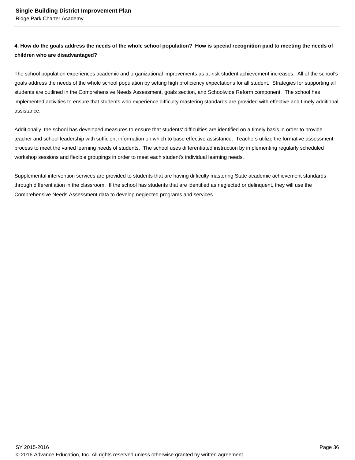## **4. How do the goals address the needs of the whole school population? How is special recognition paid to meeting the needs of children who are disadvantaged?**

The school population experiences academic and organizational improvements as at-risk student achievement increases. All of the school's goals address the needs of the whole school population by setting high proficiency expectations for all student. Strategies for supporting all students are outlined in the Comprehensive Needs Assessment, goals section, and Schoolwide Reform component. The school has implemented activities to ensure that students who experience difficulty mastering standards are provided with effective and timely additional assistance.

Additionally, the school has developed measures to ensure that students' difficulties are identified on a timely basis in order to provide teacher and school leadership with sufficient information on which to base effective assistance. Teachers utilize the formative assessment process to meet the varied learning needs of students. The school uses differentiated instruction by implementing regularly scheduled workshop sessions and flexible groupings in order to meet each student's individual learning needs.

Supplemental intervention services are provided to students that are having difficulty mastering State academic achievement standards through differentiation in the classroom. If the school has students that are identified as neglected or delinquent, they will use the Comprehensive Needs Assessment data to develop neglected programs and services.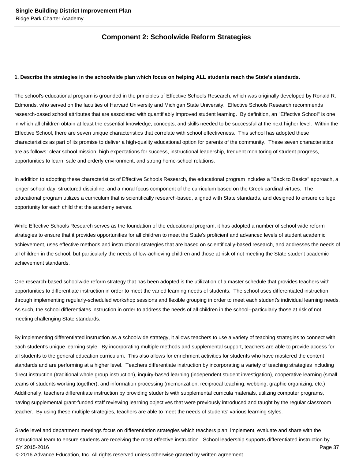## **Component 2: Schoolwide Reform Strategies**

#### **1. Describe the strategies in the schoolwide plan which focus on helping ALL students reach the State's standards.**

The school's educational program is grounded in the principles of Effective Schools Research, which was originally developed by Ronald R. Edmonds, who served on the faculties of Harvard University and Michigan State University. Effective Schools Research recommends research-based school attributes that are associated with quantifiably improved student learning. By definition, an "Effective School" is one in which all children obtain at least the essential knowledge, concepts, and skills needed to be successful at the next higher level. Within the Effective School, there are seven unique characteristics that correlate with school effectiveness. This school has adopted these characteristics as part of its promise to deliver a high-quality educational option for parents of the community. These seven characteristics are as follows: clear school mission, high expectations for success, instructional leadership, frequent monitoring of student progress, opportunities to learn, safe and orderly environment, and strong home-school relations.

In addition to adopting these characteristics of Effective Schools Research, the educational program includes a "Back to Basics" approach, a longer school day, structured discipline, and a moral focus component of the curriculum based on the Greek cardinal virtues. The educational program utilizes a curriculum that is scientifically research-based, aligned with State standards, and designed to ensure college opportunity for each child that the academy serves.

While Effective Schools Research serves as the foundation of the educational program, it has adopted a number of school wide reform strategies to ensure that it provides opportunities for all children to meet the State's proficient and advanced levels of student academic achievement, uses effective methods and instructional strategies that are based on scientifically-based research, and addresses the needs of all children in the school, but particularly the needs of low-achieving children and those at risk of not meeting the State student academic achievement standards.

One research-based schoolwide reform strategy that has been adopted is the utilization of a master schedule that provides teachers with opportunities to differentiate instruction in order to meet the varied learning needs of students. The school uses differentiated instruction through implementing regularly-scheduled workshop sessions and flexible grouping in order to meet each student's individual learning needs. As such, the school differentiates instruction in order to address the needs of all children in the school--particularly those at risk of not meeting challenging State standards.

By implementing differentiated instruction as a schoolwide strategy, it allows teachers to use a variety of teaching strategies to connect with each student's unique learning style. By incorporating multiple methods and supplemental support, teachers are able to provide access for all students to the general education curriculum. This also allows for enrichment activities for students who have mastered the content standards and are performing at a higher level. Teachers differentiate instruction by incorporating a variety of teaching strategies including direct instruction (traditional whole group instruction), inquiry-based learning (independent student investigation), cooperative learning (small teams of students working together), and information processing (memorization, reciprocal teaching, webbing, graphic organizing, etc.) Additionally, teachers differentiate instruction by providing students with supplemental curricula materials, utilizing computer programs, having supplemental grant-funded staff reviewing learning objectives that were previously introduced and taught by the regular classroom teacher. By using these multiple strategies, teachers are able to meet the needs of students' various learning styles.

Grade level and department meetings focus on differentiation strategies which teachers plan, implement, evaluate and share with the instructional team to ensure students are receiving the most effective instruction. School leadership supports differentiated instruction by SY 2015-2016 Page 37 © 2016 Advance Education, Inc. All rights reserved unless otherwise granted by written agreement.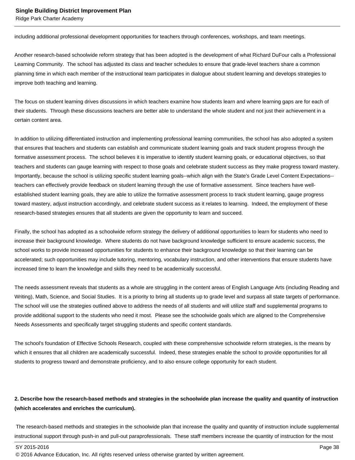including additional professional development opportunities for teachers through conferences, workshops, and team meetings.

Another research-based schoolwide reform strategy that has been adopted is the development of what Richard DuFour calls a Professional Learning Community. The school has adjusted its class and teacher schedules to ensure that grade-level teachers share a common planning time in which each member of the instructional team participates in dialogue about student learning and develops strategies to improve both teaching and learning.

The focus on student learning drives discussions in which teachers examine how students learn and where learning gaps are for each of their students. Through these discussions teachers are better able to understand the whole student and not just their achievement in a certain content area.

In addition to utilizing differentiated instruction and implementing professional learning communities, the school has also adopted a system that ensures that teachers and students can establish and communicate student learning goals and track student progress through the formative assessment process. The school believes it is imperative to identify student learning goals, or educational objectives, so that teachers and students can gauge learning with respect to those goals and celebrate student success as they make progress toward mastery. Importantly, because the school is utilizing specific student learning goals--which align with the State's Grade Level Content Expectations- teachers can effectively provide feedback on student learning through the use of formative assessment. Since teachers have wellestablished student learning goals, they are able to utilize the formative assessment process to track student learning, gauge progress toward mastery, adjust instruction accordingly, and celebrate student success as it relates to learning. Indeed, the employment of these research-based strategies ensures that all students are given the opportunity to learn and succeed.

Finally, the school has adopted as a schoolwide reform strategy the delivery of additional opportunities to learn for students who need to increase their background knowledge. Where students do not have background knowledge sufficient to ensure academic success, the school works to provide increased opportunities for students to enhance their background knowledge so that their learning can be accelerated; such opportunities may include tutoring, mentoring, vocabulary instruction, and other interventions that ensure students have increased time to learn the knowledge and skills they need to be academically successful.

The needs assessment reveals that students as a whole are struggling in the content areas of English Language Arts (including Reading and Writing), Math, Science, and Social Studies. It is a priority to bring all students up to grade level and surpass all state targets of performance. The school will use the strategies outlined above to address the needs of all students and will utilize staff and supplemental programs to provide additional support to the students who need it most. Please see the schoolwide goals which are aligned to the Comprehensive Needs Assessments and specifically target struggling students and specific content standards.

The school's foundation of Effective Schools Research, coupled with these comprehensive schoolwide reform strategies, is the means by which it ensures that all children are academically successful. Indeed, these strategies enable the school to provide opportunities for all students to progress toward and demonstrate proficiency, and to also ensure college opportunity for each student.

## **2. Describe how the research-based methods and strategies in the schoolwide plan increase the quality and quantity of instruction (which accelerates and enriches the curriculum).**

 The research-based methods and strategies in the schoolwide plan that increase the quality and quantity of instruction include supplemental instructional support through push-in and pull-out paraprofessionals. These staff members increase the quantity of instruction for the most

<sup>© 2016</sup> Advance Education, Inc. All rights reserved unless otherwise granted by written agreement.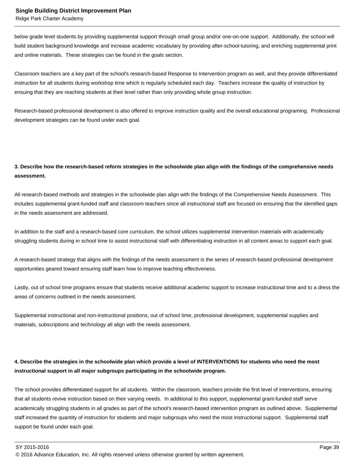below grade level students by providing supplemental support through small group and/or one-on-one support. Additionally, the school will build student background knowledge and increase academic vocabulary by providing after-school-tutoring, and enriching supplemental print and online materials. These strategies can be found in the goals section.

Classroom teachers are a key part of the school's research-based Response to Intervention program as well, and they provide differentiated instruction for all students during workshop time which is regularly scheduled each day. Teachers increase the quality of instruction by ensuing that they are reaching students at their level rather than only providing whole group instruction.

Research-based professional development is also offered to improve instruction quality and the overall educational programing. Professional development strategies can be found under each goal.

## **3. Describe how the research-based reform strategies in the schoolwide plan align with the findings of the comprehensive needs assessment.**

All research-based methods and strategies in the schoolwide plan align with the findings of the Comprehensive Needs Assessment. This includes supplemental grant-funded staff and classroom teachers since all instructional staff are focused on ensuring that the identified gaps in the needs assessment are addressed.

In addition to the staff and a research-based core curriculum, the school utilizes supplemental intervention materials with academically struggling students during in school time to assist instructional staff with differentiating instruction in all content areas to support each goal.

A research-based strategy that aligns with the findings of the needs assessment is the series of research-based professional development opportunities geared toward ensuring staff learn how to improve teaching effectiveness.

Lastly, out of school time programs ensure that students receive additional academic support to increase instructional time and to a dress the areas of concerns outlined in the needs assessment.

Supplemental instructional and non-instructional positions, out of school time, professional development, supplemental supplies and materials, subscriptions and technology all align with the needs assessment.

## **4. Describe the strategies in the schoolwide plan which provide a level of INTERVENTIONS for students who need the most instructional support in all major subgroups participating in the schoolwide program.**

The school provides differentiated support for all students. Within the classroom, teachers provide the first level of interventions, ensuring that all students revive instruction based on their varying needs. In additional to this support, supplemental grant-funded staff serve academically struggling students in all grades as part of the school's research-based intervention program as outlined above. Supplemental staff increased the quantity of instruction for students and major subgroups who need the most instructional support. Supplemental staff support be found under each goal.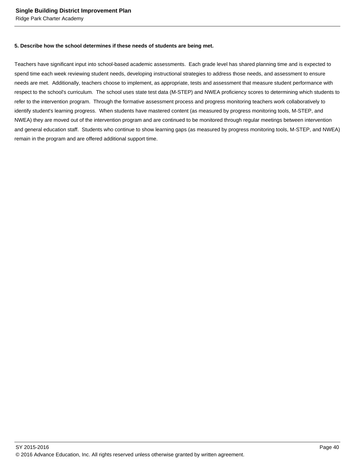#### **5. Describe how the school determines if these needs of students are being met.**

Teachers have significant input into school-based academic assessments. Each grade level has shared planning time and is expected to spend time each week reviewing student needs, developing instructional strategies to address those needs, and assessment to ensure needs are met. Additionally, teachers choose to implement, as appropriate, tests and assessment that measure student performance with respect to the school's curriculum. The school uses state test data (M-STEP) and NWEA proficiency scores to determining which students to refer to the intervention program. Through the formative assessment process and progress monitoring teachers work collaboratively to identify student's learning progress. When students have mastered content (as measured by progress monitoring tools, M-STEP, and NWEA) they are moved out of the intervention program and are continued to be monitored through regular meetings between intervention and general education staff. Students who continue to show learning gaps (as measured by progress monitoring tools, M-STEP, and NWEA) remain in the program and are offered additional support time.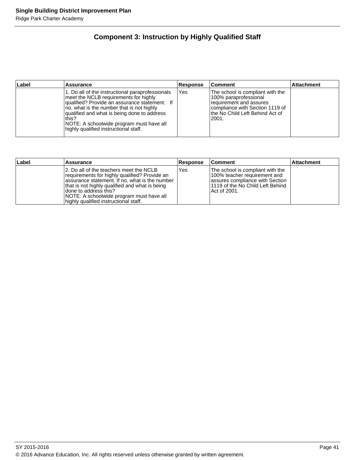## **Component 3: Instruction by Highly Qualified Staff**

| ∣Label | <b>Assurance</b>                                                                                                                                                                                                                                                                                                                     | Response | <b>Comment</b>                                                                                                                                                        | <b>Attachment</b> |
|--------|--------------------------------------------------------------------------------------------------------------------------------------------------------------------------------------------------------------------------------------------------------------------------------------------------------------------------------------|----------|-----------------------------------------------------------------------------------------------------------------------------------------------------------------------|-------------------|
|        | 1. Do all of the instructional paraprofessionals<br>meet the NCLB requirements for highly<br>qualified? Provide an assurance statement. If<br>no, what is the number that is not highly<br>qualified and what is being done to address<br>this?<br>NOTE: A schoolwide program must have all<br>highly qualified instructional staff. | Yes      | The school is compliant with the<br>100% paraprofessional<br>requirement and assures<br>compliance with Section 1119 of<br>lthe No Child Left Behind Act of<br>l2001. |                   |

| Label | Assurance                                                                                                                                                                                                                                                                                                    | Response | <b>Comment</b>                                                                                                                                             | ∣Attachment |
|-------|--------------------------------------------------------------------------------------------------------------------------------------------------------------------------------------------------------------------------------------------------------------------------------------------------------------|----------|------------------------------------------------------------------------------------------------------------------------------------------------------------|-------------|
|       | 12. Do all of the teachers meet the NCLB<br>requirements for highly qualified? Provide an<br>assurance statement. If no, what is the number<br>that is not highly qualified and what is being<br>Idone to address this?<br>NOTE: A schoolwide program must have all<br>highly qualified instructional staff. | Yes      | The school is compliant with the<br>100% teacher requirement and<br>assures compliance with Section<br>l1119 of the No Child Left Behind_<br>IAct of 2001. |             |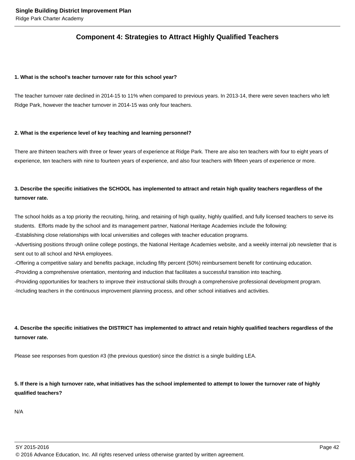## **Component 4: Strategies to Attract Highly Qualified Teachers**

#### **1. What is the school's teacher turnover rate for this school year?**

The teacher turnover rate declined in 2014-15 to 11% when compared to previous years. In 2013-14, there were seven teachers who left Ridge Park, however the teacher turnover in 2014-15 was only four teachers.

#### **2. What is the experience level of key teaching and learning personnel?**

There are thirteen teachers with three or fewer years of experience at Ridge Park. There are also ten teachers with four to eight years of experience, ten teachers with nine to fourteen years of experience, and also four teachers with fifteen years of experience or more.

## **3. Describe the specific initiatives the SCHOOL has implemented to attract and retain high quality teachers regardless of the turnover rate.**

The school holds as a top priority the recruiting, hiring, and retaining of high quality, highly qualified, and fully licensed teachers to serve its students. Efforts made by the school and its management partner, National Heritage Academies include the following:

- Establishing close relationships with local universities and colleges with teacher education programs.

- Advertising positions through online college postings, the National Heritage Academies website, and a weekly internal job newsletter that is sent out to all school and NHA employees.

- Offering a competitive salary and benefits package, including fifty percent (50%) reimbursement benefit for continuing education.

- Providing a comprehensive orientation, mentoring and induction that facilitates a successful transition into teaching.

- Providing opportunities for teachers to improve their instructional skills through a comprehensive professional development program.

- Including teachers in the continuous improvement planning process, and other school initiatives and activities.

## **4. Describe the specific initiatives the DISTRICT has implemented to attract and retain highly qualified teachers regardless of the turnover rate.**

Please see responses from question #3 (the previous question) since the district is a single building LEA.

## **5. If there is a high turnover rate, what initiatives has the school implemented to attempt to lower the turnover rate of highly qualified teachers?**

N/A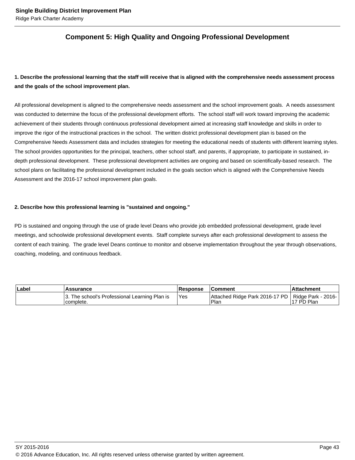## **Component 5: High Quality and Ongoing Professional Development**

## **1. Describe the professional learning that the staff will receive that is aligned with the comprehensive needs assessment process and the goals of the school improvement plan.**

All professional development is aligned to the comprehensive needs assessment and the school improvement goals. A needs assessment was conducted to determine the focus of the professional development efforts. The school staff will work toward improving the academic achievement of their students through continuous professional development aimed at increasing staff knowledge and skills in order to improve the rigor of the instructional practices in the school. The written district professional development plan is based on the Comprehensive Needs Assessment data and includes strategies for meeting the educational needs of students with different learning styles. The school provides opportunities for the principal, teachers, other school staff, and parents, if appropriate, to participate in sustained, indepth professional development. These professional development activities are ongoing and based on scientifically-based research. The school plans on facilitating the professional development included in the goals section which is aligned with the Comprehensive Needs Assessment and the 2016-17 school improvement plan goals.

#### **2. Describe how this professional learning is "sustained and ongoing."**

PD is sustained and ongoing through the use of grade level Deans who provide job embedded professional development, grade level meetings, and schoolwide professional development events. Staff complete surveys after each professional development to assess the content of each training. The grade level Deans continue to monitor and observe implementation throughout the year through observations, coaching, modeling, and continuous feedback.

| ∣Label | Assurance                                                   | <b>Response</b> | <b>Comment</b>                                               | l Attachment |  |
|--------|-------------------------------------------------------------|-----------------|--------------------------------------------------------------|--------------|--|
|        | 3. The school's Professional Learning Plan is<br>'complete. | Yes             | Attached Ridge Park 2016-17 PD   Ridge Park - 2016-<br>'Plar | 17 PD Plan   |  |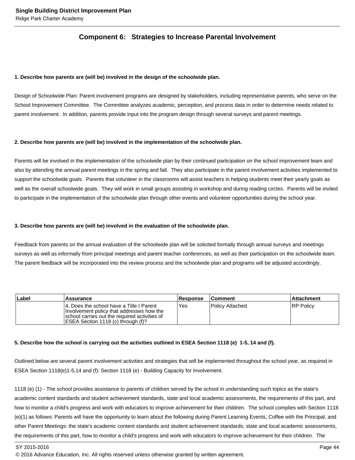## **Component 6: Strategies to Increase Parental Involvement**

#### **1. Describe how parents are (will be) involved in the design of the schoolwide plan.**

Design of Schoolwide Plan: Parent involvement programs are designed by stakeholders, including representative parents, who serve on the School Improvement Committee. The Committee analyzes academic, perception, and process data in order to determine needs related to parent involvement. In addition, parents provide input into the program design through several surveys and parent meetings.

#### **2. Describe how parents are (will be) involved in the implementation of the schoolwide plan.**

Parents will be involved in the implementation of the schoolwide plan by their continued participation on the school improvement team and also by attending the annual parent meetings in the spring and fall. They also participate in the parent involvement activities implemented to support the schoolwide goals. Parents that volunteer in the classrooms will assist teachers in helping students meet their yearly goals as well as the overall schoolwide goals. They will work in small groups assisting in workshop and during reading circles. Parents will be invited to participate in the implementation of the schoolwide plan through other events and volunteer opportunities during the school year.

#### **3. Describe how parents are (will be) involved in the evaluation of the schoolwide plan.**

Feedback from parents on the annual evaluation of the schoolwide plan will be solicited formally through annual surveys and meetings surveys as well as informally from principal meetings and parent teacher conferences, as well as their participation on the schoolwide team. The parent feedback will be incorporated into the review process and the schoolwide plan and programs will be adjusted accordingly.

| Label | Assurance                                                                                                                                                                      | <b>Response</b> | ∣Comment∶       | <b>Attachment</b> |
|-------|--------------------------------------------------------------------------------------------------------------------------------------------------------------------------------|-----------------|-----------------|-------------------|
|       | 14. Does the school have a Title I Parent<br>Involvement policy that addresses how the<br>school carries out the required activities of<br>IESEA Section 1118 (c) through (f)? | Yes             | Policy Attached | <b>RP Policy</b>  |

#### **5. Describe how the school is carrying out the activities outlined in ESEA Section 1118 (e) 1-5, 14 and (f).**

Outlined below are several parent involvement activities and strategies that will be implemented throughout the school year, as required in ESEA Section 1118(e)1-5,14 and (f): Section 1118 (e) - Building Capacity for Involvement.

1118 (e) (1) - The school provides assistance to parents of children served by the school in understanding such topics as the state's academic content standards and student achievement standards, state and local academic assessments, the requirements of this part, and how to monitor a child's progress and work with educators to improve achievement for their children. The school complies with Section 1118 (e)(1) as follows: Parents will have the opportunity to learn about the following during Parent Learning Events, Coffee with the Principal, and other Parent Meetings: the state's academic content standards and student achievement standards, state and local academic assessments, the requirements of this part, how to monitor a child's progress and work with educators to improve achievement for their children. The

SY 2015-2016 Page 44

<sup>© 2016</sup> Advance Education, Inc. All rights reserved unless otherwise granted by written agreement.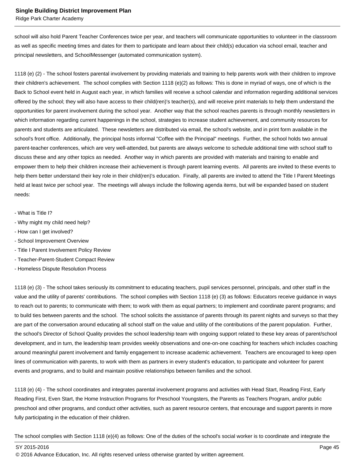Ridge Park Charter Academy

school will also hold Parent Teacher Conferences twice per year, and teachers will communicate opportunities to volunteer in the classroom as well as specific meeting times and dates for them to participate and learn about their child(s) education via school email, teacher and principal newsletters, and SchoolMessenger (automated communication system).

1118 (e) (2) - The school fosters parental involvement by providing materials and training to help parents work with their children to improve their children's achievement. The school complies with Section 1118 (e)(2) as follows: This is done in myriad of ways, one of which is the Back to School event held in August each year, in which families will receive a school calendar and information regarding additional services offered by the school; they will also have access to their child(ren)'s teacher(s), and will receive print materials to help them understand the opportunities for parent involvement during the school year. Another way that the school reaches parents is through monthly newsletters in which information regarding current happenings in the school, strategies to increase student achievement, and community resources for parents and students are articulated. These newsletters are distributed via email, the school's website, and in print form available in the school's front office. Additionally, the principal hosts informal "Coffee with the Principal" meetings. Further, the school holds two annual parent-teacher conferences, which are very well-attended, but parents are always welcome to schedule additional time with school staff to discuss these and any other topics as needed. Another way in which parents are provided with materials and training to enable and empower them to help their children increase their achievement is through parent learning events. All parents are invited to these events to help them better understand their key role in their child(ren)'s education. Finally, all parents are invited to attend the Title I Parent Meetings held at least twice per school year. The meetings will always include the following agenda items, but will be expanded based on student needs:

- What is Title I?
- Why might my child need help?
- How can I get involved?
- School Improvement Overview
- Title I Parent Involvement Policy Review
- Teacher-Parent-Student Compact Review
- Homeless Dispute Resolution Process

1118 (e) (3) - The school takes seriously its commitment to educating teachers, pupil services personnel, principals, and other staff in the value and the utility of parents' contributions. The school complies with Section 1118 (e) (3) as follows: Educators receive guidance in ways to reach out to parents; to communicate with them; to work with them as equal partners; to implement and coordinate parent programs; and to build ties between parents and the school. The school solicits the assistance of parents through its parent nights and surveys so that they are part of the conversation around educating all school staff on the value and utility of the contributions of the parent population. Further, the school's Director of School Quality provides the school leadership team with ongoing support related to these key areas of parent/school development, and in turn, the leadership team provides weekly observations and one-on-one coaching for teachers which includes coaching around meaningful parent involvement and family engagement to increase academic achievement. Teachers are encouraged to keep open lines of communication with parents, to work with them as partners in every student's education, to participate and volunteer for parent events and programs, and to build and maintain positive relationships between families and the school.

1118 (e) (4) - The school coordinates and integrates parental involvement programs and activities with Head Start, Reading First, Early Reading First, Even Start, the Home Instruction Programs for Preschool Youngsters, the Parents as Teachers Program, and/or public preschool and other programs, and conduct other activities, such as parent resource centers, that encourage and support parents in more fully participating in the education of their children.

The school complies with Section 1118 (e)(4) as follows: One of the duties of the school's social worker is to coordinate and integrate the

SY 2015-2016 Page 45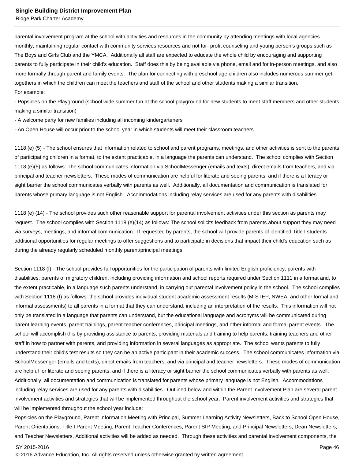parental involvement program at the school with activities and resources in the community by attending meetings with local agencies monthly, maintaining regular contact with community services resources and not for- profit counseling and young person's groups such as The Boys and Girls Club and the YMCA. Additionally all staff are expected to educate the whole child by encouraging and supporting parents to fully participate in their child's education. Staff does this by being available via phone, email and for in-person meetings, and also more formally through parent and family events. The plan for connecting with preschool age children also includes numerous summer gettogethers in which the children can meet the teachers and staff of the school and other students making a similar transition. For example:

- Popsicles on the Playground (school wide summer fun at the school playground for new students to meet staff members and other students making a similar transition)

- A welcome party for new families including all incoming kindergarteners

- An Open House will occur prior to the school year in which students will meet their classroom teachers.

1118 (e) (5) - The school ensures that information related to school and parent programs, meetings, and other activities is sent to the parents of participating children in a format, to the extent practicable, in a language the parents can understand. The school complies with Section 1118 (e)(5) as follows: The school communicates information via SchoolMessenger (emails and texts), direct emails from teachers, and via principal and teacher newsletters. These modes of communication are helpful for literate and seeing parents, and if there is a literacy or sight barrier the school communicates verbally with parents as well. Additionally, all documentation and communication is translated for parents whose primary language is not English. Accommodations including relay services are used for any parents with disabilities.

1118 (e) (14) - The school provides such other reasonable support for parental involvement activities under this section as parents may request. The school complies with Section 1118 (e)(14) as follows: The school solicits feedback from parents about support they may need via surveys, meetings, and informal communication. If requested by parents, the school will provide parents of identified Title I students additional opportunities for regular meetings to offer suggestions and to participate in decisions that impact their child's education such as during the already regularly scheduled monthly parent/principal meetings.

Section 1118 (f) - The school provides full opportunities for the participation of parents with limited English proficiency, parents with disabilities, parents of migratory children, including providing information and school reports required under Section 1111 in a format and, to the extent practicable, in a language such parents understand, in carrying out parental involvement policy in the school. The school complies with Section 1118 (f) as follows: the school provides individual student academic assessment results (M-STEP, NWEA, and other formal and informal assessments) to all parents in a format that they can understand, including an interpretation of the results. This information will not only be translated in a language that parents can understand, but the educational language and acronyms will be communicated during parent learning events, parent trainings, parent-teacher conferences, principal meetings, and other informal and formal parent events. The school will accomplish this by providing assistance to parents, providing materials and training to help parents, training teachers and other staff in how to partner with parents, and providing information in several languages as appropriate. The school wants parents to fully understand their child's test results so they can be an active participant in their academic success. The school communicates information via SchoolMessenger (emails and texts), direct emails from teachers, and via principal and teacher newsletters. These modes of communication are helpful for literate and seeing parents, and if there is a literacy or sight barrier the school communicates verbally with parents as well. Additionally, all documentation and communication is translated for parents whose primary language is not English. Accommodations including relay services are used for any parents with disabilities. Outlined below and within the Parent Involvement Plan are several parent involvement activities and strategies that will be implemented throughout the school year. Parent involvement activities and strategies that will be implemented throughout the school year include:

Popsicles on the Playground, Parent Information Meeting with Principal, Summer Learning Activity Newsletters, Back to School Open House, Parent Orientations, Title I Parent Meeting, Parent Teacher Conferences, Parent SIP Meeting, and Principal Newsletters, Dean Newsletters, and Teacher Newsletters, Additional activities will be added as needed. Through these activities and parental involvement components, the

<sup>© 2016</sup> Advance Education, Inc. All rights reserved unless otherwise granted by written agreement.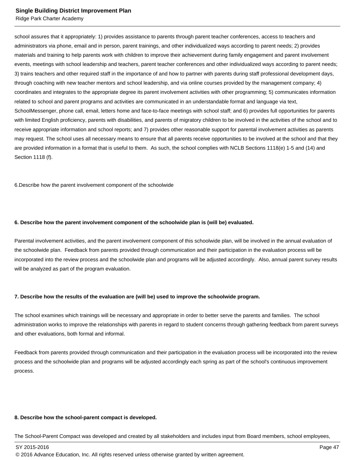Ridge Park Charter Academy

school assures that it appropriately: 1) provides assistance to parents through parent teacher conferences, access to teachers and administrators via phone, email and in person, parent trainings, and other individualized ways according to parent needs; 2) provides materials and training to help parents work with children to improve their achievement during family engagement and parent involvement events, meetings with school leadership and teachers, parent teacher conferences and other individualized ways according to parent needs; 3) trains teachers and other required staff in the importance of and how to partner with parents during staff professional development days, through coaching with new teacher mentors and school leadership, and via online courses provided by the management company; 4) coordinates and integrates to the appropriate degree its parent involvement activities with other programming; 5) communicates information related to school and parent programs and activities are communicated in an understandable format and language via text, SchoolMessenger, phone call, email, letters home and face-to-face meetings with school staff; and 6) provides full opportunities for parents with limited English proficiency, parents with disabilities, and parents of migratory children to be involved in the activities of the school and to receive appropriate information and school reports; and 7) provides other reasonable support for parental involvement activities as parents may request. The school uses all necessary means to ensure that all parents receive opportunities to be involved at the school and that they are provided information in a format that is useful to them. As such, the school complies with NCLB Sections 1118(e) 1-5 and (14) and Section 1118 (f).

6. Describe how the parent involvement component of the schoolwide

#### **6. Describe how the parent involvement component of the schoolwide plan is (will be) evaluated.**

Parental involvement activities, and the parent involvement component of this schoolwide plan, will be involved in the annual evaluation of the schoolwide plan. Feedback from parents provided through communication and their participation in the evaluation process will be incorporated into the review process and the schoolwide plan and programs will be adjusted accordingly. Also, annual parent survey results will be analyzed as part of the program evaluation.

#### **7. Describe how the results of the evaluation are (will be) used to improve the schoolwide program.**

The school examines which trainings will be necessary and appropriate in order to better serve the parents and families. The school administration works to improve the relationships with parents in regard to student concerns through gathering feedback from parent surveys and other evaluations, both formal and informal.

Feedback from parents provided through communication and their participation in the evaluation process will be incorporated into the review process and the schoolwide plan and programs will be adjusted accordingly each spring as part of the school's continuous improvement process.

#### **8. Describe how the school-parent compact is developed.**

The School-Parent Compact was developed and created by all stakeholders and includes input from Board members, school employees,

SY 2015-2016 Page 47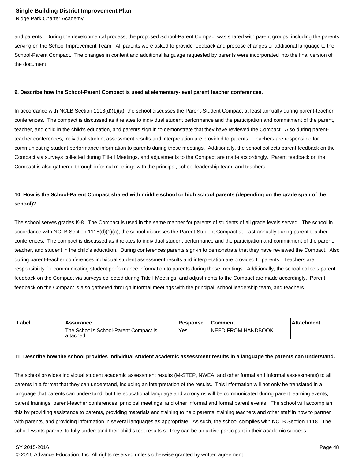Ridge Park Charter Academy

and parents. During the developmental process, the proposed School-Parent Compact was shared with parent groups, including the parents serving on the School Improvement Team. All parents were asked to provide feedback and propose changes or additional language to the School-Parent Compact. The changes in content and additional language requested by parents were incorporated into the final version of the document.

#### **9. Describe how the School-Parent Compact is used at elementary-level parent teacher conferences.**

In accordance with NCLB Section 1118(d)(1)(a), the school discusses the Parent-Student Compact at least annually during parent-teacher conferences. The compact is discussed as it relates to individual student performance and the participation and commitment of the parent, teacher, and child in the child's education, and parents sign in to demonstrate that they have reviewed the Compact. Also during parentteacher conferences, individual student assessment results and interpretation are provided to parents. Teachers are responsible for communicating student performance information to parents during these meetings. Additionally, the school collects parent feedback on the Compact via surveys collected during Title I Meetings, and adjustments to the Compact are made accordingly. Parent feedback on the Compact is also gathered through informal meetings with the principal, school leadership team, and teachers.

## **10. How is the School-Parent Compact shared with middle school or high school parents (depending on the grade span of the school)?**

The school serves grades K-8. The Compact is used in the same manner for parents of students of all grade levels served. The school in accordance with NCLB Section 1118(d)(1)(a), the school discusses the Parent-Student Compact at least annually during parent-teacher conferences. The compact is discussed as it relates to individual student performance and the participation and commitment of the parent, teacher, and student in the child's education. During conferences parents sign-in to demonstrate that they have reviewed the Compact. Also during parent-teacher conferences individual student assessment results and interpretation are provided to parents. Teachers are responsibility for communicating student performance information to parents during these meetings. Additionally, the school collects parent feedback on the Compact via surveys collected during Title I Meetings, and adjustments to the Compact are made accordingly. Parent feedback on the Compact is also gathered through informal meetings with the principal, school leadership team, and teachers.

| Label | <b>Assurance</b>                                    | <b>Response</b> | ∣Comment                   | <b>Attachment</b> |
|-------|-----------------------------------------------------|-----------------|----------------------------|-------------------|
|       | The School's School-Parent Compact is<br>lattached. | <b>Yes</b>      | <b>INEED FROM HANDBOOK</b> |                   |

#### **11. Describe how the school provides individual student academic assessment results in a language the parents can understand.**

The school provides individual student academic assessment results (M-STEP, NWEA, and other formal and informal assessments) to all parents in a format that they can understand, including an interpretation of the results. This information will not only be translated in a language that parents can understand, but the educational language and acronyms will be communicated during parent learning events, parent trainings, parent-teacher conferences, principal meetings, and other informal and formal parent events. The school will accomplish this by providing assistance to parents, providing materials and training to help parents, training teachers and other staff in how to partner with parents, and providing information in several languages as appropriate. As such, the school complies with NCLB Section 1118. The school wants parents to fully understand their child's test results so they can be an active participant in their academic success.

<sup>© 2016</sup> Advance Education, Inc. All rights reserved unless otherwise granted by written agreement.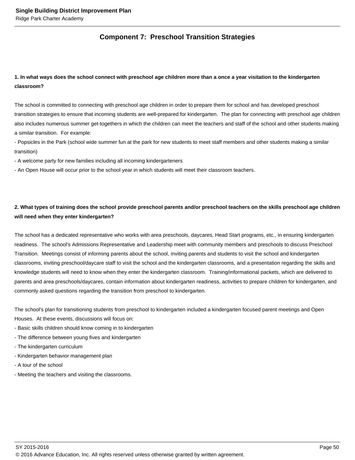## **Component 7: Preschool Transition Strategies**

## **1. In what ways does the school connect with preschool age children more than a once a year visitation to the kindergarten classroom?**

The school is committed to connecting with preschool age children in order to prepare them for school and has developed preschool transition strategies to ensure that incoming students are well-prepared for kindergarten. The plan for connecting with preschool age children also includes numerous summer get-togethers in which the children can meet the teachers and staff of the school and other students making a similar transition. For example:

- Popsicles in the Park (school wide summer fun at the park for new students to meet staff members and other students making a similar transition)

- A welcome party for new families including all incoming kindergarteners

- An Open House will occur prior to the school year in which students will meet their classroom teachers.

## **2. What types of training does the school provide preschool parents and/or preschool teachers on the skills preschool age children will need when they enter kindergarten?**

The school has a dedicated representative who works with area preschools, daycares, Head Start programs, etc., in ensuring kindergarten readiness. The school's Admissions Representative and Leadership meet with community members and preschools to discuss Preschool Transition. Meetings consist of informing parents about the school, inviting parents and students to visit the school and kindergarten classrooms, inviting preschool/daycare staff to visit the school and the kindergarten classrooms, and a presentation regarding the skills and knowledge students will need to know when they enter the kindergarten classroom. Training/informational packets, which are delivered to parents and area preschools/daycares, contain information about kindergarten readiness, activities to prepare children for kindergarten, and commonly asked questions regarding the transition from preschool to kindergarten.

The school's plan for transitioning students from preschool to kindergarten included a kindergarten focused parent meetings and Open Houses. At these events, discussions will focus on:

- Basic skills children should know coming in to kindergarten
- The difference between young fives and kindergarten
- The kindergarten curriculum
- Kindergarten behavior management plan
- A tour of the school
- Meeting the teachers and visiting the classrooms.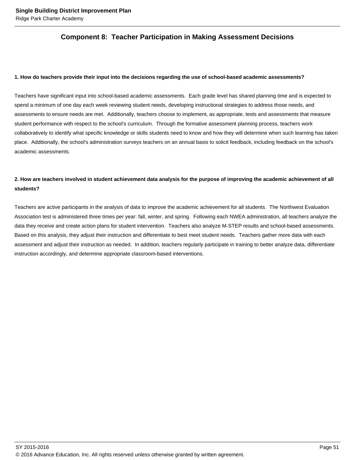## **Component 8: Teacher Participation in Making Assessment Decisions**

#### **1. How do teachers provide their input into the decisions regarding the use of school-based academic assessments?**

Teachers have significant input into school-based academic assessments. Each grade level has shared planning time and is expected to spend a minimum of one day each week reviewing student needs, developing instructional strategies to address those needs, and assessments to ensure needs are met. Additionally, teachers choose to implement, as appropriate, tests and assessments that measure student performance with respect to the school's curriculum. Through the formative assessment planning process, teachers work collaboratively to identify what specific knowledge or skills students need to know and how they will determine when such learning has taken place. Additionally, the school's administration surveys teachers on an annual basis to solicit feedback, including feedback on the school's academic assessments.

## **2. How are teachers involved in student achievement data analysis for the purpose of improving the academic achievement of all students?**

Teachers are active participants in the analysis of data to improve the academic achievement for all students. The Northwest Evaluation Association test is administered three times per year: fall, winter, and spring. Following each NWEA administration, all teachers analyze the data they receive and create action plans for student intervention. Teachers also analyze M-STEP results and school-based assessments. Based on this analysis, they adjust their instruction and differentiate to best meet student needs. Teachers gather more data with each assessment and adjust their instruction as needed. In addition, teachers regularly participate in training to better analyze data, differentiate instruction accordingly, and determine appropriate classroom-based interventions.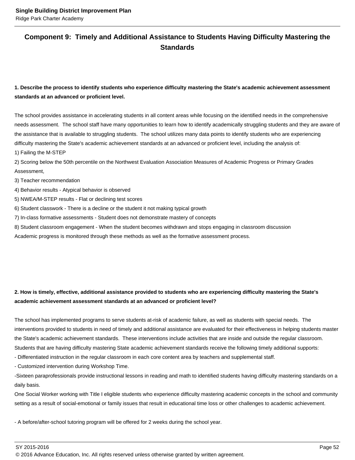## **Component 9: Timely and Additional Assistance to Students Having Difficulty Mastering the Standards**

## **1. Describe the process to identify students who experience difficulty mastering the State's academic achievement assessment standards at an advanced or proficient level.**

The school provides assistance in accelerating students in all content areas while focusing on the identified needs in the comprehensive needs assessment. The school staff have many opportunities to learn how to identify academically struggling students and they are aware of the assistance that is available to struggling students. The school utilizes many data points to identify students who are experiencing difficulty mastering the State's academic achievement standards at an advanced or proficient level, including the analysis of:

1) Failing the M-STEP

2) Scoring below the 50th percentile on the Northwest Evaluation Association Measures of Academic Progress or Primary Grades Assessment,

3) Teacher recommendation

4) Behavior results - Atypical behavior is observed

5) NWEA/M-STEP results - Flat or declining test scores

6) Student classwork - There is a decline or the student it not making typical growth

7) In-class formative assessments - Student does not demonstrate mastery of concepts

8) Student classroom engagement - When the student becomes withdrawn and stops engaging in classroom discussion

Academic progress is monitored through these methods as well as the formative assessment process.

## **2. How is timely, effective, additional assistance provided to students who are experiencing difficulty mastering the State's academic achievement assessment standards at an advanced or proficient level?**

The school has implemented programs to serve students at-risk of academic failure, as well as students with special needs. The interventions provided to students in need of timely and additional assistance are evaluated for their effectiveness in helping students master the State's academic achievement standards. These interventions include activities that are inside and outside the regular classroom. Students that are having difficulty mastering State academic achievement standards receive the following timely additional supports:

- Differentiated instruction in the regular classroom in each core content area by teachers and supplemental staff.

- Customized intervention during Workshop Time.

-Sixteen paraprofessionals provide instructional lessons in reading and math to identified students having difficulty mastering standards on a daily basis.

One Social Worker working with Title I eligible students who experience difficulty mastering academic concepts in the school and community setting as a result of social-emotional or family issues that result in educational time loss or other challenges to academic achievement.

- A before/after-school tutoring program will be offered for 2 weeks during the school year.

SY 2015-2016 Page 52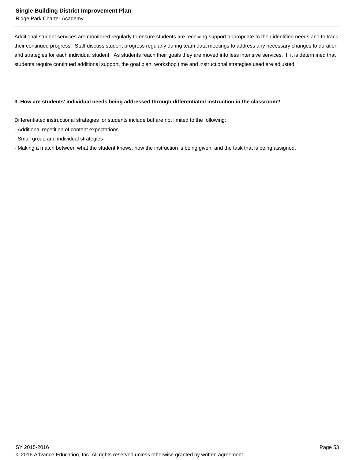Ridge Park Charter Academy

Additional student services are monitored regularly to ensure students are receiving support appropriate to their identified needs and to track their continued progress. Staff discuss student progress regularly during team data meetings to address any necessary changes to duration and strategies for each individual student. As students reach their goals they are moved into less intensive services. If it is determined that students require continued additional support, the goal plan, workshop time and instructional strategies used are adjusted.

#### **3. How are students' individual needs being addressed through differentiated instruction in the classroom?**

Differentiated instructional strategies for students include but are not limited to the following:

- Additional repetition of content expectations
- Small group and individual strategies
- Making a match between what the student knows, how the instruction is being given, and the task that is being assigned.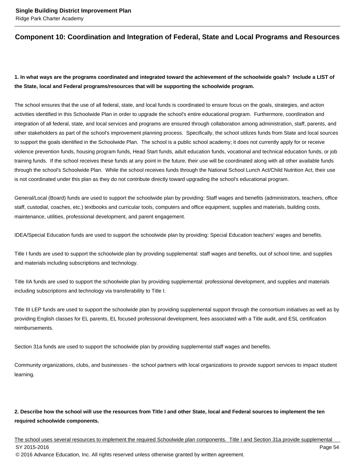## **Component 10: Coordination and Integration of Federal, State and Local Programs and Resources**

## **1. In what ways are the programs coordinated and integrated toward the achievement of the schoolwide goals? Include a LIST of the State, local and Federal programs/resources that will be supporting the schoolwide program.**

The school ensures that the use of all federal, state, and local funds is coordinated to ensure focus on the goals, strategies, and action activities identified in this Schoolwide Plan in order to upgrade the school's entire educational program. Furthermore, coordination and integration of all federal, state, and local services and programs are ensured through collaboration among administration, staff, parents, and other stakeholders as part of the school's improvement planning process. Specifically, the school utilizes funds from State and local sources to support the goals identified in the Schoolwide Plan. The school is a public school academy; it does not currently apply for or receive violence prevention funds, housing program funds, Head Start funds, adult education funds, vocational and technical education funds, or job training funds. If the school receives these funds at any point in the future, their use will be coordinated along with all other available funds through the school's Schoolwide Plan. While the school receives funds through the National School Lunch Act/Child Nutrition Act, their use is not coordinated under this plan as they do not contribute directly toward upgrading the school's educational program.

General/Local (Board) funds are used to support the schoolwide plan by providing: Staff wages and benefits (administrators, teachers, office staff, custodial, coaches, etc.) textbooks and curricular tools, computers and office equipment, supplies and materials, building costs, maintenance, utilities, professional development, and parent engagement.

IDEA/Special Education funds are used to support the schoolwide plan by providing: Special Education teachers' wages and benefits.

Title I funds are used to support the schoolwide plan by providing supplemental: staff wages and benefits, out of school time, and supplies and materials including subscriptions and technology.

Title IIA funds are used to support the schoolwide plan by providing supplemental: professional development, and supplies and materials including subscriptions and technology via transferability to Title I.

Title III LEP funds are used to support the schoolwide plan by providing supplemental support through the consortium initiatives as well as by providing English classes for EL parents, EL focused professional development, fees associated with a Title audit, and ESL certification reimbursements.

Section 31a funds are used to support the schoolwide plan by providing supplemental staff wages and benefits.

Community organizations, clubs, and businesses - the school partners with local organizations to provide support services to impact student learning.

## **2. Describe how the school will use the resources from Title I and other State, local and Federal sources to implement the ten required schoolwide components.**

The school uses several resources to implement the required Schoolwide plan components. Title I and Section 31a provide supplemental SY 2015-2016 Page 54 © 2016 Advance Education, Inc. All rights reserved unless otherwise granted by written agreement.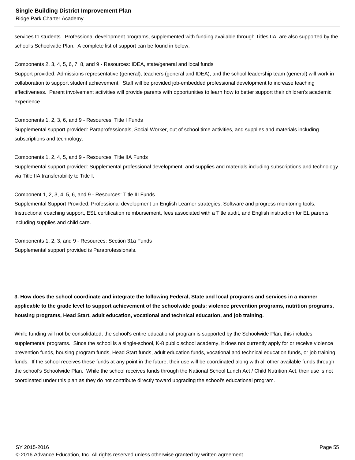services to students. Professional development programs, supplemented with funding available through Titles IIA, are also supported by the school's Schoolwide Plan. A complete list of support can be found in below.

Components 2, 3, 4, 5, 6, 7, 8, and 9 - Resources: IDEA, state/general and local funds

Support provided: Admissions representative (general), teachers (general and IDEA), and the school leadership team (general) will work in collaboration to support student achievement. Staff will be provided job-embedded professional development to increase teaching effectiveness. Parent involvement activities will provide parents with opportunities to learn how to better support their children's academic experience.

Components 1, 2, 3, 6, and 9 - Resources: Title I Funds Supplemental support provided: Paraprofessionals, Social Worker, out of school time activities, and supplies and materials including subscriptions and technology.

Components 1, 2, 4, 5, and 9 - Resources: Title IIA Funds Supplemental support provided: Supplemental professional development, and supplies and materials including subscriptions and technology via Title IIA transferability to Title I.

Component 1, 2, 3, 4, 5, 6, and 9 - Resources: Title III Funds Supplemental Support Provided: Professional development on English Learner strategies, Software and progress monitoring tools, Instructional coaching support, ESL certification reimbursement, fees associated with a Title audit, and English instruction for EL parents including supplies and child care.

Components 1, 2, 3, and 9 - Resources: Section 31a Funds Supplemental support provided is Paraprofessionals.

**3. How does the school coordinate and integrate the following Federal, State and local programs and services in a manner applicable to the grade level to support achievement of the schoolwide goals: violence prevention programs, nutrition programs, housing programs, Head Start, adult education, vocational and technical education, and job training.** 

While funding will not be consolidated, the school's entire educational program is supported by the Schoolwide Plan; this includes supplemental programs. Since the school is a single-school, K-8 public school academy, it does not currently apply for or receive violence prevention funds, housing program funds, Head Start funds, adult education funds, vocational and technical education funds, or job training funds. If the school receives these funds at any point in the future, their use will be coordinated along with all other available funds through the school's Schoolwide Plan. While the school receives funds through the National School Lunch Act / Child Nutrition Act, their use is not coordinated under this plan as they do not contribute directly toward upgrading the school's educational program.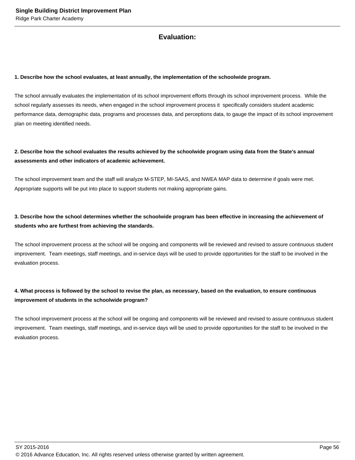## **Evaluation:**

#### **1. Describe how the school evaluates, at least annually, the implementation of the schoolwide program.**

The school annually evaluates the implementation of its school improvement efforts through its school improvement process. While the school regularly assesses its needs, when engaged in the school improvement process it specifically considers student academic performance data, demographic data, programs and processes data, and perceptions data, to gauge the impact of its school improvement plan on meeting identified needs.

## **2. Describe how the school evaluates the results achieved by the schoolwide program using data from the State's annual assessments and other indicators of academic achievement.**

The school improvement team and the staff will analyze M-STEP, MI-SAAS, and NWEA MAP data to determine if goals were met. Appropriate supports will be put into place to support students not making appropriate gains.

## **3. Describe how the school determines whether the schoolwide program has been effective in increasing the achievement of students who are furthest from achieving the standards.**

The school improvement process at the school will be ongoing and components will be reviewed and revised to assure continuous student improvement. Team meetings, staff meetings, and in-service days will be used to provide opportunities for the staff to be involved in the evaluation process.

## **4. What process is followed by the school to revise the plan, as necessary, based on the evaluation, to ensure continuous improvement of students in the schoolwide program?**

The school improvement process at the school will be ongoing and components will be reviewed and revised to assure continuous student improvement. Team meetings, staff meetings, and in-service days will be used to provide opportunities for the staff to be involved in the evaluation process.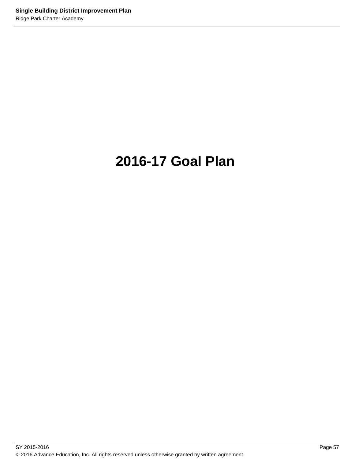# **2016-17 Goal Plan**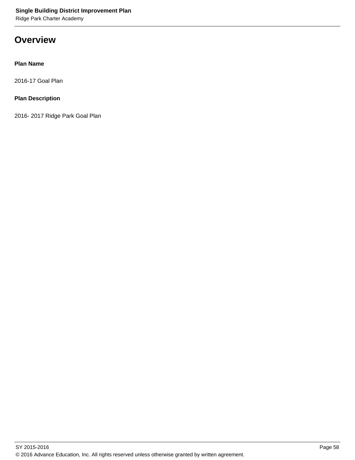**Overview**

## **Plan Name**

2016-17 Goal Plan

## **Plan Description**

2016- 2017 Ridge Park Goal Plan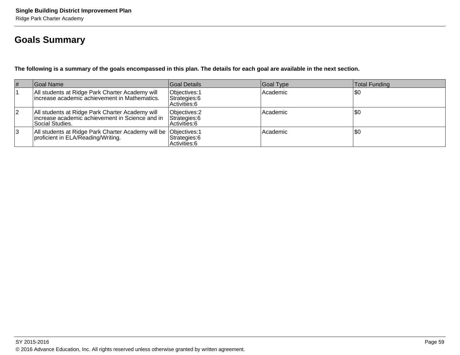## **Goals Summary**

**The following is a summary of the goals encompassed in this plan. The details for each goal are available in the next section.**

| $\vert \#$     | Goal Name                                                                                                             | Goal Details                                    | Goal Type | Total Funding |
|----------------|-----------------------------------------------------------------------------------------------------------------------|-------------------------------------------------|-----------|---------------|
|                | All students at Ridge Park Charter Academy will<br>increase academic achievement in Mathematics.                      | Objectives: 1<br>Strategies: 6<br>Activities: 6 | Academic  | 50ء           |
| $\overline{2}$ | All students at Ridge Park Charter Academy will<br>increase academic achievement in Science and in<br>Social Studies. | Objectives: 2<br>Strategies: 6<br>Activities: 6 | Academic  | \$0           |
| 3              | All students at Ridge Park Charter Academy will be   Objectives: 1<br>proficient in ELA/Reading/Writing.              | Strategies: 6<br>Activities: 6                  | Academic  | \$0           |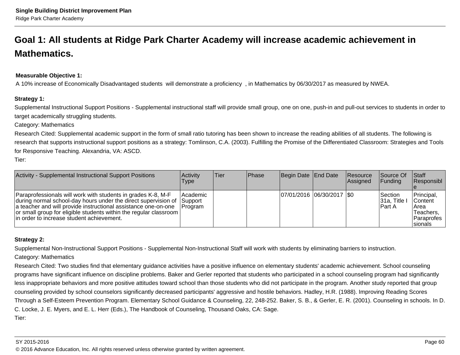## **Goal 1: All students at Ridge Park Charter Academy will increase academic achievement inMathematics.**

## **Measurable Objective 1:**

A 10% increase of Economically Disadvantaged students will demonstrate a proficiency , in Mathematics by 06/30/2017 as measured by NWEA.

#### **Strategy 1:**

Supplemental Instructional Support Positions - Supplemental instructional staff will provide small group, one on one, push-in and pull-out services to students in order totarget academically struggling students.

Category: Mathematics

Research Cited: Supplemental academic support in the form of small ratio tutoring has been shown to increase the reading abilities of all students. The following isresearch that supports instructional support positions as a strategy: Tomlinson, C.A. (2003). Fulfilling the Promise of the Differentiated Classroom: Strategies and Tools for Responsive Teaching. Alexandria, VA: ASCD.

Tier:

| Activity - Supplemental Instructional Support Positions                                                                                                                                                                                                                                                                         | <b>Activity</b><br>Type     | lTier | <b>IPhase</b> | Begin Date End Date         | <b>Resource</b><br><b>Assigned</b> | <b>Source Of</b><br><b>IFunding</b>     | ∣Staff<br><b>Responsibl</b>                                                        |
|---------------------------------------------------------------------------------------------------------------------------------------------------------------------------------------------------------------------------------------------------------------------------------------------------------------------------------|-----------------------------|-------|---------------|-----------------------------|------------------------------------|-----------------------------------------|------------------------------------------------------------------------------------|
| Paraprofessionals will work with students in grades K-8, M-F<br> during normal school-day hours under the direct supervision of  Support<br>a teacher and will provide instructional assistance one-on-one<br>or small group for eligible students within the regular classroom  <br>lin order to increase student achievement. | Academic<br><b>IProgram</b> |       |               | 07/01/2016 06/30/2017   \$0 |                                    | Section<br>$ 31a,$ Title $ $<br>IPart A | Principal,<br><b>Content</b><br>Area<br>Teachers.<br><b>Paraprofes</b><br>Isionals |

## **Strategy 2:**

Supplemental Non-Instructional Support Positions - Supplemental Non-Instructional Staff will work with students by eliminating barriers to instruction.

#### Category: Mathematics

Research Cited: Two studies find that elementary guidance activities have a positive influence on elementary students' academic achievement. School counselingprograms have significant influence on discipline problems. Baker and Gerler reported that students who participated in a school counseling program had significantlyless inappropriate behaviors and more positive attitudes toward school than those students who did not participate in the program. Another study reported that groupcounseling provided by school counselors significantly decreased participants' aggressive and hostile behaviors. Hadley, H.R. (1988). Improving Reading ScoresThrough a Self-Esteem Prevention Program. Elementary School Guidance & Counseling, 22, 248-252. Baker, S. B., & Gerler, E. R. (2001). Counseling in schools. In D.C. Locke, J. E. Myers, and E. L. Herr (Eds.), The Handbook of Counseling, Thousand Oaks, CA: Sage.Tier: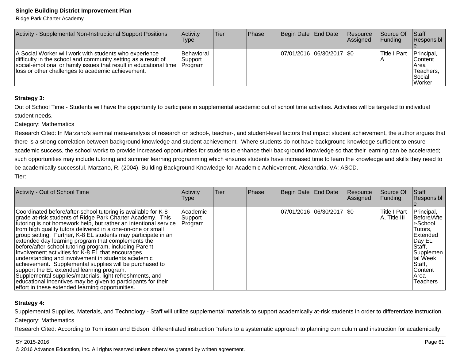Ridge Park Charter Academy

| Activity - Supplemental Non-Instructional Support Positions                                                                                                                                                                                       | Activity<br><b>Type</b>                 | lTier. | <b>IPhase</b> | Begin Date End Date        | Resource<br>Assigned | <b>Source Of</b><br> Funding | <b>Staff</b><br><b>Responsibl</b>                                  |
|---------------------------------------------------------------------------------------------------------------------------------------------------------------------------------------------------------------------------------------------------|-----------------------------------------|--------|---------------|----------------------------|----------------------|------------------------------|--------------------------------------------------------------------|
| A Social Worker will work with students who experience<br>difficulty in the school and community setting as a result of<br>social-emotional or family issues that result in educational time<br>loss or other challenges to academic achievement. | Behavioral<br>Support<br><b>Program</b> |        |               | 07/01/2016 06/30/2017 \\$0 |                      | lTitle I Part                | Principal,<br>lContent<br>IArea<br>Teachers.<br>l Social<br>Worker |

### **Strategy 3:**

Out of School Time - Students will have the opportunity to participate in supplemental academic out of school time activities. Activities will be targeted to individualstudent needs.

#### Category: Mathematics

Research Cited: In Marzano's seminal meta-analysis of research on school-, teacher-, and student-level factors that impact student achievement, the author argues thatthere is a strong correlation between background knowledge and student achievement. Where students do not have background knowledge sufficient to ensure academic success, the school works to provide increased opportunities for students to enhance their background knowledge so that their learning can be accelerated;such opportunities may include tutoring and summer learning programming which ensures students have increased time to learn the knowledge and skills they need tobe academically successful. Marzano, R. (2004). Building Background Knowledge for Academic Achievement. Alexandria, VA: ASCD. Tier:

| Activity - Out of School Time                                                                                                                                                                                                                                                                                                                                                                                                                                                                                                                                                                                                                                                                                                                                                                                                                       | Activity<br>Type               | <b>Tier</b> | Phase | Begin Date End Date         | Resource<br>Assigned | Source Of<br>Funding          | Staff<br>Responsibl                                                                                                                                        |
|-----------------------------------------------------------------------------------------------------------------------------------------------------------------------------------------------------------------------------------------------------------------------------------------------------------------------------------------------------------------------------------------------------------------------------------------------------------------------------------------------------------------------------------------------------------------------------------------------------------------------------------------------------------------------------------------------------------------------------------------------------------------------------------------------------------------------------------------------------|--------------------------------|-------------|-------|-----------------------------|----------------------|-------------------------------|------------------------------------------------------------------------------------------------------------------------------------------------------------|
| Coordinated before/after-school tutoring is available for K-8<br>grade at-risk students of Ridge Park Charter Academy. This<br>tutoring is not homework help, but rather an intentional service<br>from high quality tutors delivered in a one-on-one or small<br>group setting. Further, K-8 EL students may participate in an<br>extended day learning program that complements the<br>before/after-school tutoring program, including Parent<br>Involvement activities for K-8 EL that encourages<br>understanding and involvement in students academic<br>achievement. Supplemental supplies will be purchased to<br>support the EL extended learning program.<br>Supplemental supplies/materials, light refreshments, and<br>educational incentives may be given to participants for their<br>effort in these extended learning opportunities. | Academic<br>Support<br>Program |             |       | 07/01/2016 06/30/2017   \$0 |                      | lTitle I Part<br>A, Title III | Principal,<br>Before/Afte<br>r-School<br>Tutors.<br>Extended<br>Day EL<br>Staff,<br>Supplemen<br>tal Week<br>Staff,<br><b>Content</b><br>lArea<br>Teachers |

#### **Strategy 4:**

Supplemental Supplies, Materials, and Technology - Staff will utilize supplemental materials to support academically at-risk students in order to differentiate instruction. Category: Mathematics

Research Cited: According to Tomlinson and Eidson, differentiated instruction "refers to a systematic approach to planning curriculum and instruction for academically

#### SY 2015-2016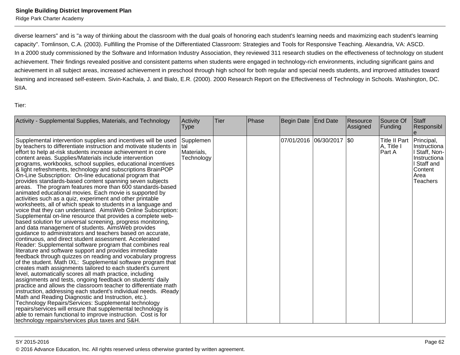diverse learners" and is "a way of thinking about the classroom with the dual goals of honoring each student's learning needs and maximizing each student's learningcapacity". Tomlinson, C.A. (2003). Fulfilling the Promise of the Differentiated Classroom: Strategies and Tools for Responsive Teaching. Alexandria, VA: ASCD.In a 2000 study commissioned by the Software and Information Industry Association, they reviewed 311 research studies on the effectiveness of technology on student achievement. Their findings revealed positive and consistent patterns when students were engaged in technology-rich environments, including significant gains and achievement in all subject areas, increased achievement in preschool through high school for both regular and special needs students, and improved attitudes toward learning and increased self-esteem. Sivin-Kachala, J. and Bialo, E.R. (2000). 2000 Research Report on the Effectiveness of Technology in Schools. Washington, DC.SIIA.

Tier:

| Activity - Supplemental Supplies, Materials, and Technology                                                                                                                                                                                                                                                                                                                                                                                                                                                                                                                                                                                                                                                                                                                                                                                                                                                                                                                                                                                                                                                                                                                                                                                                                                                                                                                                                                                                                                                                                                                                                                                                                                                                                                                                                                                                                                                                                                                                                                                | Activity<br>Type                              | Tier | Phase | Begin Date                  | End Date | <b>Resource</b><br>Assigned | Source Of<br>Funding                   | Staff<br>Responsibl<br>e                                                                                       |
|--------------------------------------------------------------------------------------------------------------------------------------------------------------------------------------------------------------------------------------------------------------------------------------------------------------------------------------------------------------------------------------------------------------------------------------------------------------------------------------------------------------------------------------------------------------------------------------------------------------------------------------------------------------------------------------------------------------------------------------------------------------------------------------------------------------------------------------------------------------------------------------------------------------------------------------------------------------------------------------------------------------------------------------------------------------------------------------------------------------------------------------------------------------------------------------------------------------------------------------------------------------------------------------------------------------------------------------------------------------------------------------------------------------------------------------------------------------------------------------------------------------------------------------------------------------------------------------------------------------------------------------------------------------------------------------------------------------------------------------------------------------------------------------------------------------------------------------------------------------------------------------------------------------------------------------------------------------------------------------------------------------------------------------------|-----------------------------------------------|------|-------|-----------------------------|----------|-----------------------------|----------------------------------------|----------------------------------------------------------------------------------------------------------------|
| Supplemental intervention supplies and incentives will be used<br>by teachers to differentiate instruction and motivate students in<br>effort to help at-risk students increase achievement in core<br>content areas. Supplies/Materials include intervention<br>programs, workbooks, school supplies, educational incentives<br>& light refreshments, technology and subscriptions BrainPOP<br>On-Line Subscription: On-line educational program that<br>provides standards-based content spanning seven subjects<br>areas. The program features more than 600 standards-based<br>animated educational movies. Each movie is supported by<br>activities such as a quiz, experiment and other printable<br>worksheets, all of which speak to students in a language and<br>voice that they can understand. AimsWeb Online Subscription:<br>Supplemental on-line resource that provides a complete web-<br>based solution for universal screening, progress monitoring,<br>and data management of students. AimsWeb provides<br>guidance to administrators and teachers based on accurate,<br>continuous, and direct student assessment. Accelerated<br>Reader: Supplemental software program that combines real<br>literature and software support and provides immediate<br>feedback through quizzes on reading and vocabulary progress<br>of the student. Math IXL: Supplemental software program that<br>creates math assignments tailored to each student's current<br>level, automatically scores all math practice, including<br>assignments and tests, ongoing feedback on students' daily<br>practice and allows the classroom teacher to differentiate math<br>instruction, addressing each student's individual needs. iReady<br>Math and Reading Diagnostic and Instruction, etc.).<br>Technology Repairs/Services: Supplemental technology<br>repairs/services will ensure that supplemental technology is<br>able to remain functional to improve instruction. Cost is for<br>technology repairs/services plus taxes and S&H. | Supplemen<br>Ital<br>Materials,<br>Technology |      |       | 07/01/2016 06/30/2017   \$0 |          |                             | Title II Part<br> A, Title I<br>Part A | Principal,<br>Instructiona<br>Staff, Non-<br>Instructiona<br>I Staff and<br>Content<br>Area<br><b>Teachers</b> |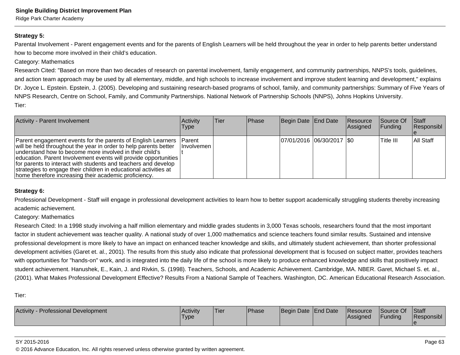## **Strategy 5:**

Parental Involvement - Parent engagement events and for the parents of English Learners will be held throughout the year in order to help parents better understandhow to become more involved in their child's education.

#### Category: Mathematics

Research Cited: "Based on more than two decades of research on parental involvement, family engagement, and community partnerships, NNPS's tools, guidelines,and action team approach may be used by all elementary, middle, and high schools to increase involvement and improve student learning and development," explainsDr. Joyce L. Epstein. Epstein, J. (2005). Developing and sustaining research-based programs of school, family, and community partnerships: Summary of Five Years ofNNPS Research, Centre on School, Family, and Community Partnerships. National Network of Partnership Schools (NNPS), Johns Hopkins University.Tier:

| <b>Activity - Parent Involvement</b>                                                                                                                                                                                                                                                                                                                                                                                                                          | Activity<br><b>Type</b>            | lTier. | <b>Phase</b> | Begin Date End Date        | Resource<br>Assigned | Source Of<br><b>Funding</b> | <b>Staff</b><br>Responsibl |
|---------------------------------------------------------------------------------------------------------------------------------------------------------------------------------------------------------------------------------------------------------------------------------------------------------------------------------------------------------------------------------------------------------------------------------------------------------------|------------------------------------|--------|--------------|----------------------------|----------------------|-----------------------------|----------------------------|
| Parent engagement events for the parents of English Learners<br>will be held throughout the year in order to help parents better<br>understand how to become more involved in their child's<br>education. Parent Involvement events will provide opportunities<br>for parents to interact with students and teachers and develop<br>strategies to engage their children in educational activities at<br>home therefore increasing their academic proficiency. | <b>Parent</b><br><b>Involvemen</b> |        |              | 07/01/2016 06/30/2017 \\$0 |                      | Title III                   | IAII Staff                 |

#### **Strategy 6:**

Professional Development - Staff will engage in professional development activities to learn how to better support academically struggling students thereby increasingacademic achievement.

Category: Mathematics

Research Cited: In a 1998 study involving a half million elementary and middle grades students in 3,000 Texas schools, researchers found that the most importantfactor in student achievement was teacher quality. A national study of over 1,000 mathematics and science teachers found similar results. Sustained and intensiveprofessional development is more likely to have an impact on enhanced teacher knowledge and skills, and ultimately student achievement, than shorter professionaldevelopment activities (Garet et. al., 2001). The results from this study also indicate that professional development that is focused on subject matter, provides teacherswith opportunities for "hands-on" work, and is integrated into the daily life of the school is more likely to produce enhanced knowledge and skills that positively impact student achievement. Hanushek, E., Kain, J. and Rivkin, S. (1998). Teachers, Schools, and Academic Achievement. Cambridge, MA. NBER. Garet, Michael S. et. al.,(2001). What Makes Professional Development Effective? Results From a National Sample of Teachers. Washington, DC. American Educational Research Association.

Tier:

| <b>Activity - Professional Development</b> | Activity<br>'Type | Tier | 'Phase | Begin Date End Date | Resource<br><b>Assigned</b> | Source Of<br>Funding | <b>Staff</b><br>Responsibl |
|--------------------------------------------|-------------------|------|--------|---------------------|-----------------------------|----------------------|----------------------------|
|                                            |                   |      |        |                     |                             |                      |                            |

#### SY 2015-2016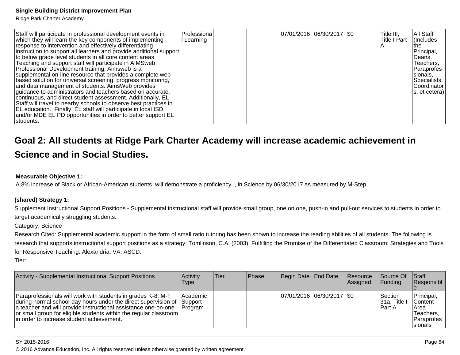Ridge Park Charter Academy

| Staff will participate in professional development events in<br>which they will learn the key components of implementing<br>response to intervention and effectively differentiating<br>instruction to support all learners and provide additional support<br>to below grade level students in all core content areas.<br>Teaching and support staff will participate in AIMSweb<br>Professional Development training, Aimsweb is a<br>supplemental on-line resource that provides a complete web-<br>based solution for universal screening, progress monitoring,<br>and data management of students. AimsWeb provides<br>guidance to administrators and teachers based on accurate,<br>continuous, and direct student assessment. Additionally, EL<br>Staff will travel to nearby schools to observe best practices in<br>EL education. Finally, EL staff will participate in local ISD<br>and/or MDE EL PD opportunities in order to better support EL<br>students. | Professiona<br>I Learning |  |  | 07/01/2016 06/30/2017 \\$0 |  |  | Title III,<br>Title I Part | All Staff<br>(Includes<br>Ithe<br>Principal,<br> Deans,<br>Teachers,<br>Paraprofes<br>sionals,<br>Specialists,<br><b>Coordinator</b><br>s, et cetera) |
|------------------------------------------------------------------------------------------------------------------------------------------------------------------------------------------------------------------------------------------------------------------------------------------------------------------------------------------------------------------------------------------------------------------------------------------------------------------------------------------------------------------------------------------------------------------------------------------------------------------------------------------------------------------------------------------------------------------------------------------------------------------------------------------------------------------------------------------------------------------------------------------------------------------------------------------------------------------------|---------------------------|--|--|----------------------------|--|--|----------------------------|-------------------------------------------------------------------------------------------------------------------------------------------------------|
|------------------------------------------------------------------------------------------------------------------------------------------------------------------------------------------------------------------------------------------------------------------------------------------------------------------------------------------------------------------------------------------------------------------------------------------------------------------------------------------------------------------------------------------------------------------------------------------------------------------------------------------------------------------------------------------------------------------------------------------------------------------------------------------------------------------------------------------------------------------------------------------------------------------------------------------------------------------------|---------------------------|--|--|----------------------------|--|--|----------------------------|-------------------------------------------------------------------------------------------------------------------------------------------------------|

## **Goal 2: All students at Ridge Park Charter Academy will increase academic achievement inScience and in Social Studies.**

#### **Measurable Objective 1:**

A 8% increase of Black or African-American students will demonstrate a proficiency , in Science by 06/30/2017 as measured by M-Step.

### **(shared) Strategy 1:**

Supplement Instructional Support Positions - Supplemental instructional staff will provide small group, one on one, push-in and pull-out services to students in order to target academically struggling students.

#### Category: Science

Research Cited: Supplemental academic support in the form of small ratio tutoring has been shown to increase the reading abilities of all students. The following is research that supports instructional support positions as a strategy: Tomlinson, C.A. (2003). Fulfilling the Promise of the Differentiated Classroom: Strategies and Tools for Responsive Teaching. Alexandria, VA: ASCD.

Tier:

| Activity - Supplemental Instructional Support Positions                                                                                                                                                                                                                                                               | Activity<br>Type                        | ∣Tier | <b>Phase</b> | Begin Date End Date         | <b>Resource</b><br>Assigned | Source Of<br><b>IFunding</b>             | <b>Staff</b><br><b>Responsibl</b>                                                     |
|-----------------------------------------------------------------------------------------------------------------------------------------------------------------------------------------------------------------------------------------------------------------------------------------------------------------------|-----------------------------------------|-------|--------------|-----------------------------|-----------------------------|------------------------------------------|---------------------------------------------------------------------------------------|
| Paraprofessionals will work with students in grades K-8, M-F<br>during normal school-day hours under the direct supervision of<br>a teacher and will provide instructional assistance one-on-one<br>or small group for eligible students within the regular classroom  <br>lin order to increase student achievement. | Academic<br> Support<br><b>IProgram</b> |       |              | 07/01/2016 06/30/2017   \$0 |                             | <b>Section</b><br>131a. Title<br>lPart A | Principal,<br><b>Content</b><br>IArea<br>lTeachers.<br><b>IParaprofes</b><br>Isionals |

#### SY 2015-2016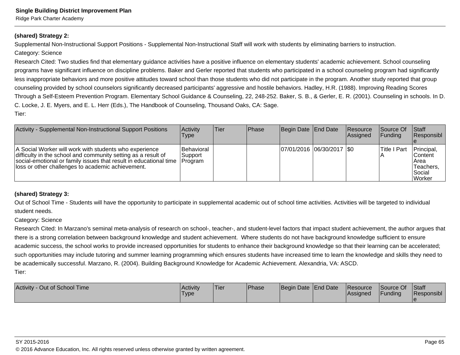## **(shared) Strategy 2:**

Supplemental Non-Instructional Support Positions - Supplemental Non-Instructional Staff will work with students by eliminating barriers to instruction.

## Category: Science

Research Cited: Two studies find that elementary guidance activities have a positive influence on elementary students' academic achievement. School counseling programs have significant influence on discipline problems. Baker and Gerler reported that students who participated in a school counseling program had significantlyless inappropriate behaviors and more positive attitudes toward school than those students who did not participate in the program. Another study reported that groupcounseling provided by school counselors significantly decreased participants' aggressive and hostile behaviors. Hadley, H.R. (1988). Improving Reading ScoresThrough a Self-Esteem Prevention Program. Elementary School Guidance & Counseling, 22, 248-252. Baker, S. B., & Gerler, E. R. (2001). Counseling in schools. In D.C. Locke, J. E. Myers, and E. L. Herr (Eds.), The Handbook of Counseling, Thousand Oaks, CA: Sage.Tier:

| Activity - Supplemental Non-Instructional Support Positions                                                                                                                                                                                       | <b>Activity</b><br>Type                  | lTier. | <b>IPhase</b> | Begin Date End Date        | <b>Resource</b><br>Assigned | <b>Source Of</b><br>IFundina | <b>Staff</b><br><b>Responsibl</b>                                   |
|---------------------------------------------------------------------------------------------------------------------------------------------------------------------------------------------------------------------------------------------------|------------------------------------------|--------|---------------|----------------------------|-----------------------------|------------------------------|---------------------------------------------------------------------|
| A Social Worker will work with students who experience<br>difficulty in the school and community setting as a result of<br>social-emotional or family issues that result in educational time<br>loss or other challenges to academic achievement. | Behavioral<br> Support<br><b>Program</b> |        |               | 07/01/2016 06/30/2017 \\$0 |                             | <b>Title I Part</b>          | Principal,<br>lContent l<br>Area<br>Teachers.<br> Social<br> Worker |

## **(shared) Strategy 3:**

Out of School Time - Students will have the opportunity to participate in supplemental academic out of school time activities. Activities will be targeted to individualstudent needs.

## Category: Science

Research Cited: In Marzano's seminal meta-analysis of research on school-, teacher-, and student-level factors that impact student achievement, the author argues thatthere is a strong correlation between background knowledge and student achievement. Where students do not have background knowledge sufficient to ensureacademic success, the school works to provide increased opportunities for students to enhance their background knowledge so that their learning can be accelerated;such opportunities may include tutoring and summer learning programming which ensures students have increased time to learn the knowledge and skills they need tobe academically successful. Marzano, R. (2004). Building Background Knowledge for Academic Achievement. Alexandria, VA: ASCD. Tier:

| Activity - Out of School Time | Activity<br>'Type | <b>Tier</b> | <b>Phase</b> | Begin Date End Date | Resource<br><b>Assigned</b> | Source Of<br>Funding | <b>Staff</b><br>Responsibl |
|-------------------------------|-------------------|-------------|--------------|---------------------|-----------------------------|----------------------|----------------------------|
|                               |                   |             |              |                     |                             |                      |                            |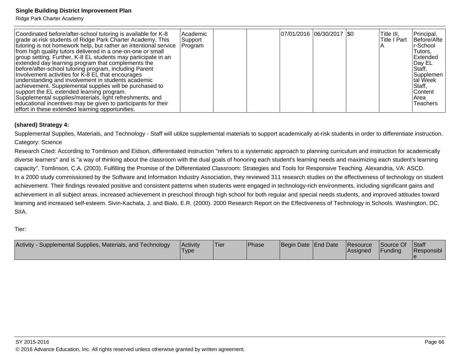Ridge Park Charter Academy

| Coordinated before/after-school tutoring is available for K-8<br>grade at-risk students of Ridge Park Charter Academy. This<br>tutoring is not homework help, but rather an intentional service<br>from high quality tutors delivered in a one-on-one or small<br>group setting. Further, K-8 EL students may participate in an<br>extended day learning program that complements the<br>before/after-school tutoring program, including Parent<br>Involvement activities for K-8 EL that encourages<br>understanding and involvement in students academic<br>achievement. Supplemental supplies will be purchased to<br>support the EL extended learning program.<br>Supplemental supplies/materials, light refreshments, and<br>educational incentives may be given to participants for their<br>effort in these extended learning opportunities. | Academic<br>Support<br>Program |  |  | 07/01/2016  06/30/2017  \$0 |  |  | Title III,<br>lTitle I Part | Principal,<br>Before/Afte<br>r-School<br> Tutors,<br><b>IExtended</b><br>Day EL<br>Staff,<br>Supplemen<br>tal Week<br>Staff,<br><b>Content</b><br>IArea<br>Teachers |
|-----------------------------------------------------------------------------------------------------------------------------------------------------------------------------------------------------------------------------------------------------------------------------------------------------------------------------------------------------------------------------------------------------------------------------------------------------------------------------------------------------------------------------------------------------------------------------------------------------------------------------------------------------------------------------------------------------------------------------------------------------------------------------------------------------------------------------------------------------|--------------------------------|--|--|-----------------------------|--|--|-----------------------------|---------------------------------------------------------------------------------------------------------------------------------------------------------------------|
|-----------------------------------------------------------------------------------------------------------------------------------------------------------------------------------------------------------------------------------------------------------------------------------------------------------------------------------------------------------------------------------------------------------------------------------------------------------------------------------------------------------------------------------------------------------------------------------------------------------------------------------------------------------------------------------------------------------------------------------------------------------------------------------------------------------------------------------------------------|--------------------------------|--|--|-----------------------------|--|--|-----------------------------|---------------------------------------------------------------------------------------------------------------------------------------------------------------------|

### **(shared) Strategy 4:**

Supplemental Supplies, Materials, and Technology - Staff will utilize supplemental materials to support academically at-risk students in order to differentiate instruction. Category: Science

Research Cited: According to Tomlinson and Eidson, differentiated instruction "refers to a systematic approach to planning curriculum and instruction for academicallydiverse learners" and is "a way of thinking about the classroom with the dual goals of honoring each student's learning needs and maximizing each student's learningcapacity". Tomlinson, C.A. (2003). Fulfilling the Promise of the Differentiated Classroom: Strategies and Tools for Responsive Teaching. Alexandria, VA: ASCD.In a 2000 study commissioned by the Software and Information Industry Association, they reviewed 311 research studies on the effectiveness of technology on student achievement. Their findings revealed positive and consistent patterns when students were engaged in technology-rich environments, including significant gains and achievement in all subject areas, increased achievement in preschool through high school for both regular and special needs students, and improved attitudes toward learning and increased self-esteem. Sivin-Kachala, J. and Bialo, E.R. (2000). 2000 Research Report on the Effectiveness of Technology in Schools. Washington, DC.SIIA.

Tier:

| Activity<br>Supplemental Supplies, Materials, and Technology | l Acti∨it∨<br><b>Type</b> | 'Tier | <b>IPhase</b> | Begin Date End Date | Resource<br><b>Assigned</b> | Source Of<br>Funding | <b>Staff</b><br>Responsibl |
|--------------------------------------------------------------|---------------------------|-------|---------------|---------------------|-----------------------------|----------------------|----------------------------|
|                                                              |                           |       |               |                     |                             |                      |                            |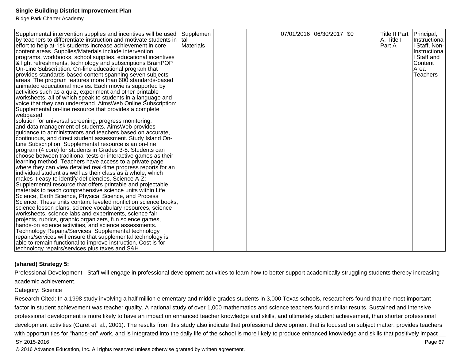Ridge Park Charter Academy

| Supplemental intervention supplies and incentives will be used<br>by teachers to differentiate instruction and motivate students in  tal<br>effort to help at-risk students increase achievement in core<br>content areas. Supplies/Materials include intervention<br>programs, workbooks, school supplies, educational incentives<br>& light refreshments, technology and subscriptions BrainPOP<br>On-Line Subscription: On-line educational program that<br>provides standards-based content spanning seven subjects<br>areas. The program features more than 600 standards-based<br>animated educational movies. Each movie is supported by<br>activities such as a quiz, experiment and other printable | Supplemen<br>Materials |  | 07/01/2016 06/30/2017 \$0 | Title II Part   Principal,<br>A, Title I<br>Part A | Instructiona<br>l Staff, Non-<br>Instructiona<br>I Staff and<br><b>Content</b><br>lArea<br><b>Teachers</b> |
|--------------------------------------------------------------------------------------------------------------------------------------------------------------------------------------------------------------------------------------------------------------------------------------------------------------------------------------------------------------------------------------------------------------------------------------------------------------------------------------------------------------------------------------------------------------------------------------------------------------------------------------------------------------------------------------------------------------|------------------------|--|---------------------------|----------------------------------------------------|------------------------------------------------------------------------------------------------------------|
| worksheets, all of which speak to students in a language and<br>voice that they can understand. AimsWeb Online Subscription:<br>Supplemental on-line resource that provides a complete<br>lwebbased                                                                                                                                                                                                                                                                                                                                                                                                                                                                                                          |                        |  |                           |                                                    |                                                                                                            |
| solution for universal screening, progress monitoring,<br>and data management of students. AimsWeb provides<br>guidance to administrators and teachers based on accurate,<br>continuous, and direct student assessment. Study Island On-                                                                                                                                                                                                                                                                                                                                                                                                                                                                     |                        |  |                           |                                                    |                                                                                                            |
| Line Subscription: Supplemental resource is an on-line<br>program (4 core) for students in Grades 3-8. Students can<br>choose between traditional tests or interactive games as their                                                                                                                                                                                                                                                                                                                                                                                                                                                                                                                        |                        |  |                           |                                                    |                                                                                                            |
| learning method. Teachers have access to a private page<br>where they can view detailed real-time progress reports for an<br>individual student as well as their class as a whole, which<br>makes it easy to identify deficiencies. Science A-Z:                                                                                                                                                                                                                                                                                                                                                                                                                                                             |                        |  |                           |                                                    |                                                                                                            |
| Supplemental resource that offers printable and projectable<br>materials to teach comprehensive science units within Life<br>Science, Earth Science, Physical Science, and Process                                                                                                                                                                                                                                                                                                                                                                                                                                                                                                                           |                        |  |                           |                                                    |                                                                                                            |
| Science. These units contain: leveled nonfiction science books,<br>science lesson plans, science vocabulary resources, science<br>worksheets, science labs and experiments, science fair<br>projects, rubrics, graphic organizers, fun science games,                                                                                                                                                                                                                                                                                                                                                                                                                                                        |                        |  |                           |                                                    |                                                                                                            |
| hands-on science activities, and science assessments.<br>Technology Repairs/Services: Supplemental technology<br>repairs/services will ensure that supplemental technology is                                                                                                                                                                                                                                                                                                                                                                                                                                                                                                                                |                        |  |                           |                                                    |                                                                                                            |
| able to remain functional to improve instruction. Cost is for<br>technology repairs/services plus taxes and S&H.                                                                                                                                                                                                                                                                                                                                                                                                                                                                                                                                                                                             |                        |  |                           |                                                    |                                                                                                            |

#### **(shared) Strategy 5:**

Professional Development - Staff will engage in professional development activities to learn how to better support academically struggling students thereby increasingacademic achievement.

#### Category: Science

Research Cited: In a 1998 study involving a half million elementary and middle grades students in 3,000 Texas schools, researchers found that the most important factor in student achievement was teacher quality. A national study of over 1,000 mathematics and science teachers found similar results. Sustained and intensive professional development is more likely to have an impact on enhanced teacher knowledge and skills, and ultimately student achievement, than shorter professionaldevelopment activities (Garet et. al., 2001). The results from this study also indicate that professional development that is focused on subject matter, provides teacherswith opportunities for "hands-on" work, and is integrated into the daily life of the school is more likely to produce enhanced knowledge and skills that positively impact

#### SY 2015-2016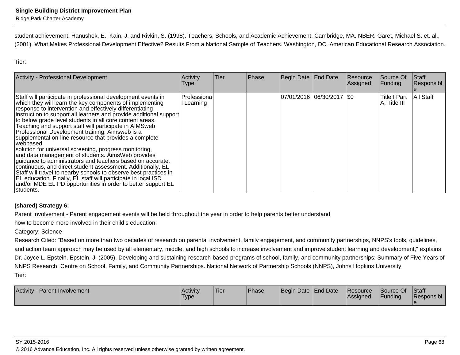student achievement. Hanushek, E., Kain, J. and Rivkin, S. (1998). Teachers, Schools, and Academic Achievement. Cambridge, MA. NBER. Garet, Michael S. et. al.,(2001). What Makes Professional Development Effective? Results From a National Sample of Teachers. Washington, DC. American Educational Research Association.

Tier:

| <b>Activity - Professional Development</b>                                                                                                                                                                                                                                                                                                                                                                                                                                                                                                                                                                                                                                                                                                                                                                                                                                                                                                                               | <b>Activity</b><br>Type   | Tier | Phase | Begin Date End Date        | Resource<br>Assigned | Source Of<br>Funding                | Staff<br>Responsibl |
|--------------------------------------------------------------------------------------------------------------------------------------------------------------------------------------------------------------------------------------------------------------------------------------------------------------------------------------------------------------------------------------------------------------------------------------------------------------------------------------------------------------------------------------------------------------------------------------------------------------------------------------------------------------------------------------------------------------------------------------------------------------------------------------------------------------------------------------------------------------------------------------------------------------------------------------------------------------------------|---------------------------|------|-------|----------------------------|----------------------|-------------------------------------|---------------------|
| Staff will participate in professional development events in<br>which they will learn the key components of implementing<br>response to intervention and effectively differentiating<br>instruction to support all learners and provide additional support<br>to below grade level students in all core content areas.<br>Teaching and support staff will participate in AIMSweb<br>Professional Development training, Aimsweb is a<br>supplemental on-line resource that provides a complete<br>webbased<br>solution for universal screening, progress monitoring,<br>and data management of students. AimsWeb provides<br>guidance to administrators and teachers based on accurate,<br>continuous, and direct student assessment. Additionally, EL<br>Staff will travel to nearby schools to observe best practices in<br>EL education. Finally, EL staff will participate in local ISD<br>and/or MDE EL PD opportunities in order to better support EL<br>Istudents. | Professiona<br>l Learning |      |       | 07/01/2016 06/30/2017 \\$0 |                      | <b>Title I Part</b><br>A, Title III | All Staff           |

## **(shared) Strategy 6:**

Parent Involvement - Parent engagement events will be held throughout the year in order to help parents better understand

how to become more involved in their child's education.

### Category: Science

 Research Cited: "Based on more than two decades of research on parental involvement, family engagement, and community partnerships, NNPS's tools, guidelines,and action team approach may be used by all elementary, middle, and high schools to increase involvement and improve student learning and development," explainsDr. Joyce L. Epstein. Epstein, J. (2005). Developing and sustaining research-based programs of school, family, and community partnerships: Summary of Five Years of NNPS Research, Centre on School, Family, and Community Partnerships. National Network of Partnership Schools (NNPS), Johns Hopkins University.Tier:

| <b>Activity</b><br><b>Parent Involvement</b> | l Acti∨it∨<br>Type. | Tier | <b>Phase</b> | Begin Date End Date | <b>Resource</b><br><b>Assigned</b> | Source Of<br>Funding | <b>Staff</b><br>Responsibl |
|----------------------------------------------|---------------------|------|--------------|---------------------|------------------------------------|----------------------|----------------------------|
|                                              |                     |      |              |                     |                                    |                      |                            |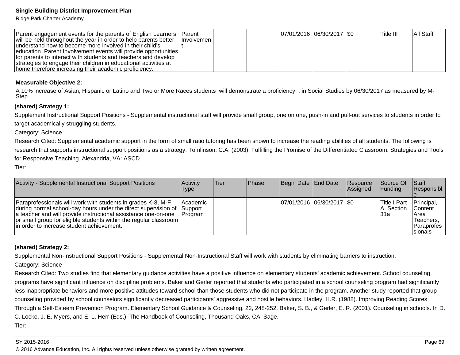Ridge Park Charter Academy

| Parent engagement events for the parents of English Learners Parent<br>will be held throughout the year in order to help parents better<br>understand how to become more involved in their child's<br>education. Parent Involvement events will provide opportunities<br>for parents to interact with students and teachers and develop<br>strategies to engage their children in educational activities at | <b>Involvemen</b> I | $ 07/01/2016 06/30/2017 $ \$0 |  | 'Title III | IAII Staff |
|-------------------------------------------------------------------------------------------------------------------------------------------------------------------------------------------------------------------------------------------------------------------------------------------------------------------------------------------------------------------------------------------------------------|---------------------|-------------------------------|--|------------|------------|
| Thome therefore increasing their academic proficiency.                                                                                                                                                                                                                                                                                                                                                      |                     |                               |  |            |            |

#### **Measurable Objective 2:**

A 10% increase of Asian, Hispanic or Latino and Two or More Races students will demonstrate a proficiency, in Social Studies by 06/30/2017 as measured by M-Step.

#### **(shared) Strategy 1:**

Supplement Instructional Support Positions - Supplemental instructional staff will provide small group, one on one, push-in and pull-out services to students in order totarget academically struggling students.

Category: Science

Research Cited: Supplemental academic support in the form of small ratio tutoring has been shown to increase the reading abilities of all students. The following is research that supports instructional support positions as a strategy: Tomlinson, C.A. (2003). Fulfilling the Promise of the Differentiated Classroom: Strategies and Tools for Responsive Teaching. Alexandria, VA: ASCD.

Tier:

| Activity - Supplemental Instructional Support Positions                                                                                                                                                                                                                                                                       | Activitv<br>Type            | Tier | <b>IPhase</b> | Begin Date End Date         | <b>Resource</b><br>Assigned | <b>Source Of</b><br><b>IFundina</b>  | Staff<br>Responsibl                                                                        |
|-------------------------------------------------------------------------------------------------------------------------------------------------------------------------------------------------------------------------------------------------------------------------------------------------------------------------------|-----------------------------|------|---------------|-----------------------------|-----------------------------|--------------------------------------|--------------------------------------------------------------------------------------------|
| Paraprofessionals will work with students in grades K-8, M-F<br>during normal school-day hours under the direct supervision of Support<br>a teacher and will provide instructional assistance one-on-one<br>or small group for eligible students within the regular classroom  <br>lin order to increase student achievement. | Academic<br><b>IProgram</b> |      |               | 07/01/2016 06/30/2017   \$0 |                             | lTitle I Part<br>IA. Section<br>l31a | Principal,<br><b>Content</b><br><b>IArea</b><br>Teachers.<br><b>Paraprofes</b><br>Isionals |

#### **(shared) Strategy 2:**

Supplemental Non-Instructional Support Positions - Supplemental Non-Instructional Staff will work with students by eliminating barriers to instruction.

Category: Science

Research Cited: Two studies find that elementary guidance activities have a positive influence on elementary students' academic achievement. School counseling programs have significant influence on discipline problems. Baker and Gerler reported that students who participated in a school counseling program had significantlyless inappropriate behaviors and more positive attitudes toward school than those students who did not participate in the program. Another study reported that group counseling provided by school counselors significantly decreased participants' aggressive and hostile behaviors. Hadley, H.R. (1988). Improving Reading Scores Through a Self-Esteem Prevention Program. Elementary School Guidance & Counseling, 22, 248-252. Baker, S. B., & Gerler, E. R. (2001). Counseling in schools. In D.C. Locke, J. E. Myers, and E. L. Herr (Eds.), The Handbook of Counseling, Thousand Oaks, CA: Sage.Tier:

#### SY 2015-2016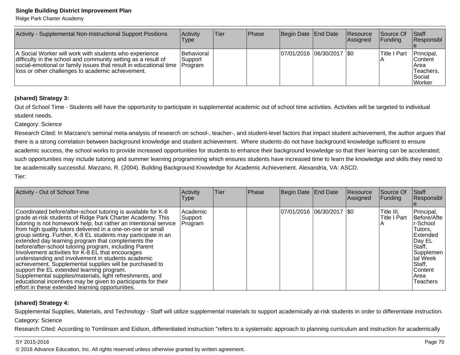Ridge Park Charter Academy

| Activity - Supplemental Non-Instructional Support Positions                                                                                                                                                                                                  | Activity<br>Type      | lTier | <b>IPhase</b> | Begin Date   End Date     | Resource<br>Assigned | Source Of<br><b>Funding</b> | Staff<br>Responsibl                                                      |
|--------------------------------------------------------------------------------------------------------------------------------------------------------------------------------------------------------------------------------------------------------------|-----------------------|-------|---------------|---------------------------|----------------------|-----------------------------|--------------------------------------------------------------------------|
| A Social Worker will work with students who experience<br>difficulty in the school and community setting as a result of<br>social-emotional or family issues that result in educational time   Program<br>lloss or other challenges to academic achievement. | Behavioral<br>Support |       |               | 07/01/2016 06/30/2017 \$0 |                      | <b>Title I Part</b>         | Principal,<br><b>Content</b><br>Area<br>lTeachers.<br>l Social<br>Worker |

### **(shared) Strategy 3:**

Out of School Time - Students will have the opportunity to participate in supplemental academic out of school time activities. Activities will be targeted to individualstudent needs.

Category: Science

Research Cited: In Marzano's seminal meta-analysis of research on school-, teacher-, and student-level factors that impact student achievement, the author argues that there is a strong correlation between background knowledge and student achievement. Where students do not have background knowledge sufficient to ensure academic success, the school works to provide increased opportunities for students to enhance their background knowledge so that their learning can be accelerated;such opportunities may include tutoring and summer learning programming which ensures students have increased time to learn the knowledge and skills they need tobe academically successful. Marzano, R. (2004). Building Background Knowledge for Academic Achievement. Alexandria, VA: ASCD. Tier:

| Activity - Out of School Time                                                                                                                                                                                                                                                                                                                                                                                                                                                                                                                                                                                                                                                                                                                                                                                                                       | Activity<br>Type                | <b>Tier</b> | Phase | Begin Date End Date         | Resource<br>Assigned | Source Of<br>Funding       | Staff<br>Responsibl                                                                                                                                                  |
|-----------------------------------------------------------------------------------------------------------------------------------------------------------------------------------------------------------------------------------------------------------------------------------------------------------------------------------------------------------------------------------------------------------------------------------------------------------------------------------------------------------------------------------------------------------------------------------------------------------------------------------------------------------------------------------------------------------------------------------------------------------------------------------------------------------------------------------------------------|---------------------------------|-------------|-------|-----------------------------|----------------------|----------------------------|----------------------------------------------------------------------------------------------------------------------------------------------------------------------|
| Coordinated before/after-school tutoring is available for K-8<br>grade at-risk students of Ridge Park Charter Academy. This<br>tutoring is not homework help, but rather an intentional service<br>from high quality tutors delivered in a one-on-one or small<br>group setting. Further, K-8 EL students may participate in an<br>extended day learning program that complements the<br>before/after-school tutoring program, including Parent<br>Involvement activities for K-8 EL that encourages<br>understanding and involvement in students academic<br>achievement. Supplemental supplies will be purchased to<br>support the EL extended learning program.<br>Supplemental supplies/materials, light refreshments, and<br>educational incentives may be given to participants for their<br>effort in these extended learning opportunities. | Academic <br>Support<br>Program |             |       | 07/01/2016  06/30/2017  \$0 |                      | Title III,<br>Title I Part | Principal,<br>Before/Afte<br>r-School<br>Tutors.<br><b>IExtended</b><br>Day EL<br>Staff,<br>l Supplemen<br>tal Week<br>Staff,<br><b>Content</b><br>lArea<br>Teachers |

### **(shared) Strategy 4:**

Supplemental Supplies, Materials, and Technology - Staff will utilize supplemental materials to support academically at-risk students in order to differentiate instruction. Category: Science

Research Cited: According to Tomlinson and Eidson, differentiated instruction "refers to a systematic approach to planning curriculum and instruction for academically

#### SY 2015-2016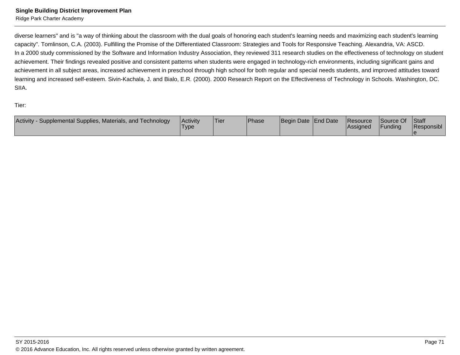diverse learners" and is "a way of thinking about the classroom with the dual goals of honoring each student's learning needs and maximizing each student's learningcapacity". Tomlinson, C.A. (2003). Fulfilling the Promise of the Differentiated Classroom: Strategies and Tools for Responsive Teaching. Alexandria, VA: ASCD.In a 2000 study commissioned by the Software and Information Industry Association, they reviewed 311 research studies on the effectiveness of technology on student achievement. Their findings revealed positive and consistent patterns when students were engaged in technology-rich environments, including significant gains and achievement in all subject areas, increased achievement in preschool through high school for both regular and special needs students, and improved attitudes toward learning and increased self-esteem. Sivin-Kachala, J. and Bialo, E.R. (2000). 2000 Research Report on the Effectiveness of Technology in Schools. Washington, DC.SIIA.

Tier:

| Activity<br>Supplemental Supplies, Materials, and Technology | Activity<br>'Type | <b>Tier</b> | Phase | Begin Date End Date | Resource<br><b>Assigned</b> | Source Of<br>Funding | <b>Staff</b><br>Responsibl |
|--------------------------------------------------------------|-------------------|-------------|-------|---------------------|-----------------------------|----------------------|----------------------------|
|                                                              |                   |             |       |                     |                             |                      |                            |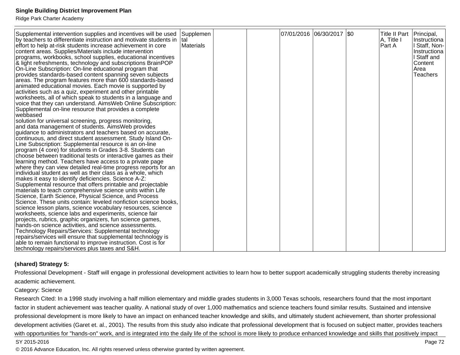Ridge Park Charter Academy

| Supplemental intervention supplies and incentives will be used<br>by teachers to differentiate instruction and motivate students in $ $ tal<br>effort to help at-risk students increase achievement in core<br>content areas. Supplies/Materials include intervention<br>programs, workbooks, school supplies, educational incentives<br>& light refreshments, technology and subscriptions BrainPOP<br>On-Line Subscription: On-line educational program that<br>provides standards-based content spanning seven subjects<br>areas. The program features more than 600 standards-based<br>animated educational movies. Each movie is supported by<br>activities such as a quiz, experiment and other printable<br>worksheets, all of which speak to students in a language and<br>voice that they can understand. AimsWeb Online Subscription:<br>Supplemental on-line resource that provides a complete<br>webbased<br>solution for universal screening, progress monitoring,<br>and data management of students. Aims Web provides<br>guidance to administrators and teachers based on accurate,<br>continuous, and direct student assessment. Study Island On-<br>Line Subscription: Supplemental resource is an on-line<br>program (4 core) for students in Grades 3-8. Students can<br>choose between traditional tests or interactive games as their<br>learning method. Teachers have access to a private page<br>where they can view detailed real-time progress reports for an<br>individual student as well as their class as a whole, which<br>makes it easy to identify deficiencies. Science A-Z:<br>Supplemental resource that offers printable and projectable<br>materials to teach comprehensive science units within Life<br>Science, Earth Science, Physical Science, and Process<br>Science. These units contain: leveled nonfiction science books,<br>science lesson plans, science vocabulary resources, science<br>worksheets, science labs and experiments, science fair<br>projects, rubrics, graphic organizers, fun science games,<br>hands-on science activities, and science assessments.<br>Technology Repairs/Services: Supplemental technology | Supplemen<br>Materials |  | 07/01/2016  06/30/2017  \$0 |  | Title II Part   Principal,<br>A, Title I<br>Part A | ∣Instructiona l<br>Staff, Non-<br>Instructiona<br>I Staff and<br>Content<br>lArea<br>Teachers |
|---------------------------------------------------------------------------------------------------------------------------------------------------------------------------------------------------------------------------------------------------------------------------------------------------------------------------------------------------------------------------------------------------------------------------------------------------------------------------------------------------------------------------------------------------------------------------------------------------------------------------------------------------------------------------------------------------------------------------------------------------------------------------------------------------------------------------------------------------------------------------------------------------------------------------------------------------------------------------------------------------------------------------------------------------------------------------------------------------------------------------------------------------------------------------------------------------------------------------------------------------------------------------------------------------------------------------------------------------------------------------------------------------------------------------------------------------------------------------------------------------------------------------------------------------------------------------------------------------------------------------------------------------------------------------------------------------------------------------------------------------------------------------------------------------------------------------------------------------------------------------------------------------------------------------------------------------------------------------------------------------------------------------------------------------------------------------------------------------------------------------------------------------------------------------------|------------------------|--|-----------------------------|--|----------------------------------------------------|-----------------------------------------------------------------------------------------------|
|                                                                                                                                                                                                                                                                                                                                                                                                                                                                                                                                                                                                                                                                                                                                                                                                                                                                                                                                                                                                                                                                                                                                                                                                                                                                                                                                                                                                                                                                                                                                                                                                                                                                                                                                                                                                                                                                                                                                                                                                                                                                                                                                                                                 |                        |  |                             |  |                                                    |                                                                                               |
| repairs/services will ensure that supplemental technology is<br>able to remain functional to improve instruction. Cost is for                                                                                                                                                                                                                                                                                                                                                                                                                                                                                                                                                                                                                                                                                                                                                                                                                                                                                                                                                                                                                                                                                                                                                                                                                                                                                                                                                                                                                                                                                                                                                                                                                                                                                                                                                                                                                                                                                                                                                                                                                                                   |                        |  |                             |  |                                                    |                                                                                               |
| technology repairs/services plus taxes and S&H.                                                                                                                                                                                                                                                                                                                                                                                                                                                                                                                                                                                                                                                                                                                                                                                                                                                                                                                                                                                                                                                                                                                                                                                                                                                                                                                                                                                                                                                                                                                                                                                                                                                                                                                                                                                                                                                                                                                                                                                                                                                                                                                                 |                        |  |                             |  |                                                    |                                                                                               |

### **(shared) Strategy 5:**

Professional Development - Staff will engage in professional development activities to learn how to better support academically struggling students thereby increasingacademic achievement.

#### Category: Science

Research Cited: In a 1998 study involving a half million elementary and middle grades students in 3,000 Texas schools, researchers found that the most important factor in student achievement was teacher quality. A national study of over 1,000 mathematics and science teachers found similar results. Sustained and intensive professional development is more likely to have an impact on enhanced teacher knowledge and skills, and ultimately student achievement, than shorter professionaldevelopment activities (Garet et. al., 2001). The results from this study also indicate that professional development that is focused on subject matter, provides teacherswith opportunities for "hands-on" work, and is integrated into the daily life of the school is more likely to produce enhanced knowledge and skills that positively impact

#### SY 2015-2016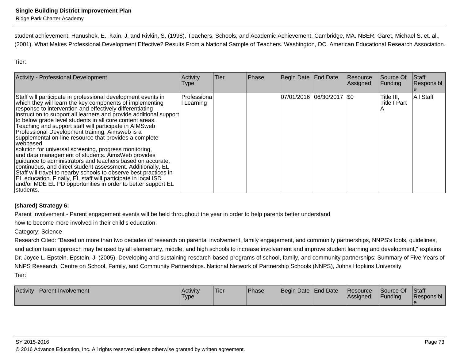student achievement. Hanushek, E., Kain, J. and Rivkin, S. (1998). Teachers, Schools, and Academic Achievement. Cambridge, MA. NBER. Garet, Michael S. et. al.,(2001). What Makes Professional Development Effective? Results From a National Sample of Teachers. Washington, DC. American Educational Research Association.

Tier:

| <b>Activity - Professional Development</b>                                                                                                                                                                                                                                                                                                                                                                                                                                                                                                                                                                                                                                                                                                                                                                                                                                                                                                                               | Activity<br>Type                 | lTier. | Phase | Begin Date End Date         | Resource<br>Assigned | Source Of<br>Funding              | Staff<br>Responsibl |
|--------------------------------------------------------------------------------------------------------------------------------------------------------------------------------------------------------------------------------------------------------------------------------------------------------------------------------------------------------------------------------------------------------------------------------------------------------------------------------------------------------------------------------------------------------------------------------------------------------------------------------------------------------------------------------------------------------------------------------------------------------------------------------------------------------------------------------------------------------------------------------------------------------------------------------------------------------------------------|----------------------------------|--------|-------|-----------------------------|----------------------|-----------------------------------|---------------------|
| Staff will participate in professional development events in<br>which they will learn the key components of implementing<br>response to intervention and effectively differentiating<br>instruction to support all learners and provide additional support<br>to below grade level students in all core content areas.<br>Teaching and support staff will participate in AIMSweb<br>Professional Development training, Aimsweb is a<br>supplemental on-line resource that provides a complete<br>webbased<br>solution for universal screening, progress monitoring,<br>and data management of students. AimsWeb provides<br>guidance to administrators and teachers based on accurate,<br>continuous, and direct student assessment. Additionally, EL<br>Staff will travel to nearby schools to observe best practices in<br>EL education. Finally, EL staff will participate in local ISD<br>and/or MDE EL PD opportunities in order to better support EL<br>Istudents. | <b>Professiona</b><br>l Learning |        |       | 07/01/2016 06/30/2017   \$0 |                      | Title III,<br><b>Title I Part</b> | All Staff           |

### **(shared) Strategy 6:**

Parent Involvement - Parent engagement events will be held throughout the year in order to help parents better understand

how to become more involved in their child's education.

### Category: Science

 Research Cited: "Based on more than two decades of research on parental involvement, family engagement, and community partnerships, NNPS's tools, guidelines,and action team approach may be used by all elementary, middle, and high schools to increase involvement and improve student learning and development," explainsDr. Joyce L. Epstein. Epstein, J. (2005). Developing and sustaining research-based programs of school, family, and community partnerships: Summary of Five Years of NNPS Research, Centre on School, Family, and Community Partnerships. National Network of Partnership Schools (NNPS), Johns Hopkins University.Tier:

| <b>Activity</b><br><b>Parent Involvement</b> | l Acti∨it∨<br>Type. | Tier | <b>Phase</b> | Begin Date End Date | <b>Resource</b><br><b>Assigned</b> | Source Of<br>Funding | <b>Staff</b><br>Responsibl |
|----------------------------------------------|---------------------|------|--------------|---------------------|------------------------------------|----------------------|----------------------------|
|                                              |                     |      |              |                     |                                    |                      |                            |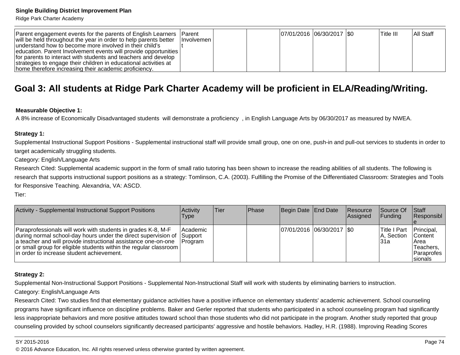Ridge Park Charter Academy

| Parent engagement events for the parents of English Learners     | lParent      |  | 07/01/2016 06/30/2017   \$0 |  | lTitle III. | IAII Staff |
|------------------------------------------------------------------|--------------|--|-----------------------------|--|-------------|------------|
| will be held throughout the year in order to help parents better | Hnvolvemen I |  |                             |  |             |            |
| understand how to become more involved in their child's          |              |  |                             |  |             |            |
| education. Parent Involvement events will provide opportunities  |              |  |                             |  |             |            |
| for parents to interact with students and teachers and develop   |              |  |                             |  |             |            |
| strategies to engage their children in educational activities at |              |  |                             |  |             |            |
| home therefore increasing their academic proficiency.            |              |  |                             |  |             |            |

# **Goal 3: All students at Ridge Park Charter Academy will be proficient in ELA/Reading/Writing.**

#### **Measurable Objective 1:**

A 8% increase of Economically Disadvantaged students will demonstrate a proficiency , in English Language Arts by 06/30/2017 as measured by NWEA.

#### **Strategy 1:**

Supplemental Instructional Support Positions - Supplemental instructional staff will provide small group, one on one, push-in and pull-out services to students in order totarget academically struggling students.

Category: English/Language Arts

Research Cited: Supplemental academic support in the form of small ratio tutoring has been shown to increase the reading abilities of all students. The following isresearch that supports instructional support positions as a strategy: Tomlinson, C.A. (2003). Fulfilling the Promise of the Differentiated Classroom: Strategies and Tools for Responsive Teaching. Alexandria, VA: ASCD.

Tier:

| Activity - Supplemental Instructional Support Positions                                                                                                                                                                                                                                                               | <b>Activity</b><br>Type          | Tier | <b>IPhase</b> | Begin Date End Date        | <b>Resource</b><br>Assigned | <b>Source Of</b><br>IFundina       | <b>Staff</b><br>Responsibl                                                     |
|-----------------------------------------------------------------------------------------------------------------------------------------------------------------------------------------------------------------------------------------------------------------------------------------------------------------------|----------------------------------|------|---------------|----------------------------|-----------------------------|------------------------------------|--------------------------------------------------------------------------------|
| Paraprofessionals will work with students in grades K-8, M-F<br>during normal school-day hours under the direct supervision of<br>a teacher and will provide instructional assistance one-on-one<br>or small group for eligible students within the regular classroom  <br>lin order to increase student achievement. | Academic<br>∣Support<br>IProgram |      |               | 07/01/2016 06/30/2017 \\$0 |                             | Title I Part<br>A, Section<br>l31a | Principal,<br><b>Content</b><br>Area<br>Teachers.<br>IParaprofes I<br>Isionals |

### **Strategy 2:**

Supplemental Non-Instructional Support Positions - Supplemental Non-Instructional Staff will work with students by eliminating barriers to instruction.

#### Category: English/Language Arts

Research Cited: Two studies find that elementary guidance activities have a positive influence on elementary students' academic achievement. School counseling programs have significant influence on discipline problems. Baker and Gerler reported that students who participated in a school counseling program had significantlyless inappropriate behaviors and more positive attitudes toward school than those students who did not participate in the program. Another study reported that group counseling provided by school counselors significantly decreased participants' aggressive and hostile behaviors. Hadley, H.R. (1988). Improving Reading Scores

#### SY 2015-2016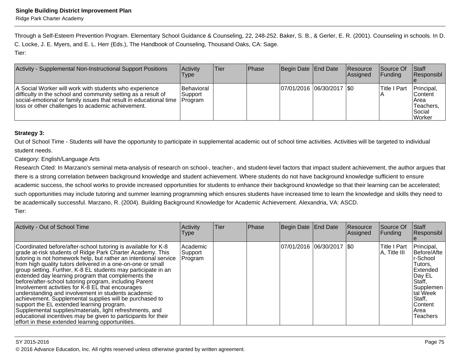Through a Self-Esteem Prevention Program. Elementary School Guidance & Counseling, 22, 248-252. Baker, S. B., & Gerler, E. R. (2001). Counseling in schools. In D.C. Locke, J. E. Myers, and E. L. Herr (Eds.), The Handbook of Counseling, Thousand Oaks, CA: Sage.Tier:

| Activity - Supplemental Non-Instructional Support Positions                                                                                                                                                                                       | Activity<br>Type                                   | <b>Tier</b> | <b>Phase</b> | Begin Date End Date         | <b>Resource</b><br>Assigned | <b>Source Of</b><br>IFundina | <b>Staff</b><br><b>Responsibl</b>                                   |
|---------------------------------------------------------------------------------------------------------------------------------------------------------------------------------------------------------------------------------------------------|----------------------------------------------------|-------------|--------------|-----------------------------|-----------------------------|------------------------------|---------------------------------------------------------------------|
| A Social Worker will work with students who experience<br>difficulty in the school and community setting as a result of<br>social-emotional or family issues that result in educational time<br>loss or other challenges to academic achievement. | <b>Behavioral</b><br>lSupport i<br><b>IProgram</b> |             |              | 07/01/2016 06/30/2017   \$0 |                             | lTitle I Part                | Principal,<br>Content<br>IArea<br>Teachers.<br>l Social<br>l Worker |

### **Strategy 3:**

Out of School Time - Students will have the opportunity to participate in supplemental academic out of school time activities. Activities will be targeted to individualstudent needs.

Category: English/Language Arts

Research Cited: In Marzano's seminal meta-analysis of research on school-, teacher-, and student-level factors that impact student achievement, the author argues thatthere is a strong correlation between background knowledge and student achievement. Where students do not have background knowledge sufficient to ensure academic success, the school works to provide increased opportunities for students to enhance their background knowledge so that their learning can be accelerated;such opportunities may include tutoring and summer learning programming which ensures students have increased time to learn the knowledge and skills they need to be academically successful. Marzano, R. (2004). Building Background Knowledge for Academic Achievement. Alexandria, VA: ASCD.Tier:

| Activity - Out of School Time                                                                                                                                                                                                                                                                                                                                                                                                                                                                                                                                                                                                                                                                                                                                                                                                                       | Activity<br><b>Type</b>         | <b>Tier</b> | Phase | Begin Date End Date |                             | Resource<br>Assigned | Source Of<br>Funding             | <b>Staff</b><br>Responsibl                                                                                                                                     |
|-----------------------------------------------------------------------------------------------------------------------------------------------------------------------------------------------------------------------------------------------------------------------------------------------------------------------------------------------------------------------------------------------------------------------------------------------------------------------------------------------------------------------------------------------------------------------------------------------------------------------------------------------------------------------------------------------------------------------------------------------------------------------------------------------------------------------------------------------------|---------------------------------|-------------|-------|---------------------|-----------------------------|----------------------|----------------------------------|----------------------------------------------------------------------------------------------------------------------------------------------------------------|
| Coordinated before/after-school tutoring is available for K-8<br>grade at-risk students of Ridge Park Charter Academy. This<br>tutoring is not homework help, but rather an intentional service<br>from high quality tutors delivered in a one-on-one or small<br>group setting. Further, K-8 EL students may participate in an<br>extended day learning program that complements the<br>before/after-school tutoring program, including Parent<br>Involvement activities for K-8 EL that encourages<br>understanding and involvement in students academic<br>achievement. Supplemental supplies will be purchased to<br>support the EL extended learning program.<br>Supplemental supplies/materials, light refreshments, and<br>educational incentives may be given to participants for their<br>effort in these extended learning opportunities. | Academic <br>Support<br>Program |             |       |                     | 07/01/2016  06/30/2017  \$0 |                      | lTitle I Part<br>$A$ , Title III | Principal,<br>Before/Afte<br>lr-School<br>Tutors,<br><b>IExtended</b><br>Day EL<br>Staff,<br> Supplemen<br>tal Week<br>Staff,<br>lContent<br>lArea<br>Teachers |

#### SY 2015-2016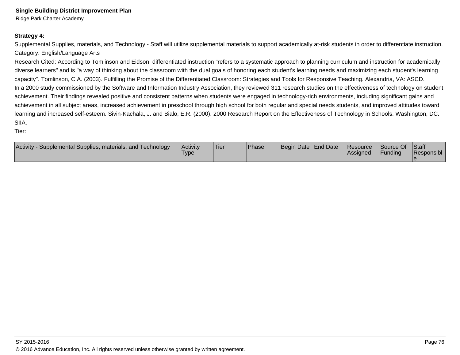Ridge Park Charter Academy

### **Strategy 4:**

Supplemental Supplies, materials, and Technology - Staff will utilize supplemental materials to support academically at-risk students in order to differentiate instruction.Category: English/Language Arts

Research Cited: According to Tomlinson and Eidson, differentiated instruction "refers to a systematic approach to planning curriculum and instruction for academically diverse learners" and is "a way of thinking about the classroom with the dual goals of honoring each student's learning needs and maximizing each student's learningcapacity". Tomlinson, C.A. (2003). Fulfilling the Promise of the Differentiated Classroom: Strategies and Tools for Responsive Teaching. Alexandria, VA: ASCD.In a 2000 study commissioned by the Software and Information Industry Association, they reviewed 311 research studies on the effectiveness of technology on studentachievement. Their findings revealed positive and consistent patterns when students were engaged in technology-rich environments, including significant gains andachievement in all subject areas, increased achievement in preschool through high school for both regular and special needs students, and improved attitudes toward learning and increased self-esteem. Sivin-Kachala, J. and Bialo, E.R. (2000). 2000 Research Report on the Effectiveness of Technology in Schools. Washington, DC.SIIA.

Tier:

| <b>Activity</b><br>Supplemental Supplies, materials, and Technology<br><b>Activity</b><br>Type | Tier | <sup>1</sup> Phase | Begin Date End Date |  | <b>Resource</b><br>lAssianed | Source Of<br>Funding | <b>Staff</b><br>Responsibl |
|------------------------------------------------------------------------------------------------|------|--------------------|---------------------|--|------------------------------|----------------------|----------------------------|
|------------------------------------------------------------------------------------------------|------|--------------------|---------------------|--|------------------------------|----------------------|----------------------------|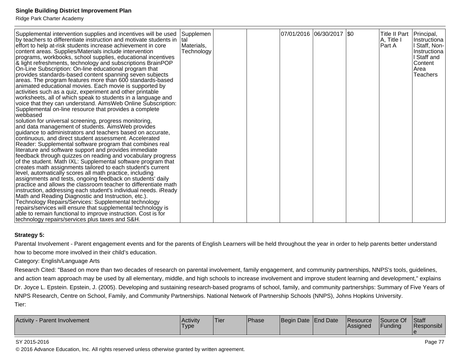Ridge Park Charter Academy

| Supplemental intervention supplies and incentives will be used<br>by teachers to differentiate instruction and motivate students in<br>effort to help at-risk students increase achievement in core<br>content areas. Supplies/Materials include intervention<br>programs, workbooks, school supplies, educational incentives<br>& light refreshments, technology and subscriptions BrainPOP<br>On-Line Subscription: On-line educational program that<br>provides standards-based content spanning seven subjects<br>areas. The program features more than 600 standards-based<br>animated educational movies. Each movie is supported by<br>activities such as a quiz, experiment and other printable<br>worksheets, all of which speak to students in a language and<br>voice that they can understand. AimsWeb Online Subscription:<br>Supplemental on-line resource that provides a complete<br>webbased<br>solution for universal screening, progress monitoring,<br>and data management of students. AimsWeb provides<br>guidance to administrators and teachers based on accurate,<br>continuous, and direct student assessment. Accelerated<br>Reader: Supplemental software program that combines real<br>literature and software support and provides immediate<br>feedback through quizzes on reading and vocabulary progress<br>of the student. Math IXL: Supplemental software program that<br>creates math assignments tailored to each student's current<br>level, automatically scores all math practice, including<br>assignments and tests, ongoing feedback on students' daily<br>practice and allows the classroom teacher to differentiate math<br>instruction, addressing each student's individual needs. iReady<br>Math and Reading Diagnostic and Instruction, etc.).<br>Technology Repairs/Services: Supplemental technology<br>repairs/services will ensure that supplemental technology is | Supplemen<br>ltal<br>Materials,<br>Technology |  | 07/01/2016  06/30/2017  \$0 | Title II Part   Principal,<br>A, Title I<br>Part A | Instructiona<br>Staff, Non-<br>Instructiona<br>Staff and<br>Content<br>Area<br><b>Teachers</b> |
|-------------------------------------------------------------------------------------------------------------------------------------------------------------------------------------------------------------------------------------------------------------------------------------------------------------------------------------------------------------------------------------------------------------------------------------------------------------------------------------------------------------------------------------------------------------------------------------------------------------------------------------------------------------------------------------------------------------------------------------------------------------------------------------------------------------------------------------------------------------------------------------------------------------------------------------------------------------------------------------------------------------------------------------------------------------------------------------------------------------------------------------------------------------------------------------------------------------------------------------------------------------------------------------------------------------------------------------------------------------------------------------------------------------------------------------------------------------------------------------------------------------------------------------------------------------------------------------------------------------------------------------------------------------------------------------------------------------------------------------------------------------------------------------------------------------------------------------------------------------------------------------------------------------------------|-----------------------------------------------|--|-----------------------------|----------------------------------------------------|------------------------------------------------------------------------------------------------|
| able to remain functional to improve instruction. Cost is for<br>technology repairs/services plus taxes and S&H.                                                                                                                                                                                                                                                                                                                                                                                                                                                                                                                                                                                                                                                                                                                                                                                                                                                                                                                                                                                                                                                                                                                                                                                                                                                                                                                                                                                                                                                                                                                                                                                                                                                                                                                                                                                                        |                                               |  |                             |                                                    |                                                                                                |

### **Strategy 5:**

Parental Involvement - Parent engagement events and for the parents of English Learners will be held throughout the year in order to help parents better understand how to become more involved in their child's education.

Category: English/Language Arts

 Research Cited: "Based on more than two decades of research on parental involvement, family engagement, and community partnerships, NNPS's tools, guidelines,and action team approach may be used by all elementary, middle, and high schools to increase involvement and improve student learning and development," explainsDr. Joyce L. Epstein. Epstein, J. (2005). Developing and sustaining research-based programs of school, family, and community partnerships: Summary of Five Years of NNPS Research, Centre on School, Family, and Community Partnerships. National Network of Partnership Schools (NNPS), Johns Hopkins University.Tier:

| Activity<br>. Parent Involvement | Activitv<br>'Type | 'Tier | Phase | Begin Date End Date |  | <b>Resource</b><br> Assigned | $\bigcap$<br>Source Of<br>Funding | <b>Staff</b><br>Responsibl |
|----------------------------------|-------------------|-------|-------|---------------------|--|------------------------------|-----------------------------------|----------------------------|
|----------------------------------|-------------------|-------|-------|---------------------|--|------------------------------|-----------------------------------|----------------------------|

#### SY 2015-2016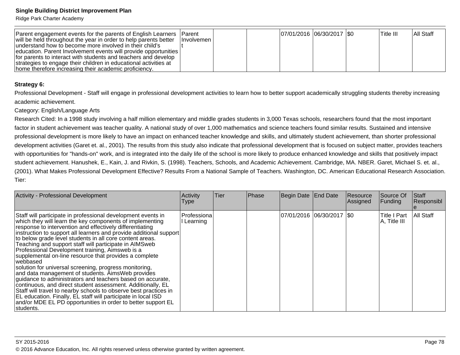Ridge Park Charter Academy

| Parent engagement events for the parents of English Learners Parent |                     |  | 07/01/2016 06/30/2017 \$0 | lTitle III. | <b>AII Staff</b> |
|---------------------------------------------------------------------|---------------------|--|---------------------------|-------------|------------------|
| will be held throughout the year in order to help parents better    | <b>Involvemen</b> I |  |                           |             |                  |
| lunderstand how to become more involved in their child's            |                     |  |                           |             |                  |
| education. Parent Involvement events will provide opportunities     |                     |  |                           |             |                  |
| for parents to interact with students and teachers and develop      |                     |  |                           |             |                  |
| strategies to engage their children in educational activities at    |                     |  |                           |             |                  |
| home therefore increasing their academic proficiency.               |                     |  |                           |             |                  |

#### **Strategy 6:**

Professional Development - Staff will engage in professional development activities to learn how to better support academically struggling students thereby increasingacademic achievement.

Category: English/Language Arts

Research Cited: In a 1998 study involving a half million elementary and middle grades students in 3,000 Texas schools, researchers found that the most importantfactor in student achievement was teacher quality. A national study of over 1,000 mathematics and science teachers found similar results. Sustained and intensive professional development is more likely to have an impact on enhanced teacher knowledge and skills, and ultimately student achievement, than shorter professionaldevelopment activities (Garet et. al., 2001). The results from this study also indicate that professional development that is focused on subject matter, provides teacherswith opportunities for "hands-on" work, and is integrated into the daily life of the school is more likely to produce enhanced knowledge and skills that positively impact student achievement. Hanushek, E., Kain, J. and Rivkin, S. (1998). Teachers, Schools, and Academic Achievement. Cambridge, MA. NBER. Garet, Michael S. et. al.,(2001). What Makes Professional Development Effective? Results From a National Sample of Teachers. Washington, DC. American Educational Research Association.Tier:

| <b>Activity - Professional Development</b>                                                                                                                                                                                                                                                                                                                                                                                                                                                                                                                                                                                                                                                                                                                                                                                                                                                                                                                                | Activity<br>Type          | Tier | Phase | Begin Date End Date         | Resource<br>Assigned | Source Of<br>Funding          | <b>Staff</b><br>Responsibl |
|---------------------------------------------------------------------------------------------------------------------------------------------------------------------------------------------------------------------------------------------------------------------------------------------------------------------------------------------------------------------------------------------------------------------------------------------------------------------------------------------------------------------------------------------------------------------------------------------------------------------------------------------------------------------------------------------------------------------------------------------------------------------------------------------------------------------------------------------------------------------------------------------------------------------------------------------------------------------------|---------------------------|------|-------|-----------------------------|----------------------|-------------------------------|----------------------------|
| Staff will participate in professional development events in<br>which they will learn the key components of implementing<br>response to intervention and effectively differentiating<br>instruction to support all learners and provide additional support<br>to below grade level students in all core content areas.<br>Teaching and support staff will participate in AIMSweb<br>Professional Development training, Aimsweb is a<br>supplemental on-line resource that provides a complete<br>lwebbased<br>solution for universal screening, progress monitoring,<br>and data management of students. AimsWeb provides<br>guidance to administrators and teachers based on accurate,<br>continuous, and direct student assessment. Additionally, EL<br>Staff will travel to nearby schools to observe best practices in<br>EL education. Finally, EL staff will participate in local ISD<br>and/or MDE EL PD opportunities in order to better support EL<br>Istudents. | Professiona<br>l Learning |      |       | 07/01/2016  06/30/2017  \$0 |                      | lTitle I Part<br>A, Title III | All Staff                  |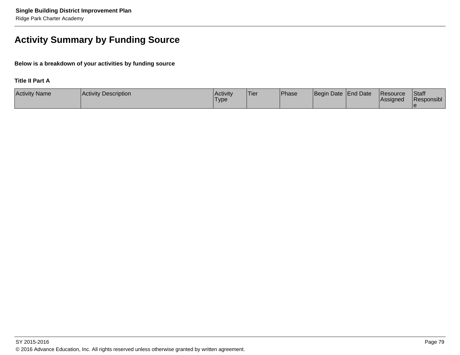# **Activity Summary by Funding Source**

**Below is a breakdown of your activities by funding source**

### **Title II Part A**

| <b>Activity Name</b> | <b>Activity Description</b> | <b>Activity</b><br><sup>1</sup> Type | 'Tier | <b>Phase</b> | Begin Date End Date | <b>Resource</b><br><b>Assigned</b> | <b>Staff</b><br>Responsibl |
|----------------------|-----------------------------|--------------------------------------|-------|--------------|---------------------|------------------------------------|----------------------------|
|                      |                             |                                      |       |              |                     |                                    |                            |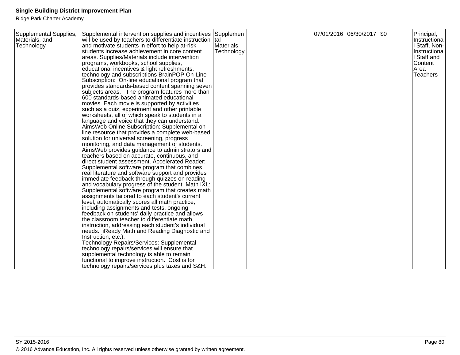| Supplemental Supplies,<br>Materials, and<br>Technology | Supplemental intervention supplies and incentives<br>will be used by teachers to differentiate instruction  tal<br>and motivate students in effort to help at-risk<br>Istudents increase achievement in core content<br>areas. Supplies/Materials include intervention<br>programs, workbooks, school supplies,<br>educational incentives & light refreshments,<br>technology and subscriptions BrainPOP On-Line<br>Subscription: On-line educational program that<br>provides standards-based content spanning seven<br>subjects areas. The program features more than<br>600 standards-based animated educational<br>movies. Each movie is supported by activities<br>such as a quiz, experiment and other printable<br>worksheets, all of which speak to students in a<br>language and voice that they can understand.<br>AimsWeb Online Subscription: Supplemental on-<br>line resource that provides a complete web-based<br>solution for universal screening, progress<br>monitoring, and data management of students.<br>AimsWeb provides guidance to administrators and<br>teachers based on accurate, continuous, and<br>direct student assessment. Accelerated Reader:<br>Supplemental software program that combines<br>real literature and software support and provides<br>immediate feedback through quizzes on reading<br>and vocabulary progress of the student. Math IXL:<br>Supplemental software program that creates math<br>assignments tailored to each student's current<br>level, automatically scores all math practice,<br>including assignments and tests, ongoing<br>feedback on students' daily practice and allows<br>the classroom teacher to differentiate math<br>instruction, addressing each student's individual<br>needs. iReady Math and Reading Diagnostic and<br>Instruction, etc.).<br>Technology Repairs/Services: Supplemental | Supplemen<br>Materials,<br>Technology |  | 07/01/2016 06/30/2017 \$0 | Principal,<br>Instructiona<br>l Staff, Non-<br>Instructiona<br>Staff and<br>Content<br>Area<br>Teachers |
|--------------------------------------------------------|---------------------------------------------------------------------------------------------------------------------------------------------------------------------------------------------------------------------------------------------------------------------------------------------------------------------------------------------------------------------------------------------------------------------------------------------------------------------------------------------------------------------------------------------------------------------------------------------------------------------------------------------------------------------------------------------------------------------------------------------------------------------------------------------------------------------------------------------------------------------------------------------------------------------------------------------------------------------------------------------------------------------------------------------------------------------------------------------------------------------------------------------------------------------------------------------------------------------------------------------------------------------------------------------------------------------------------------------------------------------------------------------------------------------------------------------------------------------------------------------------------------------------------------------------------------------------------------------------------------------------------------------------------------------------------------------------------------------------------------------------------------------------------------------------------------------------------------------------------------------------|---------------------------------------|--|---------------------------|---------------------------------------------------------------------------------------------------------|
|                                                        | technology repairs/services will ensure that<br>supplemental technology is able to remain<br>functional to improve instruction. Cost is for<br>technology repairs/services plus taxes and S&H.                                                                                                                                                                                                                                                                                                                                                                                                                                                                                                                                                                                                                                                                                                                                                                                                                                                                                                                                                                                                                                                                                                                                                                                                                                                                                                                                                                                                                                                                                                                                                                                                                                                                            |                                       |  |                           |                                                                                                         |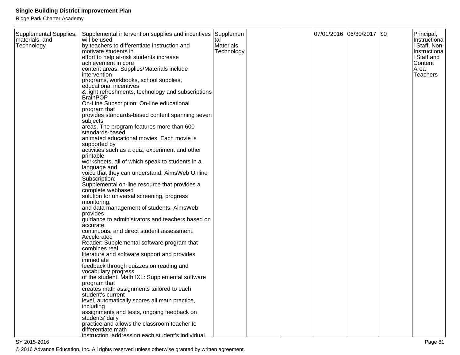Ridge Park Charter Academy

| Supplemental Supplies,<br>materials, and<br>Technology | Supplemental intervention supplies and incentives<br>will be used<br>by teachers to differentiate instruction and<br>motivate students in<br>effort to help at-risk students increase<br>achievement in core<br>content areas. Supplies/Materials include<br> intervention<br>programs, workbooks, school supplies,<br>educational incentives<br>& light refreshments, technology and subscriptions<br>BrainPOP<br>On-Line Subscription: On-line educational<br>program that<br>provides standards-based content spanning seven<br>subjects<br>areas. The program features more than 600<br>standards-based<br>animated educational movies. Each movie is<br>supported by<br>activities such as a quiz, experiment and other<br>printable<br>worksheets, all of which speak to students in a<br>language and<br>voice that they can understand. AimsWeb Online<br>Subscription:<br>Supplemental on-line resource that provides a<br>complete webbased<br>solution for universal screening, progress<br>monitoring,<br>and data management of students. AimsWeb<br>provides<br>guidance to administrators and teachers based on<br>accurate,<br>continuous, and direct student assessment.<br>Accelerated<br>Reader: Supplemental software program that<br>combines real<br>literature and software support and provides<br> immediate<br>feedback through quizzes on reading and<br>vocabulary progress<br>of the student. Math IXL: Supplemental software<br>program that<br>creates math assignments tailored to each<br>student's current | Supplemen<br>tal<br>Materials,<br>Technology |  | 07/01/2016 06/30/2017 \$0 | Principal,<br>Instructiona<br><b>Staff, Non-</b><br>Instructiona<br>I Staff and<br>Content<br>Area<br><b>Teachers</b> |
|--------------------------------------------------------|----------------------------------------------------------------------------------------------------------------------------------------------------------------------------------------------------------------------------------------------------------------------------------------------------------------------------------------------------------------------------------------------------------------------------------------------------------------------------------------------------------------------------------------------------------------------------------------------------------------------------------------------------------------------------------------------------------------------------------------------------------------------------------------------------------------------------------------------------------------------------------------------------------------------------------------------------------------------------------------------------------------------------------------------------------------------------------------------------------------------------------------------------------------------------------------------------------------------------------------------------------------------------------------------------------------------------------------------------------------------------------------------------------------------------------------------------------------------------------------------------------------------------------------------|----------------------------------------------|--|---------------------------|-----------------------------------------------------------------------------------------------------------------------|
|                                                        |                                                                                                                                                                                                                                                                                                                                                                                                                                                                                                                                                                                                                                                                                                                                                                                                                                                                                                                                                                                                                                                                                                                                                                                                                                                                                                                                                                                                                                                                                                                                              |                                              |  |                           |                                                                                                                       |
|                                                        | level, automatically scores all math practice,<br> including<br>assignments and tests, ongoing feedback on<br>students' daily<br>practice and allows the classroom teacher to<br>l <sup>'</sup> differentiate math<br>instruction. addressing each student's individual                                                                                                                                                                                                                                                                                                                                                                                                                                                                                                                                                                                                                                                                                                                                                                                                                                                                                                                                                                                                                                                                                                                                                                                                                                                                      |                                              |  |                           |                                                                                                                       |
|                                                        |                                                                                                                                                                                                                                                                                                                                                                                                                                                                                                                                                                                                                                                                                                                                                                                                                                                                                                                                                                                                                                                                                                                                                                                                                                                                                                                                                                                                                                                                                                                                              |                                              |  |                           |                                                                                                                       |

en and the set of the set of the set of the set of the set of the set of the set of the set of the set of the set of the set of the set of the set of the set of the set of the set of the set of the set of the set of the se © 2016 Advance Education, Inc. All rights reserved unless otherwise granted by written agreement.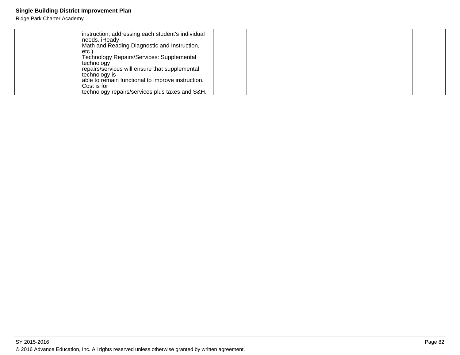| instruction, addressing each student's individual |  |  |
|---------------------------------------------------|--|--|
| needs. iReady                                     |  |  |
|                                                   |  |  |
| Math and Reading Diagnostic and Instruction,      |  |  |
| letc.)                                            |  |  |
| Technology Repairs/Services: Supplemental         |  |  |
| technology                                        |  |  |
| repairs/services will ensure that supplemental    |  |  |
| technology is                                     |  |  |
| able to remain functional to improve instruction. |  |  |
| Cost is for                                       |  |  |
| technology repairs/services plus taxes and S&H.   |  |  |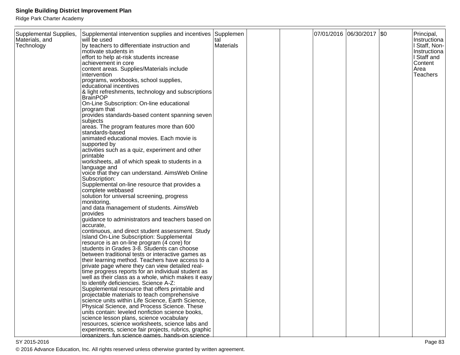Ridge Park Charter Academy

| Supplemental Supplies, | Supplemental intervention supplies and incentives Supplemen                                      |           |  | 07/01/2016 06/30/2017 \$0 | Principal,                  |
|------------------------|--------------------------------------------------------------------------------------------------|-----------|--|---------------------------|-----------------------------|
| Materials, and         | will be used                                                                                     | tal       |  |                           | Instructiona                |
| Technology             | by teachers to differentiate instruction and                                                     | Materials |  |                           | l Staff, Non-               |
|                        | motivate students in<br>effort to help at-risk students increase                                 |           |  |                           | Instructiona<br>I Staff and |
|                        | achievement in core                                                                              |           |  |                           | Content                     |
|                        | content areas. Supplies/Materials include                                                        |           |  |                           | Area                        |
|                        | intervention                                                                                     |           |  |                           | Teachers                    |
|                        | programs, workbooks, school supplies,                                                            |           |  |                           |                             |
|                        | educational incentives                                                                           |           |  |                           |                             |
|                        | & light refreshments, technology and subscriptions                                               |           |  |                           |                             |
|                        | <b>BrainPOP</b>                                                                                  |           |  |                           |                             |
|                        | On-Line Subscription: On-line educational                                                        |           |  |                           |                             |
|                        | program that                                                                                     |           |  |                           |                             |
|                        | provides standards-based content spanning seven                                                  |           |  |                           |                             |
|                        | subjects                                                                                         |           |  |                           |                             |
|                        | areas. The program features more than 600                                                        |           |  |                           |                             |
|                        | standards-based                                                                                  |           |  |                           |                             |
|                        | animated educational movies. Each movie is                                                       |           |  |                           |                             |
|                        | supported by                                                                                     |           |  |                           |                             |
|                        | activities such as a quiz, experiment and other<br>printable                                     |           |  |                           |                             |
|                        | worksheets, all of which speak to students in a                                                  |           |  |                           |                             |
|                        | language and                                                                                     |           |  |                           |                             |
|                        | voice that they can understand. Aims Web Online                                                  |           |  |                           |                             |
|                        | Subscription:                                                                                    |           |  |                           |                             |
|                        | Supplemental on-line resource that provides a                                                    |           |  |                           |                             |
|                        | complete webbased                                                                                |           |  |                           |                             |
|                        | solution for universal screening, progress                                                       |           |  |                           |                             |
|                        | monitoring,                                                                                      |           |  |                           |                             |
|                        | and data management of students. AimsWeb                                                         |           |  |                           |                             |
|                        | provides                                                                                         |           |  |                           |                             |
|                        | guidance to administrators and teachers based on                                                 |           |  |                           |                             |
|                        | accurate.<br>continuous, and direct student assessment. Study                                    |           |  |                           |                             |
|                        | Island On-Line Subscription: Supplemental                                                        |           |  |                           |                             |
|                        | resource is an on-line program (4 core) for                                                      |           |  |                           |                             |
|                        | students in Grades 3-8. Students can choose                                                      |           |  |                           |                             |
|                        | between traditional tests or interactive games as                                                |           |  |                           |                             |
|                        | their learning method. Teachers have access to a                                                 |           |  |                           |                             |
|                        | private page where they can view detailed real-                                                  |           |  |                           |                             |
|                        | time progress reports for an individual student as                                               |           |  |                           |                             |
|                        | well as their class as a whole, which makes it easy                                              |           |  |                           |                             |
|                        | to identify deficiencies. Science A-Z:                                                           |           |  |                           |                             |
|                        | Supplemental resource that offers printable and                                                  |           |  |                           |                             |
|                        | projectable materials to teach comprehensive                                                     |           |  |                           |                             |
|                        | science units within Life Science, Earth Science,                                                |           |  |                           |                             |
|                        | Physical Science, and Process Science. These<br>units contain: leveled nonfiction science books, |           |  |                           |                             |
|                        | science lesson plans, science vocabulary                                                         |           |  |                           |                             |
|                        | resources, science worksheets, science labs and                                                  |           |  |                           |                             |
|                        | experiments, science fair projects, rubrics, graphic                                             |           |  |                           |                             |
|                        | organizers, fun science games, hands-on science                                                  |           |  |                           |                             |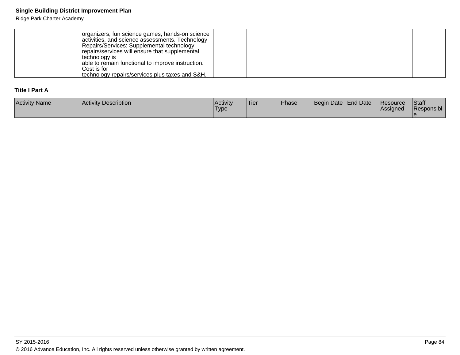### Ridge Park Charter Academy

| organizers, fun science games, hands-on science<br>activities, and science assessments. Technology<br>Repairs/Services: Supplemental technology<br>repairs/services will ensure that supplemental<br>technology is<br>able to remain functional to improve instruction.<br>Cost is for |  |  |  |  |
|----------------------------------------------------------------------------------------------------------------------------------------------------------------------------------------------------------------------------------------------------------------------------------------|--|--|--|--|
| Itechnology repairs/services plus taxes and S&H.                                                                                                                                                                                                                                       |  |  |  |  |

### **Title I Part A**

| <b>Activity Name</b> | Activity Description | Activity<br><b>Type</b> | 'Tier | Phase | Begin Date End Date | <b>Resource</b><br><b>Assigned</b> | <b>Staff</b><br>Responsibl |
|----------------------|----------------------|-------------------------|-------|-------|---------------------|------------------------------------|----------------------------|
|                      |                      |                         |       |       |                     |                                    |                            |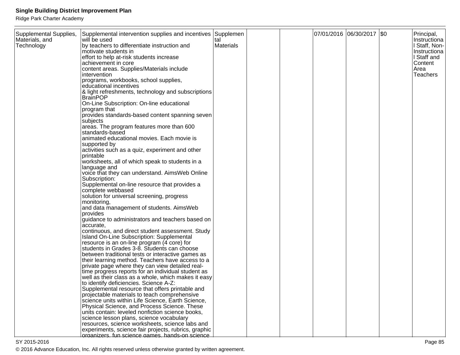Ridge Park Charter Academy

| Supplemental Supplies, | Supplemental intervention supplies and incentives Supplemen                                      |           |  | 07/01/2016 06/30/2017 \$0 | Principal,                  |
|------------------------|--------------------------------------------------------------------------------------------------|-----------|--|---------------------------|-----------------------------|
| Materials, and         | will be used                                                                                     | tal       |  |                           | Instructiona                |
| Technology             | by teachers to differentiate instruction and                                                     | Materials |  |                           | l Staff, Non-               |
|                        | motivate students in<br>effort to help at-risk students increase                                 |           |  |                           | Instructiona<br>I Staff and |
|                        | achievement in core                                                                              |           |  |                           | Content                     |
|                        | content areas. Supplies/Materials include                                                        |           |  |                           | Area                        |
|                        | intervention                                                                                     |           |  |                           | Teachers                    |
|                        | programs, workbooks, school supplies,                                                            |           |  |                           |                             |
|                        | educational incentives                                                                           |           |  |                           |                             |
|                        | & light refreshments, technology and subscriptions                                               |           |  |                           |                             |
|                        | <b>BrainPOP</b>                                                                                  |           |  |                           |                             |
|                        | On-Line Subscription: On-line educational                                                        |           |  |                           |                             |
|                        | program that                                                                                     |           |  |                           |                             |
|                        | provides standards-based content spanning seven                                                  |           |  |                           |                             |
|                        | subjects                                                                                         |           |  |                           |                             |
|                        | areas. The program features more than 600                                                        |           |  |                           |                             |
|                        | standards-based                                                                                  |           |  |                           |                             |
|                        | animated educational movies. Each movie is                                                       |           |  |                           |                             |
|                        | supported by                                                                                     |           |  |                           |                             |
|                        | activities such as a quiz, experiment and other<br>printable                                     |           |  |                           |                             |
|                        | worksheets, all of which speak to students in a                                                  |           |  |                           |                             |
|                        | language and                                                                                     |           |  |                           |                             |
|                        | voice that they can understand. Aims Web Online                                                  |           |  |                           |                             |
|                        | Subscription:                                                                                    |           |  |                           |                             |
|                        | Supplemental on-line resource that provides a                                                    |           |  |                           |                             |
|                        | complete webbased                                                                                |           |  |                           |                             |
|                        | solution for universal screening, progress                                                       |           |  |                           |                             |
|                        | monitoring,                                                                                      |           |  |                           |                             |
|                        | and data management of students. AimsWeb                                                         |           |  |                           |                             |
|                        | provides                                                                                         |           |  |                           |                             |
|                        | guidance to administrators and teachers based on                                                 |           |  |                           |                             |
|                        | accurate.<br>continuous, and direct student assessment. Study                                    |           |  |                           |                             |
|                        | Island On-Line Subscription: Supplemental                                                        |           |  |                           |                             |
|                        | resource is an on-line program (4 core) for                                                      |           |  |                           |                             |
|                        | students in Grades 3-8. Students can choose                                                      |           |  |                           |                             |
|                        | between traditional tests or interactive games as                                                |           |  |                           |                             |
|                        | their learning method. Teachers have access to a                                                 |           |  |                           |                             |
|                        | private page where they can view detailed real-                                                  |           |  |                           |                             |
|                        | time progress reports for an individual student as                                               |           |  |                           |                             |
|                        | well as their class as a whole, which makes it easy                                              |           |  |                           |                             |
|                        | to identify deficiencies. Science A-Z:                                                           |           |  |                           |                             |
|                        | Supplemental resource that offers printable and                                                  |           |  |                           |                             |
|                        | projectable materials to teach comprehensive                                                     |           |  |                           |                             |
|                        | science units within Life Science, Earth Science,                                                |           |  |                           |                             |
|                        | Physical Science, and Process Science. These<br>units contain: leveled nonfiction science books, |           |  |                           |                             |
|                        | science lesson plans, science vocabulary                                                         |           |  |                           |                             |
|                        | resources, science worksheets, science labs and                                                  |           |  |                           |                             |
|                        | experiments, science fair projects, rubrics, graphic                                             |           |  |                           |                             |
|                        | organizers, fun science games, hands-on science                                                  |           |  |                           |                             |

en and the state of the state of the state of the state of the state of the state of the state  $P$ age 85  $\,$ © 2016 Advance Education, Inc. All rights reserved unless otherwise granted by written agreement.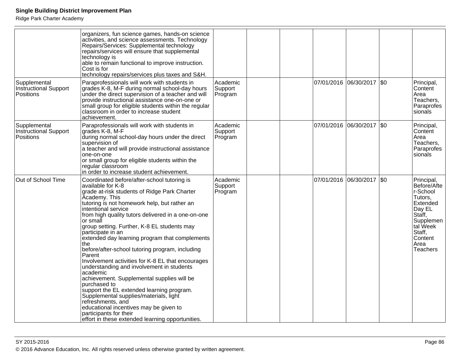|                                                           | organizers, fun science games, hands-on science<br>activities, and science assessments. Technology<br>Repairs/Services: Supplemental technology<br>repairs/services will ensure that supplemental<br>technology is<br>able to remain functional to improve instruction.<br>Cost is for<br>technology repairs/services plus taxes and S&H.                                                                                                                                                                                                                                                                                                                                                                                                                                                                                                                                            |                                |  |                       |                           |      |                                                                                                                                                           |
|-----------------------------------------------------------|--------------------------------------------------------------------------------------------------------------------------------------------------------------------------------------------------------------------------------------------------------------------------------------------------------------------------------------------------------------------------------------------------------------------------------------------------------------------------------------------------------------------------------------------------------------------------------------------------------------------------------------------------------------------------------------------------------------------------------------------------------------------------------------------------------------------------------------------------------------------------------------|--------------------------------|--|-----------------------|---------------------------|------|-----------------------------------------------------------------------------------------------------------------------------------------------------------|
| Supplemental<br>Instructional Support<br><b>Positions</b> | Paraprofessionals will work with students in<br>grades K-8, M-F during normal school-day hours<br>under the direct supervision of a teacher and will<br>provide instructional assistance one-on-one or<br>small group for eligible students within the regular<br>classroom in order to increase student<br>achievement.                                                                                                                                                                                                                                                                                                                                                                                                                                                                                                                                                             | Academic<br>Support<br>Program |  | 07/01/2016 06/30/2017 |                           | \$0  | Principal,<br>Content<br>Area<br>Teachers,<br>Paraprofes<br>sionals                                                                                       |
| Supplemental<br>Instructional Support<br>Positions        | Paraprofessionals will work with students in<br>grades K-8, M-F<br>during normal school-day hours under the direct<br>supervision of<br>a teacher and will provide instructional assistance<br>one-on-one<br>or small group for eligible students within the<br>regular classroom<br>in order to increase student achievement.                                                                                                                                                                                                                                                                                                                                                                                                                                                                                                                                                       | Academic<br>Support<br>Program |  |                       | 07/01/2016 06/30/2017 \$0 |      | Principal,<br>Content<br>Area<br>Teachers,<br>Paraprofes<br>sionals                                                                                       |
| Out of School Time                                        | Coordinated before/after-school tutoring is<br>available for K-8<br>grade at-risk students of Ridge Park Charter<br>Academy. This<br>tutoring is not homework help, but rather an<br>intentional service<br>from high quality tutors delivered in a one-on-one<br>or small<br>group setting. Further, K-8 EL students may<br>participate in an<br>extended day learning program that complements<br>the<br>before/after-school tutoring program, including<br>Parent<br>Involvement activities for K-8 EL that encourages<br>understanding and involvement in students<br>academic<br>achievement. Supplemental supplies will be<br>purchased to<br>support the EL extended learning program.<br>Supplemental supplies/materials, light<br>refreshments, and<br>educational incentives may be given to<br>participants for their<br>effort in these extended learning opportunities. | Academic<br>Support<br>Program |  | 07/01/2016 06/30/2017 |                           | l\$0 | Principal,<br>Before/Afte<br>r-School<br>Tutors,<br>Extended<br>Day EL<br>Staff,<br>Supplemen<br>tal Week<br>Staff,<br>Content<br>Area<br><b>Teachers</b> |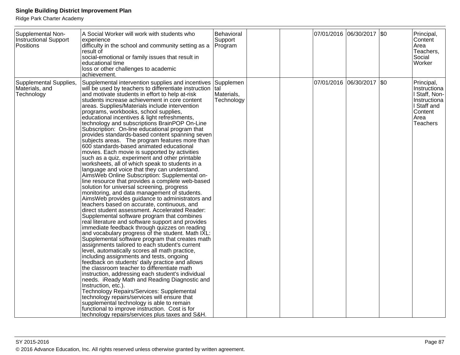| Supplemental Non-<br><b>Instructional Support</b><br>Positions | A Social Worker will work with students who<br>experience<br>difficulty in the school and community setting as a<br>result of<br>social-emotional or family issues that result in<br>educational time<br>loss or other challenges to academic<br>achievement.                                                                                                                                                                                                                                                                                                                                                                                                                                                                                                                                                                                                                                                                                                                                                                                                                                                                                                                                                                                                                                                                                                                                                                                                                                                                                                                                                                                                                                                                                                                                                                                                                                                                                                                                                                                                         | Behavioral<br>Support<br>Program              |  | 07/01/2016 06/30/2017 \$0 | Principal,<br>Content<br>Area<br>Teachers,<br>Social<br>Worker                                                   |
|----------------------------------------------------------------|-----------------------------------------------------------------------------------------------------------------------------------------------------------------------------------------------------------------------------------------------------------------------------------------------------------------------------------------------------------------------------------------------------------------------------------------------------------------------------------------------------------------------------------------------------------------------------------------------------------------------------------------------------------------------------------------------------------------------------------------------------------------------------------------------------------------------------------------------------------------------------------------------------------------------------------------------------------------------------------------------------------------------------------------------------------------------------------------------------------------------------------------------------------------------------------------------------------------------------------------------------------------------------------------------------------------------------------------------------------------------------------------------------------------------------------------------------------------------------------------------------------------------------------------------------------------------------------------------------------------------------------------------------------------------------------------------------------------------------------------------------------------------------------------------------------------------------------------------------------------------------------------------------------------------------------------------------------------------------------------------------------------------------------------------------------------------|-----------------------------------------------|--|---------------------------|------------------------------------------------------------------------------------------------------------------|
| Supplemental Supplies,<br>Materials, and<br>Technology         | Supplemental intervention supplies and incentives<br>will be used by teachers to differentiate instruction<br>and motivate students in effort to help at-risk<br>students increase achievement in core content<br>areas. Supplies/Materials include intervention<br>programs, workbooks, school supplies,<br>educational incentives & light refreshments,<br>technology and subscriptions BrainPOP On-Line<br>Subscription: On-line educational program that<br>provides standards-based content spanning seven<br>subjects areas. The program features more than<br>600 standards-based animated educational<br>movies. Each movie is supported by activities<br>such as a quiz, experiment and other printable<br>worksheets, all of which speak to students in a<br>language and voice that they can understand.<br>AimsWeb Online Subscription: Supplemental on-<br>line resource that provides a complete web-based<br>solution for universal screening, progress<br>monitoring, and data management of students.<br>AimsWeb provides guidance to administrators and<br>teachers based on accurate, continuous, and<br>direct student assessment. Accelerated Reader:<br>Supplemental software program that combines<br>real literature and software support and provides<br>immediate feedback through quizzes on reading<br>and vocabulary progress of the student. Math IXL:<br>Supplemental software program that creates math<br>assignments tailored to each student's current<br>level, automatically scores all math practice,<br>including assignments and tests, ongoing<br>feedback on students' daily practice and allows<br>the classroom teacher to differentiate math<br>instruction, addressing each student's individual<br>needs. iReady Math and Reading Diagnostic and<br>Instruction, etc.).<br>Technology Repairs/Services: Supplemental<br>technology repairs/services will ensure that<br>supplemental technology is able to remain<br>functional to improve instruction. Cost is for<br>technology repairs/services plus taxes and S&H. | Supplemen<br>Ital<br>Materials,<br>Technology |  | 07/01/2016 06/30/2017 \$0 | Principal,<br>Instructiona<br>I Staff, Non-<br>Instructiona<br>I Staff and<br>Content<br>Area<br><b>Teachers</b> |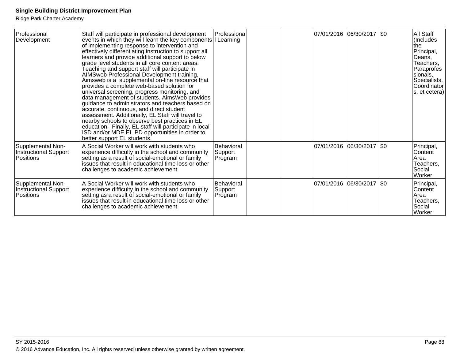| Professional<br>Development                             | Staff will participate in professional development<br>events in which they will learn the key components I Learning<br>of implementing response to intervention and<br>effectively differentiating instruction to support all<br>learners and provide additional support to below<br>grade level students in all core content areas.<br>Teaching and support staff will participate in<br>AIMSweb Professional Development training,<br>Aimsweb is a supplemental on-line resource that<br>provides a complete web-based solution for<br>universal screening, progress monitoring, and<br>data management of students. AimsWeb provides<br>guidance to administrators and teachers based on<br>accurate, continuous, and direct student<br>assessment. Additionally, EL Staff will travel to<br>nearby schools to observe best practices in EL<br>education. Finally, EL staff will participate in local<br>ISD and/or MDE EL PD opportunities in order to<br>better support EL students. | Professiona                             |  | 07/01/2016 06/30/2017  \$0 | All Staff<br>(Includes<br>lthe<br>Principal,<br>Deans,<br>Teachers,<br>Paraprofes<br>sionals,<br>Specialists,<br>Coordinator<br>s, et cetera) |
|---------------------------------------------------------|-------------------------------------------------------------------------------------------------------------------------------------------------------------------------------------------------------------------------------------------------------------------------------------------------------------------------------------------------------------------------------------------------------------------------------------------------------------------------------------------------------------------------------------------------------------------------------------------------------------------------------------------------------------------------------------------------------------------------------------------------------------------------------------------------------------------------------------------------------------------------------------------------------------------------------------------------------------------------------------------|-----------------------------------------|--|----------------------------|-----------------------------------------------------------------------------------------------------------------------------------------------|
| Supplemental Non-<br>Instructional Support<br>Positions | A Social Worker will work with students who<br>experience difficulty in the school and community<br>setting as a result of social-emotional or family<br>issues that result in educational time loss or other<br>challenges to academic achievement.                                                                                                                                                                                                                                                                                                                                                                                                                                                                                                                                                                                                                                                                                                                                      | Behavioral<br>Support<br>Program        |  | 07/01/2016 06/30/2017  \$0 | Principal,<br>Content<br>Area<br>Teachers,<br>Social<br>Worker                                                                                |
| Supplemental Non-<br>Instructional Support<br>Positions | A Social Worker will work with students who<br>experience difficulty in the school and community<br>setting as a result of social-emotional or family<br>issues that result in educational time loss or other<br>challenges to academic achievement.                                                                                                                                                                                                                                                                                                                                                                                                                                                                                                                                                                                                                                                                                                                                      | <b>Behavioral</b><br>Support<br>Program |  | 07/01/2016 06/30/2017  \$0 | Principal,<br>Content<br>Area<br>Teachers,<br>Social<br>Worker                                                                                |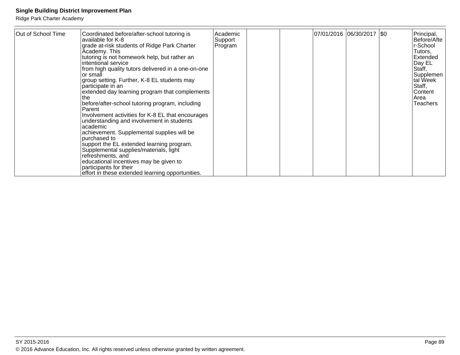| Out of School Time | Coordinated before/after-school tutoring is<br>available for K-8<br>grade at-risk students of Ridge Park Charter<br>Academy. This<br>tutoring is not homework help, but rather an<br>intentional service<br>from high quality tutors delivered in a one-on-one<br>or small<br>group setting. Further, K-8 EL students may<br>participate in an<br>extended day learning program that complements<br>the<br>before/after-school tutoring program, including<br>Parent<br>Involvement activities for K-8 EL that encourages<br>understanding and involvement in students<br>academic<br>achievement. Supplemental supplies will be<br>purchased to<br>support the EL extended learning program.<br>Supplemental supplies/materials, light<br>refreshments, and<br>educational incentives may be given to<br>participants for their | Academic<br>Support<br>Program |  | 07/01/2016  06/30/2017  \$0 | Principal,<br>Before/Afte<br>r-School<br>Tutors,<br><b>IExtended</b><br>Day EL<br> Staff,<br>Supplemen<br>tal Week<br>Staff,<br>lContent<br>lArea<br><b>Teachers</b> |
|--------------------|----------------------------------------------------------------------------------------------------------------------------------------------------------------------------------------------------------------------------------------------------------------------------------------------------------------------------------------------------------------------------------------------------------------------------------------------------------------------------------------------------------------------------------------------------------------------------------------------------------------------------------------------------------------------------------------------------------------------------------------------------------------------------------------------------------------------------------|--------------------------------|--|-----------------------------|----------------------------------------------------------------------------------------------------------------------------------------------------------------------|
|                    | effort in these extended learning opportunities.                                                                                                                                                                                                                                                                                                                                                                                                                                                                                                                                                                                                                                                                                                                                                                                 |                                |  |                             |                                                                                                                                                                      |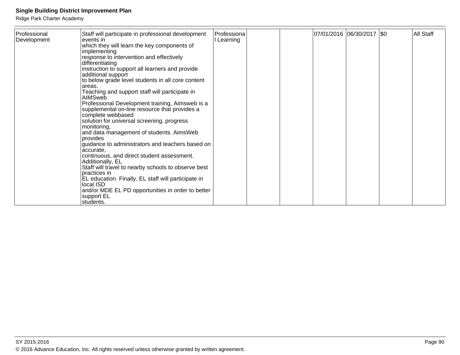| Staff will participate in professional development<br>Professional<br> Development <br>events in<br>which they will learn the key components of<br>implementing<br>response to intervention and effectively<br>differentiating<br>instruction to support all learners and provide<br>additional support<br>to below grade level students in all core content<br>areas.<br>Teaching and support staff will participate in<br>AIMSweb<br>Professional Development training, Aimsweb is a<br>supplemental on-line resource that provides a<br>complete webbased<br>solution for universal screening, progress<br>monitoring,<br>and data management of students. AimsWeb<br>provides<br>guidance to administrators and teachers based on<br>accurate.<br>continuous, and direct student assessment.<br>Additionally, EL<br>Staff will travel to nearby schools to observe best<br>practices in<br>EL education. Finally, EL staff will participate in<br>local ISD<br>and/or MDE EL PD opportunities in order to better<br>support EL<br>students. | Professiona<br>I Learning |  | 07/01/2016 06/30/2017   \$0 | All Staff |
|-------------------------------------------------------------------------------------------------------------------------------------------------------------------------------------------------------------------------------------------------------------------------------------------------------------------------------------------------------------------------------------------------------------------------------------------------------------------------------------------------------------------------------------------------------------------------------------------------------------------------------------------------------------------------------------------------------------------------------------------------------------------------------------------------------------------------------------------------------------------------------------------------------------------------------------------------------------------------------------------------------------------------------------------------|---------------------------|--|-----------------------------|-----------|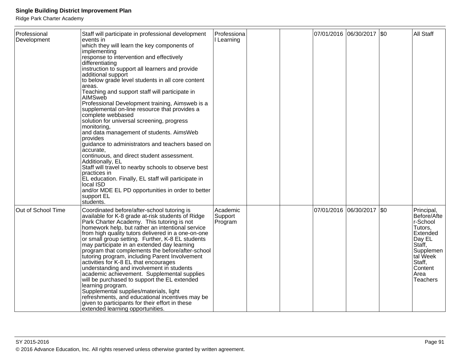| Professional<br>Development | Staff will participate in professional development<br>events in<br>which they will learn the key components of<br>implementing<br>response to intervention and effectively<br>differentiating<br>instruction to support all learners and provide<br>additional support<br>to below grade level students in all core content<br>areas.<br>Teaching and support staff will participate in<br><b>AIMSweb</b><br>Professional Development training, Aimsweb is a<br>supplemental on-line resource that provides a<br>complete webbased<br>solution for universal screening, progress<br>monitoring,<br>and data management of students. AimsWeb<br>provides<br>guidance to administrators and teachers based on<br>accurate.<br>continuous, and direct student assessment.<br>Additionally, EL<br>Staff will travel to nearby schools to observe best<br>practices in<br>EL education. Finally, EL staff will participate in<br>local ISD<br>and/or MDE EL PD opportunities in order to better<br>support EL<br>students. | Professiona<br>I Learning      |  | 07/01/2016 06/30/2017       | $ $ \$0 | <b>All Staff</b>                                                                                                                                           |
|-----------------------------|-----------------------------------------------------------------------------------------------------------------------------------------------------------------------------------------------------------------------------------------------------------------------------------------------------------------------------------------------------------------------------------------------------------------------------------------------------------------------------------------------------------------------------------------------------------------------------------------------------------------------------------------------------------------------------------------------------------------------------------------------------------------------------------------------------------------------------------------------------------------------------------------------------------------------------------------------------------------------------------------------------------------------|--------------------------------|--|-----------------------------|---------|------------------------------------------------------------------------------------------------------------------------------------------------------------|
| Out of School Time          | Coordinated before/after-school tutoring is<br>available for K-8 grade at-risk students of Ridge<br>Park Charter Academy. This tutoring is not<br>homework help, but rather an intentional service<br>from high quality tutors delivered in a one-on-one<br>or small group setting. Further, K-8 EL students<br>may participate in an extended day learning<br>program that complements the before/after-school<br>tutoring program, including Parent Involvement<br>activities for K-8 EL that encourages<br>understanding and involvement in students<br>academic achievement. Supplemental supplies<br>will be purchased to support the EL extended<br>learning program.<br>Supplemental supplies/materials, light<br>refreshments, and educational incentives may be<br>given to participants for their effort in these<br>extended learning opportunities.                                                                                                                                                       | Academic<br>Support<br>Program |  | 07/01/2016  06/30/2017  \$0 |         | Principal,<br>Before/Afte<br>r-School<br>Tutors,<br>Extended<br>Day EL<br>Staff,<br>Supplemen<br>ltal Week<br>Staff,<br>Content<br>Area<br><b>Teachers</b> |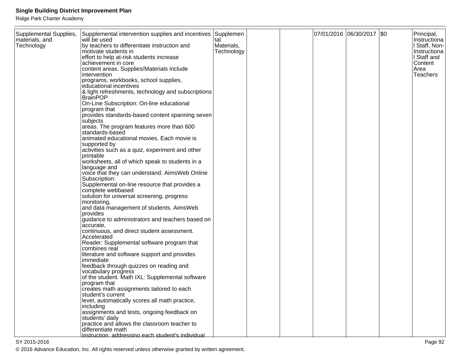Ridge Park Charter Academy

| Supplemental Supplies,<br>materials, and<br>Technology | Supplemental intervention supplies and incentives Supplemen<br>will be used<br>by teachers to differentiate instruction and<br>motivate students in<br>effort to help at-risk students increase<br>achievement in core<br>content areas. Supplies/Materials include<br>Intervention<br>programs, workbooks, school supplies,<br>educational incentives<br>& light refreshments, technology and subscriptions<br> BrainPOP<br>On-Line Subscription: On-line educational<br>program that<br>provides standards-based content spanning seven<br>subjects<br>areas. The program features more than 600<br>standards-based<br>animated educational movies. Each movie is<br>supported by<br>activities such as a quiz, experiment and other<br>printable<br>worksheets, all of which speak to students in a<br>language and<br>voice that they can understand. AimsWeb Online<br>Subscription:<br>Supplemental on-line resource that provides a<br>complete webbased<br>solution for universal screening, progress<br>monitoring,<br>and data management of students. AimsWeb<br>provides<br>guidance to administrators and teachers based on<br>accurate,<br>continuous, and direct student assessment.<br>Accelerated<br>Reader: Supplemental software program that<br>combines real<br>literature and software support and provides<br>immediate<br>feedback through quizzes on reading and<br>vocabulary progress<br>of the student. Math IXL: Supplemental software<br>program that<br>creates math assignments tailored to each<br>Istudent's current<br>level, automatically scores all math practice,<br> including<br>assignments and tests, ongoing feedback on | tal<br>Materials,<br>Technology |  | 07/01/2016 06/30/2017 \$0 | Principal,<br>Instructiona<br>I Staff, Non-<br>Instructiona<br>I Staff and<br>Content<br>Area<br>Teachers |
|--------------------------------------------------------|----------------------------------------------------------------------------------------------------------------------------------------------------------------------------------------------------------------------------------------------------------------------------------------------------------------------------------------------------------------------------------------------------------------------------------------------------------------------------------------------------------------------------------------------------------------------------------------------------------------------------------------------------------------------------------------------------------------------------------------------------------------------------------------------------------------------------------------------------------------------------------------------------------------------------------------------------------------------------------------------------------------------------------------------------------------------------------------------------------------------------------------------------------------------------------------------------------------------------------------------------------------------------------------------------------------------------------------------------------------------------------------------------------------------------------------------------------------------------------------------------------------------------------------------------------------------------------------------------------------------------------------------------------------------|---------------------------------|--|---------------------------|-----------------------------------------------------------------------------------------------------------|
|                                                        |                                                                                                                                                                                                                                                                                                                                                                                                                                                                                                                                                                                                                                                                                                                                                                                                                                                                                                                                                                                                                                                                                                                                                                                                                                                                                                                                                                                                                                                                                                                                                                                                                                                                      |                                 |  |                           |                                                                                                           |
|                                                        | students' daily<br>practice and allows the classroom teacher to<br>differentiate math                                                                                                                                                                                                                                                                                                                                                                                                                                                                                                                                                                                                                                                                                                                                                                                                                                                                                                                                                                                                                                                                                                                                                                                                                                                                                                                                                                                                                                                                                                                                                                                |                                 |  |                           |                                                                                                           |
|                                                        | instruction, addressing each student's individual                                                                                                                                                                                                                                                                                                                                                                                                                                                                                                                                                                                                                                                                                                                                                                                                                                                                                                                                                                                                                                                                                                                                                                                                                                                                                                                                                                                                                                                                                                                                                                                                                    |                                 |  |                           |                                                                                                           |

en and the set of the set of the set of the set of the set of the set of the set of the set of the set of the set of the set of the set of the set of the set of the set of the set of the set of the set of the set of the se © 2016 Advance Education, Inc. All rights reserved unless otherwise granted by written agreement.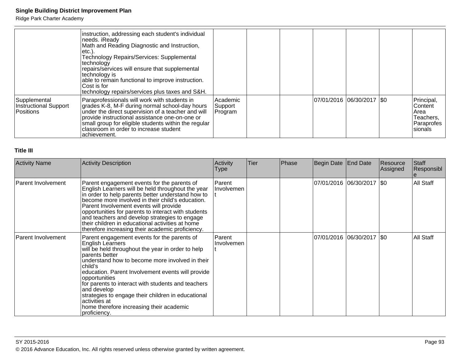Ridge Park Charter Academy

|                                                           | instruction, addressing each student's individual<br>needs. iReady<br>Math and Reading Diagnostic and Instruction,<br>letc.).<br><b>Technology Repairs/Services: Supplemental</b><br> technology<br>repairs/services will ensure that supplemental<br>technology is<br>able to remain functional to improve instruction.<br>lCost is for<br>technology repairs/services plus taxes and S&H. |                                |  |                             |                                                                               |
|-----------------------------------------------------------|---------------------------------------------------------------------------------------------------------------------------------------------------------------------------------------------------------------------------------------------------------------------------------------------------------------------------------------------------------------------------------------------|--------------------------------|--|-----------------------------|-------------------------------------------------------------------------------|
| Supplemental<br><b>Instructional Support</b><br>Positions | Paraprofessionals will work with students in<br>grades K-8, M-F during normal school-day hours<br>under the direct supervision of a teacher and will<br>provide instructional assistance one-on-one or<br>small group for eligible students within the regular<br>classroom in order to increase student<br>lachievement.                                                                   | Academic<br>Support<br>Program |  | 07/01/2016  06/30/2017  \$0 | Principal,<br>lContent<br> Area<br>Teachers,<br>Paraprofes<br><b>Isionals</b> |

### **Title III**

| <b>Activity Name</b>      | <b>Activity Description</b>                                                                                                                                                                                                                                                                                                                                                                                                                                                        | Activity<br>Type     | <b>Tier</b> | <b>Phase</b> | Begin Date End Date |                             | Resource<br>Assigned | Staff<br>Responsibl |
|---------------------------|------------------------------------------------------------------------------------------------------------------------------------------------------------------------------------------------------------------------------------------------------------------------------------------------------------------------------------------------------------------------------------------------------------------------------------------------------------------------------------|----------------------|-------------|--------------|---------------------|-----------------------------|----------------------|---------------------|
| Parent Involvement        | Parent engagement events for the parents of<br>English Learners will be held throughout the year<br>in order to help parents better understand how to<br>become more involved in their child's education.<br>Parent Involvement events will provide<br>opportunities for parents to interact with students<br>and teachers and develop strategies to engage<br>their children in educational activities at home<br>therefore increasing their academic proficiency.                | Parent<br>Involvemen |             |              |                     | 07/01/2016 06/30/2017   \$0 |                      | All Staff           |
| <b>Parent Involvement</b> | Parent engagement events for the parents of<br>English Learners<br>will be held throughout the year in order to help<br>parents better<br>understand how to become more involved in their<br>child's<br>education. Parent Involvement events will provide<br>opportunities<br>for parents to interact with students and teachers<br>and develop<br>strategies to engage their children in educational<br>activities at<br>home therefore increasing their academic<br>proficiency. | Parent<br>Involvemen |             |              |                     | 07/01/2016 06/30/2017   \$0 |                      | All Staff           |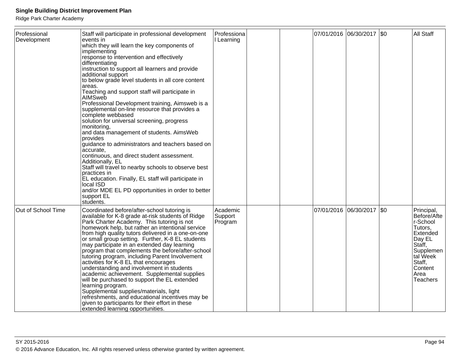| Professional<br>Development | Staff will participate in professional development<br>events in<br>which they will learn the key components of<br>implementing<br>response to intervention and effectively<br>differentiating<br>instruction to support all learners and provide<br>additional support<br>to below grade level students in all core content<br>areas.<br>Teaching and support staff will participate in<br><b>AIMSweb</b><br>Professional Development training, Aimsweb is a<br>supplemental on-line resource that provides a<br>complete webbased<br>solution for universal screening, progress<br>monitoring,<br>and data management of students. AimsWeb<br>provides<br>guidance to administrators and teachers based on<br>accurate,<br>continuous, and direct student assessment.<br>Additionally, EL<br>Staff will travel to nearby schools to observe best<br>practices in<br>EL education. Finally, EL staff will participate in<br>local ISD<br>and/or MDE EL PD opportunities in order to better<br>support EL<br>students. | Professiona<br>Learning        |  | 07/01/2016 06/30/2017 \$0 | <b>All Staff</b>                                                                                                                                          |
|-----------------------------|-----------------------------------------------------------------------------------------------------------------------------------------------------------------------------------------------------------------------------------------------------------------------------------------------------------------------------------------------------------------------------------------------------------------------------------------------------------------------------------------------------------------------------------------------------------------------------------------------------------------------------------------------------------------------------------------------------------------------------------------------------------------------------------------------------------------------------------------------------------------------------------------------------------------------------------------------------------------------------------------------------------------------|--------------------------------|--|---------------------------|-----------------------------------------------------------------------------------------------------------------------------------------------------------|
| Out of School Time          | Coordinated before/after-school tutoring is<br>available for K-8 grade at-risk students of Ridge<br>Park Charter Academy. This tutoring is not<br>homework help, but rather an intentional service<br>from high quality tutors delivered in a one-on-one<br>or small group setting. Further, K-8 EL students<br>may participate in an extended day learning<br>program that complements the before/after-school<br>tutoring program, including Parent Involvement<br>activities for K-8 EL that encourages<br>understanding and involvement in students<br>academic achievement. Supplemental supplies<br>will be purchased to support the EL extended<br>learning program.<br>Supplemental supplies/materials, light<br>refreshments, and educational incentives may be<br>given to participants for their effort in these<br>extended learning opportunities.                                                                                                                                                       | Academic<br>Support<br>Program |  | 07/01/2016 06/30/2017 \$0 | Principal,<br>Before/Afte<br>r-School<br>Tutors,<br>Extended<br>Day EL<br>Staff,<br>Supplemen<br>tal Week<br>Staff,<br>Content<br>Area<br><b>Teachers</b> |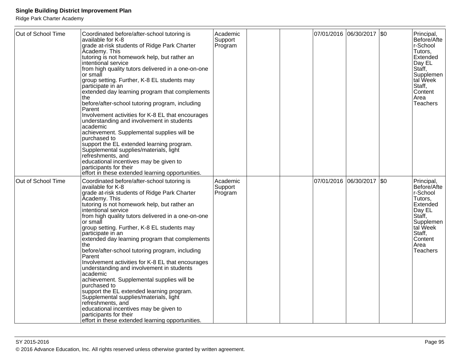| Out of School Time | Coordinated before/after-school tutoring is<br>available for K-8<br>grade at-risk students of Ridge Park Charter<br>Academy. This<br>tutoring is not homework help, but rather an<br>intentional service<br>from high quality tutors delivered in a one-on-one<br>or small<br>group setting. Further, K-8 EL students may<br>participate in an<br>extended day learning program that complements<br>the.<br>before/after-school tutoring program, including<br>Parent<br>Involvement activities for K-8 EL that encourages<br>understanding and involvement in students<br>academic<br>achievement. Supplemental supplies will be<br>purchased to<br>support the EL extended learning program.<br>Supplemental supplies/materials, light<br>refreshments, and<br>educational incentives may be given to<br>participants for their<br>effort in these extended learning opportunities. | Academic<br>Support<br>Program | 07/01/2016 06/30/2017 \$0   |  | Principal,<br>Before/Afte<br>r-School<br>Tutors,<br>Extended<br>Day EL<br>Staff,<br>Supplemen<br>tal Week<br>Staff,<br>Content<br>Area<br>Teachers |
|--------------------|---------------------------------------------------------------------------------------------------------------------------------------------------------------------------------------------------------------------------------------------------------------------------------------------------------------------------------------------------------------------------------------------------------------------------------------------------------------------------------------------------------------------------------------------------------------------------------------------------------------------------------------------------------------------------------------------------------------------------------------------------------------------------------------------------------------------------------------------------------------------------------------|--------------------------------|-----------------------------|--|----------------------------------------------------------------------------------------------------------------------------------------------------|
| Out of School Time | Coordinated before/after-school tutoring is<br>available for K-8<br>grade at-risk students of Ridge Park Charter<br>Academy. This<br>tutoring is not homework help, but rather an<br>intentional service<br>from high quality tutors delivered in a one-on-one<br>or small<br>group setting. Further, K-8 EL students may<br>participate in an<br>extended day learning program that complements<br>the<br>before/after-school tutoring program, including<br>Parent<br>Involvement activities for K-8 EL that encourages<br>understanding and involvement in students<br>academic<br>achievement. Supplemental supplies will be<br>purchased to<br>support the EL extended learning program.<br>Supplemental supplies/materials, light<br>refreshments, and<br>educational incentives may be given to<br>participants for their<br>effort in these extended learning opportunities.  | Academic<br>Support<br>Program | 07/01/2016 06/30/2017   \$0 |  | Principal,<br>Before/Afte<br>r-School<br>Tutors.<br>Extended<br>Day EL<br>Staff,<br>Supplemen<br>tal Week<br>Staff,<br>Content<br>Area<br>Teachers |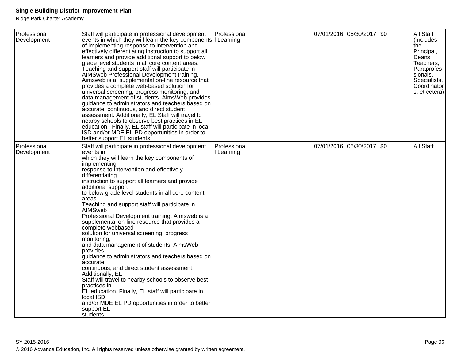| Professional<br>Development | Staff will participate in professional development<br>events in which they will learn the key components I Learning<br>of implementing response to intervention and<br>effectively differentiating instruction to support all<br>learners and provide additional support to below<br>grade level students in all core content areas.<br>Teaching and support staff will participate in<br>AIMSweb Professional Development training,<br>Aimsweb is a supplemental on-line resource that<br>provides a complete web-based solution for<br>universal screening, progress monitoring, and<br>data management of students. Aims Web provides<br>quidance to administrators and teachers based on<br>accurate, continuous, and direct student<br>assessment. Additionally, EL Staff will travel to<br>nearby schools to observe best practices in EL<br>education. Finally, EL staff will participate in local<br>ISD and/or MDE EL PD opportunities in order to<br>better support EL students.                     | Professiona               |  | 07/01/2016 06/30/2017 \$0 |     | All Staff<br>(Includes<br>Ithe<br>Principal,<br>Deans,<br>Teachers,<br>Paraprofes<br>sionals,<br>Specialists,<br>Coordinator<br>s, et cetera) |
|-----------------------------|----------------------------------------------------------------------------------------------------------------------------------------------------------------------------------------------------------------------------------------------------------------------------------------------------------------------------------------------------------------------------------------------------------------------------------------------------------------------------------------------------------------------------------------------------------------------------------------------------------------------------------------------------------------------------------------------------------------------------------------------------------------------------------------------------------------------------------------------------------------------------------------------------------------------------------------------------------------------------------------------------------------|---------------------------|--|---------------------------|-----|-----------------------------------------------------------------------------------------------------------------------------------------------|
| Professional<br>Development | Staff will participate in professional development<br>events in<br>which they will learn the key components of<br>implementing<br>response to intervention and effectively<br>differentiating<br>instruction to support all learners and provide<br>additional support<br>to below grade level students in all core content<br>areas.<br>Teaching and support staff will participate in<br>AIMSweb<br>Professional Development training, Aimsweb is a<br>supplemental on-line resource that provides a<br>complete webbased<br>solution for universal screening, progress<br>monitoring,<br>and data management of students. AimsWeb<br>provides<br>guidance to administrators and teachers based on<br>accurate.<br>continuous, and direct student assessment.<br>Additionally, EL<br>Staff will travel to nearby schools to observe best<br>practices in<br>EL education. Finally, EL staff will participate in<br>local ISD<br>and/or MDE EL PD opportunities in order to better<br>support EL<br>students. | Professiona<br>I Learning |  | 07/01/2016 06/30/2017     | \$0 | All Staff                                                                                                                                     |